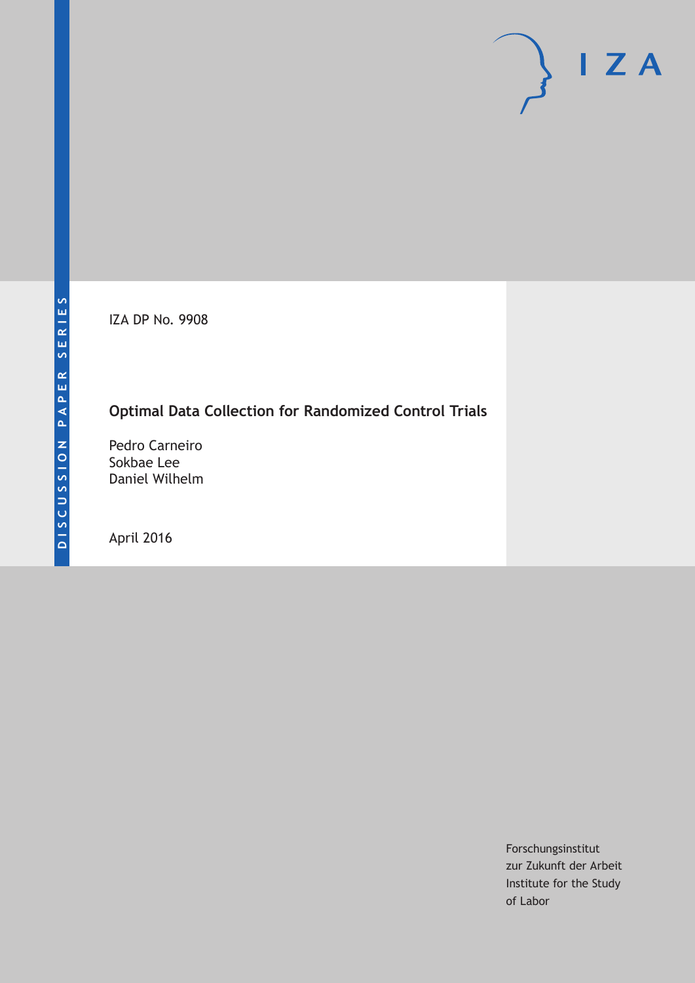IZA DP No. 9908

## **Optimal Data Collection for Randomized Control Trials**

Pedro Carneiro Sokbae Lee Daniel Wilhelm

April 2016

Forschungsinstitut zur Zukunft der Arbeit Institute for the Study of Labor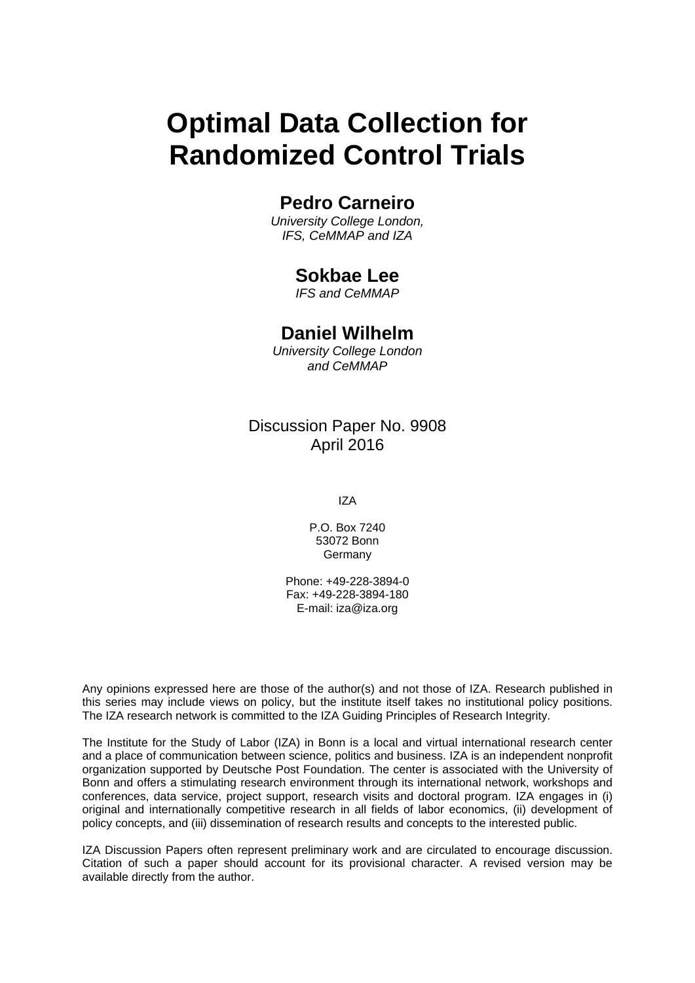# **Optimal Data Collection for Randomized Control Trials**

## **Pedro Carneiro**

*University College London, IFS, CeMMAP and IZA* 

### **Sokbae Lee**

*IFS and CeMMAP* 

### **Daniel Wilhelm**

*University College London and CeMMAP*

### Discussion Paper No. 9908 April 2016

IZA

P.O. Box 7240 53072 Bonn Germany

Phone: +49-228-3894-0 Fax: +49-228-3894-180 E-mail: iza@iza.org

Any opinions expressed here are those of the author(s) and not those of IZA. Research published in this series may include views on policy, but the institute itself takes no institutional policy positions. The IZA research network is committed to the IZA Guiding Principles of Research Integrity.

The Institute for the Study of Labor (IZA) in Bonn is a local and virtual international research center and a place of communication between science, politics and business. IZA is an independent nonprofit organization supported by Deutsche Post Foundation. The center is associated with the University of Bonn and offers a stimulating research environment through its international network, workshops and conferences, data service, project support, research visits and doctoral program. IZA engages in (i) original and internationally competitive research in all fields of labor economics, (ii) development of policy concepts, and (iii) dissemination of research results and concepts to the interested public.

IZA Discussion Papers often represent preliminary work and are circulated to encourage discussion. Citation of such a paper should account for its provisional character. A revised version may be available directly from the author.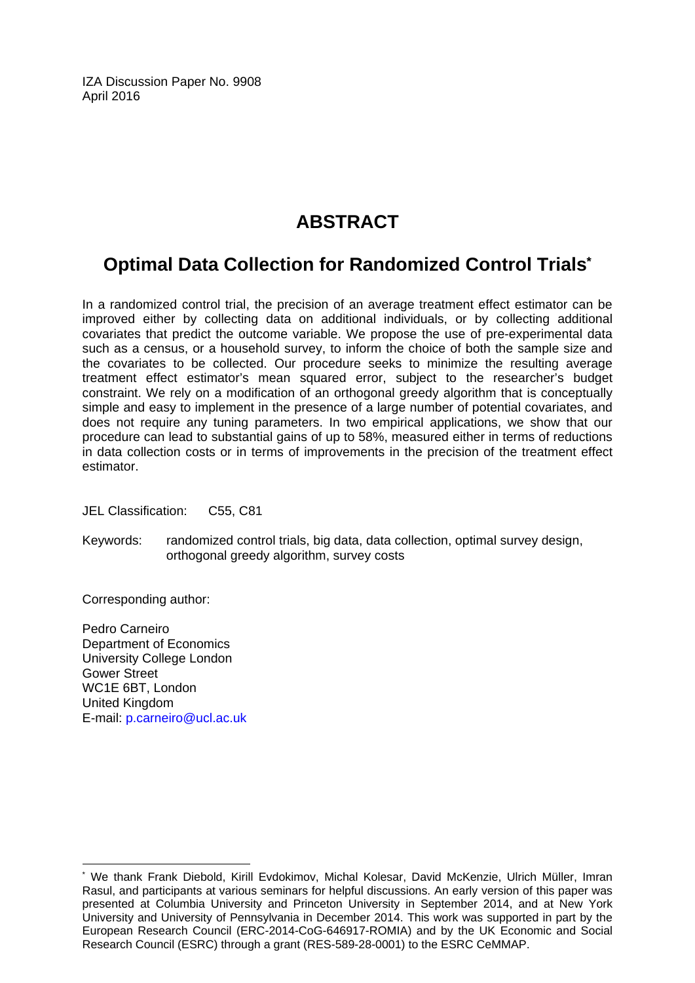IZA Discussion Paper No. 9908 April 2016

## **ABSTRACT**

## **Optimal Data Collection for Randomized Control Trials\***

In a randomized control trial, the precision of an average treatment effect estimator can be improved either by collecting data on additional individuals, or by collecting additional covariates that predict the outcome variable. We propose the use of pre-experimental data such as a census, or a household survey, to inform the choice of both the sample size and the covariates to be collected. Our procedure seeks to minimize the resulting average treatment effect estimator's mean squared error, subject to the researcher's budget constraint. We rely on a modification of an orthogonal greedy algorithm that is conceptually simple and easy to implement in the presence of a large number of potential covariates, and does not require any tuning parameters. In two empirical applications, we show that our procedure can lead to substantial gains of up to 58%, measured either in terms of reductions in data collection costs or in terms of improvements in the precision of the treatment effect estimator.

JEL Classification: C55, C81

Keywords: randomized control trials, big data, data collection, optimal survey design, orthogonal greedy algorithm, survey costs

Corresponding author:

 $\overline{\phantom{a}}$ 

Pedro Carneiro Department of Economics University College London Gower Street WC1E 6BT, London United Kingdom E-mail: p.carneiro@ucl.ac.uk

<sup>\*</sup> We thank Frank Diebold, Kirill Evdokimov, Michal Kolesar, David McKenzie, Ulrich Müller, Imran Rasul, and participants at various seminars for helpful discussions. An early version of this paper was presented at Columbia University and Princeton University in September 2014, and at New York University and University of Pennsylvania in December 2014. This work was supported in part by the European Research Council (ERC-2014-CoG-646917-ROMIA) and by the UK Economic and Social Research Council (ESRC) through a grant (RES-589-28-0001) to the ESRC CeMMAP.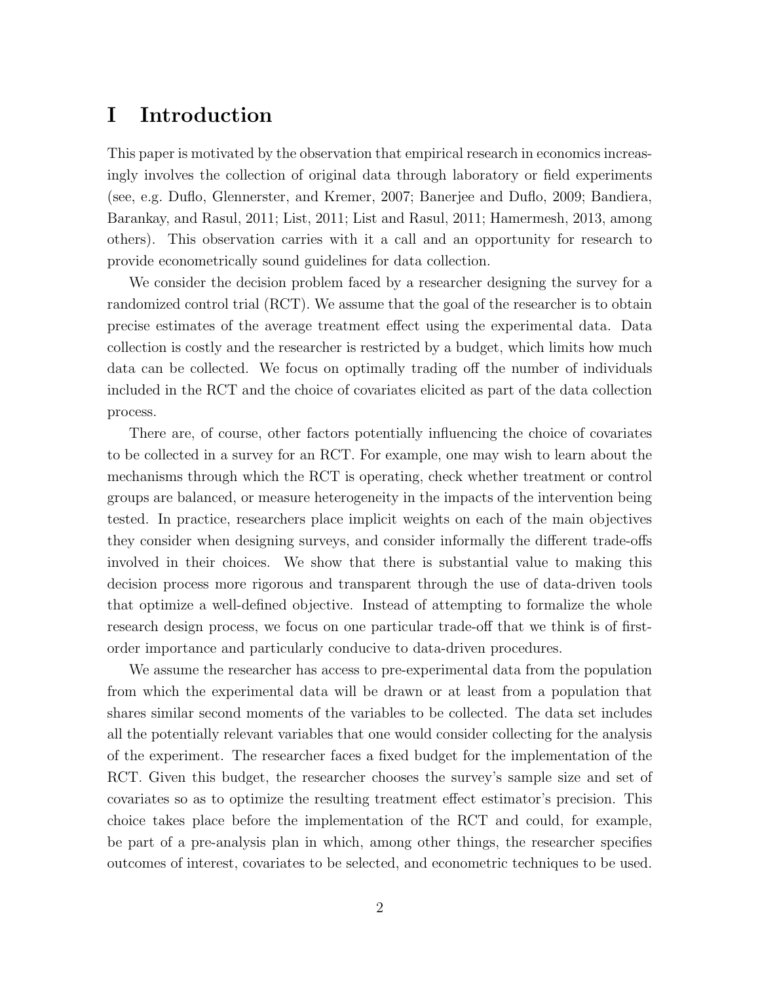### I Introduction

This paper is motivated by the observation that empirical research in economics increasingly involves the collection of original data through laboratory or field experiments (see, e.g. Duflo, Glennerster, and Kremer, 2007; Banerjee and Duflo, 2009; Bandiera, Barankay, and Rasul, 2011; List, 2011; List and Rasul, 2011; Hamermesh, 2013, among others). This observation carries with it a call and an opportunity for research to provide econometrically sound guidelines for data collection.

We consider the decision problem faced by a researcher designing the survey for a randomized control trial (RCT). We assume that the goal of the researcher is to obtain precise estimates of the average treatment effect using the experimental data. Data collection is costly and the researcher is restricted by a budget, which limits how much data can be collected. We focus on optimally trading off the number of individuals included in the RCT and the choice of covariates elicited as part of the data collection process.

There are, of course, other factors potentially influencing the choice of covariates to be collected in a survey for an RCT. For example, one may wish to learn about the mechanisms through which the RCT is operating, check whether treatment or control groups are balanced, or measure heterogeneity in the impacts of the intervention being tested. In practice, researchers place implicit weights on each of the main objectives they consider when designing surveys, and consider informally the different trade-offs involved in their choices. We show that there is substantial value to making this decision process more rigorous and transparent through the use of data-driven tools that optimize a well-defined objective. Instead of attempting to formalize the whole research design process, we focus on one particular trade-off that we think is of firstorder importance and particularly conducive to data-driven procedures.

We assume the researcher has access to pre-experimental data from the population from which the experimental data will be drawn or at least from a population that shares similar second moments of the variables to be collected. The data set includes all the potentially relevant variables that one would consider collecting for the analysis of the experiment. The researcher faces a fixed budget for the implementation of the RCT. Given this budget, the researcher chooses the survey's sample size and set of covariates so as to optimize the resulting treatment effect estimator's precision. This choice takes place before the implementation of the RCT and could, for example, be part of a pre-analysis plan in which, among other things, the researcher specifies outcomes of interest, covariates to be selected, and econometric techniques to be used.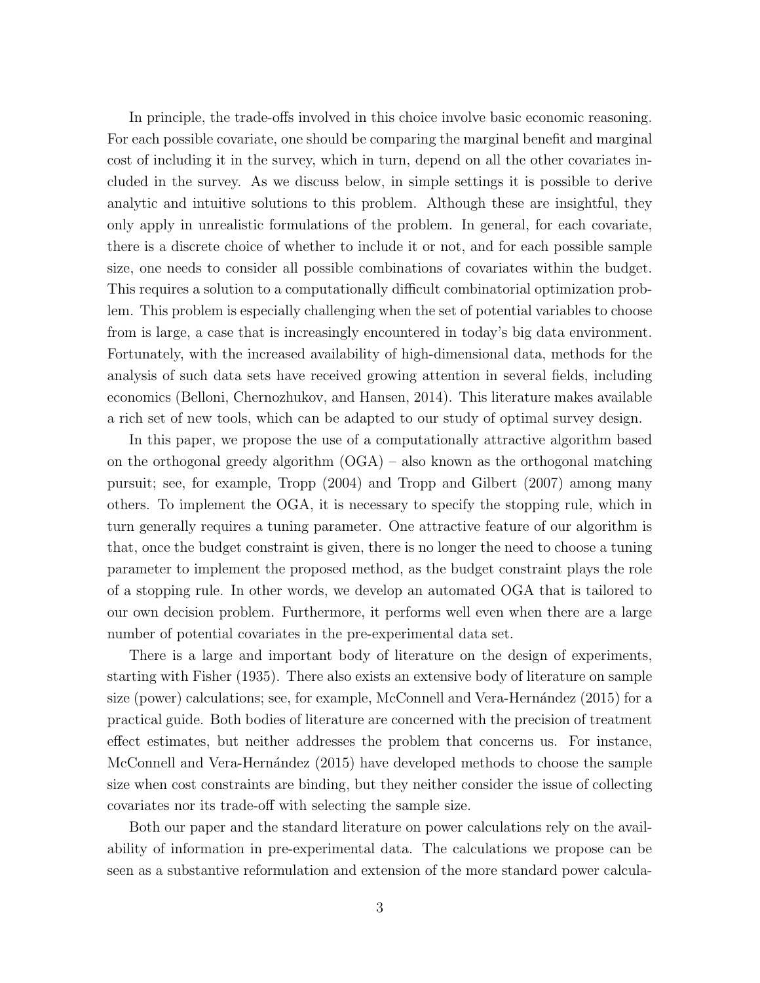In principle, the trade-offs involved in this choice involve basic economic reasoning. For each possible covariate, one should be comparing the marginal benefit and marginal cost of including it in the survey, which in turn, depend on all the other covariates included in the survey. As we discuss below, in simple settings it is possible to derive analytic and intuitive solutions to this problem. Although these are insightful, they only apply in unrealistic formulations of the problem. In general, for each covariate, there is a discrete choice of whether to include it or not, and for each possible sample size, one needs to consider all possible combinations of covariates within the budget. This requires a solution to a computationally difficult combinatorial optimization problem. This problem is especially challenging when the set of potential variables to choose from is large, a case that is increasingly encountered in today's big data environment. Fortunately, with the increased availability of high-dimensional data, methods for the analysis of such data sets have received growing attention in several fields, including economics (Belloni, Chernozhukov, and Hansen, 2014). This literature makes available a rich set of new tools, which can be adapted to our study of optimal survey design.

In this paper, we propose the use of a computationally attractive algorithm based on the orthogonal greedy algorithm (OGA) – also known as the orthogonal matching pursuit; see, for example, Tropp (2004) and Tropp and Gilbert (2007) among many others. To implement the OGA, it is necessary to specify the stopping rule, which in turn generally requires a tuning parameter. One attractive feature of our algorithm is that, once the budget constraint is given, there is no longer the need to choose a tuning parameter to implement the proposed method, as the budget constraint plays the role of a stopping rule. In other words, we develop an automated OGA that is tailored to our own decision problem. Furthermore, it performs well even when there are a large number of potential covariates in the pre-experimental data set.

There is a large and important body of literature on the design of experiments, starting with Fisher (1935). There also exists an extensive body of literature on sample size (power) calculations; see, for example, McConnell and Vera-Hernández  $(2015)$  for a practical guide. Both bodies of literature are concerned with the precision of treatment effect estimates, but neither addresses the problem that concerns us. For instance, McConnell and Vera-Hernández (2015) have developed methods to choose the sample size when cost constraints are binding, but they neither consider the issue of collecting covariates nor its trade-off with selecting the sample size.

Both our paper and the standard literature on power calculations rely on the availability of information in pre-experimental data. The calculations we propose can be seen as a substantive reformulation and extension of the more standard power calcula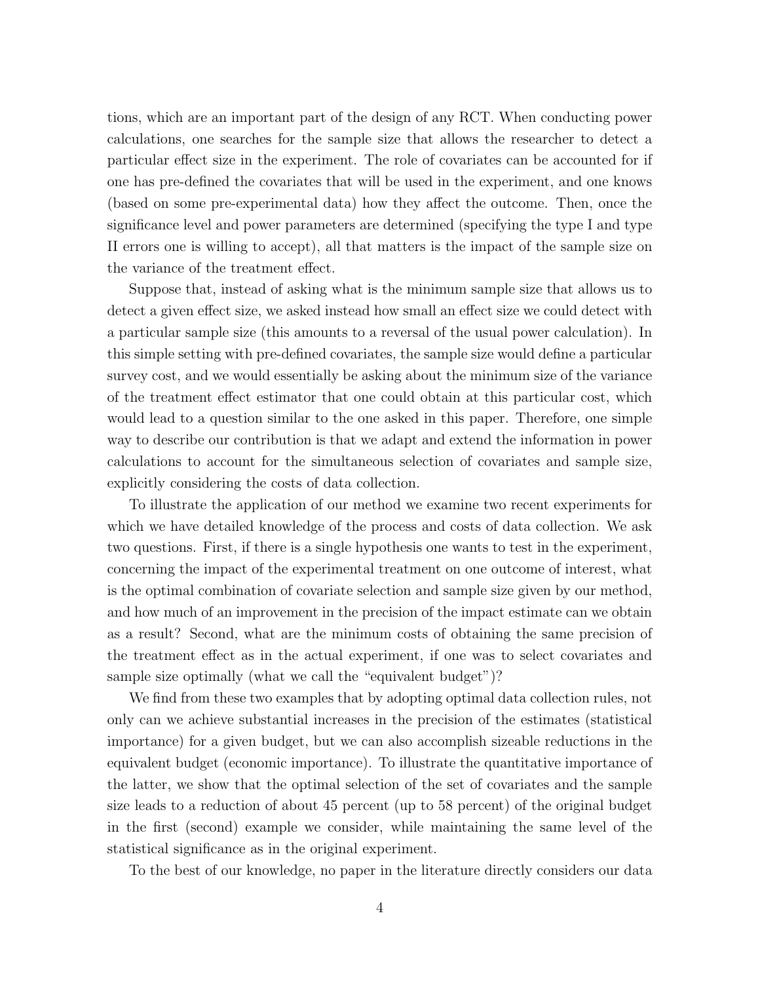tions, which are an important part of the design of any RCT. When conducting power calculations, one searches for the sample size that allows the researcher to detect a particular effect size in the experiment. The role of covariates can be accounted for if one has pre-defined the covariates that will be used in the experiment, and one knows (based on some pre-experimental data) how they affect the outcome. Then, once the significance level and power parameters are determined (specifying the type I and type II errors one is willing to accept), all that matters is the impact of the sample size on the variance of the treatment effect.

Suppose that, instead of asking what is the minimum sample size that allows us to detect a given effect size, we asked instead how small an effect size we could detect with a particular sample size (this amounts to a reversal of the usual power calculation). In this simple setting with pre-defined covariates, the sample size would define a particular survey cost, and we would essentially be asking about the minimum size of the variance of the treatment effect estimator that one could obtain at this particular cost, which would lead to a question similar to the one asked in this paper. Therefore, one simple way to describe our contribution is that we adapt and extend the information in power calculations to account for the simultaneous selection of covariates and sample size, explicitly considering the costs of data collection.

To illustrate the application of our method we examine two recent experiments for which we have detailed knowledge of the process and costs of data collection. We ask two questions. First, if there is a single hypothesis one wants to test in the experiment, concerning the impact of the experimental treatment on one outcome of interest, what is the optimal combination of covariate selection and sample size given by our method, and how much of an improvement in the precision of the impact estimate can we obtain as a result? Second, what are the minimum costs of obtaining the same precision of the treatment effect as in the actual experiment, if one was to select covariates and sample size optimally (what we call the "equivalent budget")?

We find from these two examples that by adopting optimal data collection rules, not only can we achieve substantial increases in the precision of the estimates (statistical importance) for a given budget, but we can also accomplish sizeable reductions in the equivalent budget (economic importance). To illustrate the quantitative importance of the latter, we show that the optimal selection of the set of covariates and the sample size leads to a reduction of about 45 percent (up to 58 percent) of the original budget in the first (second) example we consider, while maintaining the same level of the statistical significance as in the original experiment.

To the best of our knowledge, no paper in the literature directly considers our data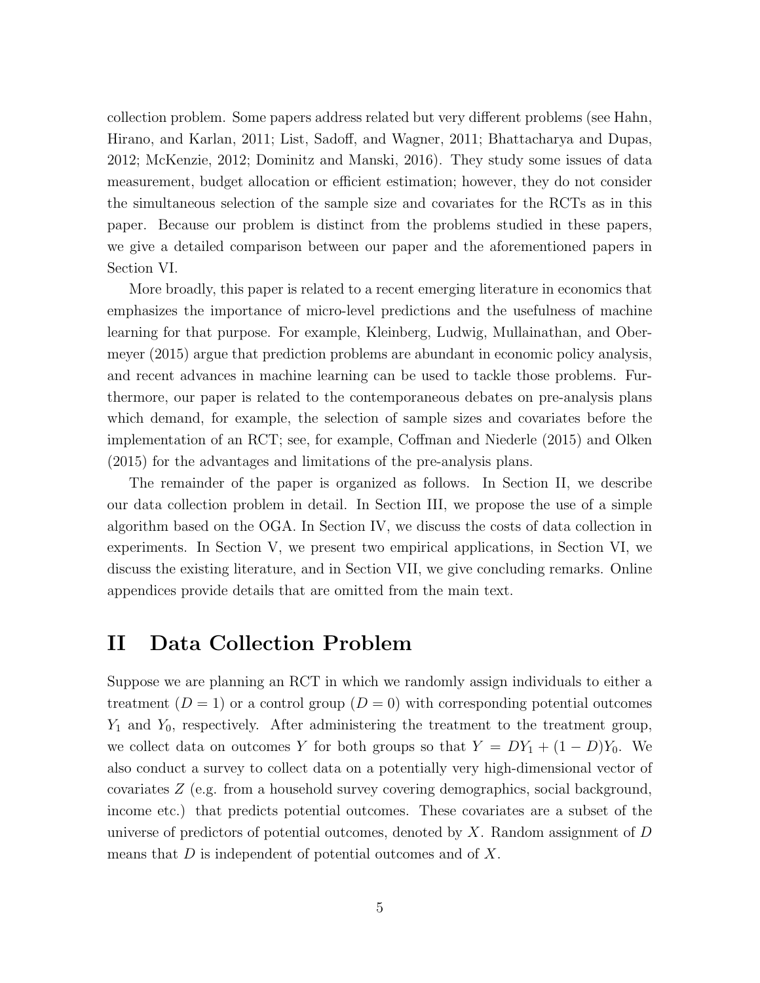collection problem. Some papers address related but very different problems (see Hahn, Hirano, and Karlan, 2011; List, Sadoff, and Wagner, 2011; Bhattacharya and Dupas, 2012; McKenzie, 2012; Dominitz and Manski, 2016). They study some issues of data measurement, budget allocation or efficient estimation; however, they do not consider the simultaneous selection of the sample size and covariates for the RCTs as in this paper. Because our problem is distinct from the problems studied in these papers, we give a detailed comparison between our paper and the aforementioned papers in Section VI.

More broadly, this paper is related to a recent emerging literature in economics that emphasizes the importance of micro-level predictions and the usefulness of machine learning for that purpose. For example, Kleinberg, Ludwig, Mullainathan, and Obermeyer (2015) argue that prediction problems are abundant in economic policy analysis, and recent advances in machine learning can be used to tackle those problems. Furthermore, our paper is related to the contemporaneous debates on pre-analysis plans which demand, for example, the selection of sample sizes and covariates before the implementation of an RCT; see, for example, Coffman and Niederle  $(2015)$  and Olken (2015) for the advantages and limitations of the pre-analysis plans.

The remainder of the paper is organized as follows. In Section II, we describe our data collection problem in detail. In Section III, we propose the use of a simple algorithm based on the OGA. In Section IV, we discuss the costs of data collection in experiments. In Section V, we present two empirical applications, in Section VI, we discuss the existing literature, and in Section VII, we give concluding remarks. Online appendices provide details that are omitted from the main text.

### II Data Collection Problem

Suppose we are planning an RCT in which we randomly assign individuals to either a treatment  $(D = 1)$  or a control group  $(D = 0)$  with corresponding potential outcomes *Y*<sup>1</sup> and *Y*0, respectively. After administering the treatment to the treatment group, we collect data on outcomes *Y* for both groups so that  $Y = DY_1 + (1 - D)Y_0$ . We also conduct a survey to collect data on a potentially very high-dimensional vector of covariates *Z* (e.g. from a household survey covering demographics, social background, income etc.) that predicts potential outcomes. These covariates are a subset of the universe of predictors of potential outcomes, denoted by *X*. Random assignment of *D* means that *D* is independent of potential outcomes and of *X*.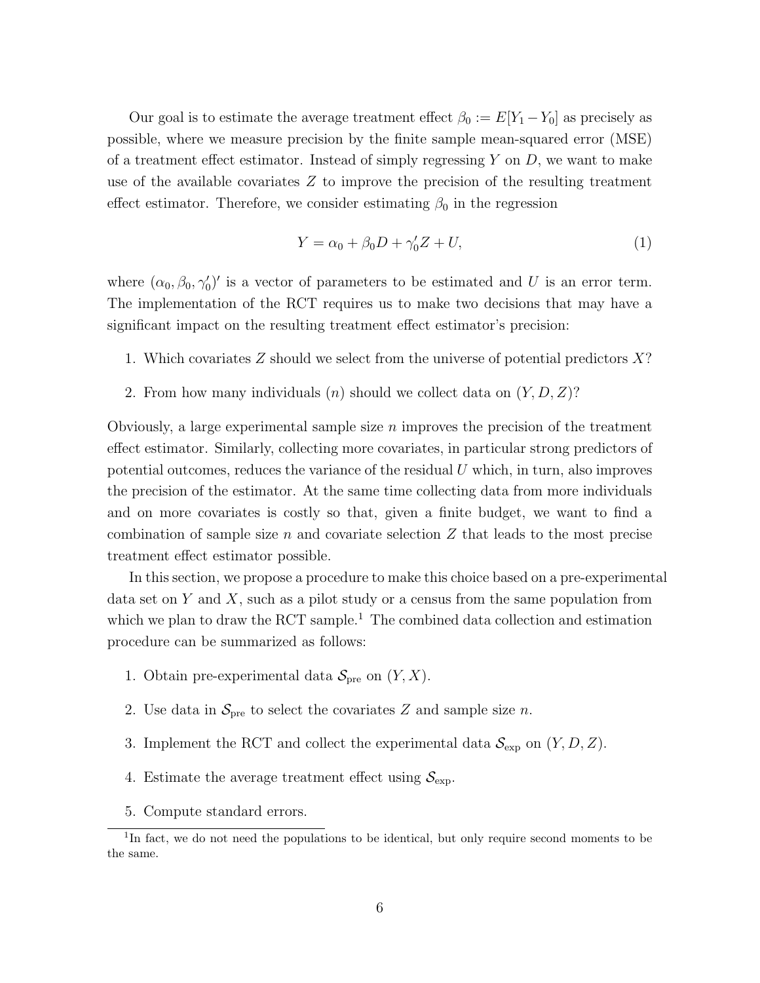Our goal is to estimate the average treatment effect  $\beta_0 := E[Y_1 - Y_0]$  as precisely as possible, where we measure precision by the finite sample mean-squared error (MSE) of a treatment effect estimator. Instead of simply regressing  $Y$  on  $D$ , we want to make use of the available covariates *Z* to improve the precision of the resulting treatment effect estimator. Therefore, we consider estimating  $\beta_0$  in the regression

$$
Y = \alpha_0 + \beta_0 D + \gamma'_0 Z + U,\tag{1}
$$

where  $(\alpha_0, \beta_0, \gamma'_0)'$  is a vector of parameters to be estimated and *U* is an error term. The implementation of the RCT requires us to make two decisions that may have a significant impact on the resulting treatment effect estimator's precision:

- 1. Which covariates *Z* should we select from the universe of potential predictors *X*?
- 2. From how many individuals (*n*) should we collect data on (*Y, D, Z*)?

Obviously, a large experimental sample size *n* improves the precision of the treatment effect estimator. Similarly, collecting more covariates, in particular strong predictors of potential outcomes, reduces the variance of the residual *U* which, in turn, also improves the precision of the estimator. At the same time collecting data from more individuals and on more covariates is costly so that, given a finite budget, we want to find a combination of sample size *n* and covariate selection *Z* that leads to the most precise treatment effect estimator possible.

In this section, we propose a procedure to make this choice based on a pre-experimental data set on *Y* and *X*, such as a pilot study or a census from the same population from which we plan to draw the RCT sample.<sup>1</sup> The combined data collection and estimation procedure can be summarized as follows:

- 1. Obtain pre-experimental data  $S_{\text{pre}}$  on  $(Y, X)$ .
- 2. Use data in  $S_{\text{pre}}$  to select the covariates Z and sample size *n*.
- 3. Implement the RCT and collect the experimental data  $\mathcal{S}_{\text{exp}}$  on  $(Y, D, Z)$ .
- 4. Estimate the average treatment effect using  $S_{\text{exp}}$ .
- 5. Compute standard errors.

<sup>&</sup>lt;sup>1</sup>In fact, we do not need the populations to be identical, but only require second moments to be the same.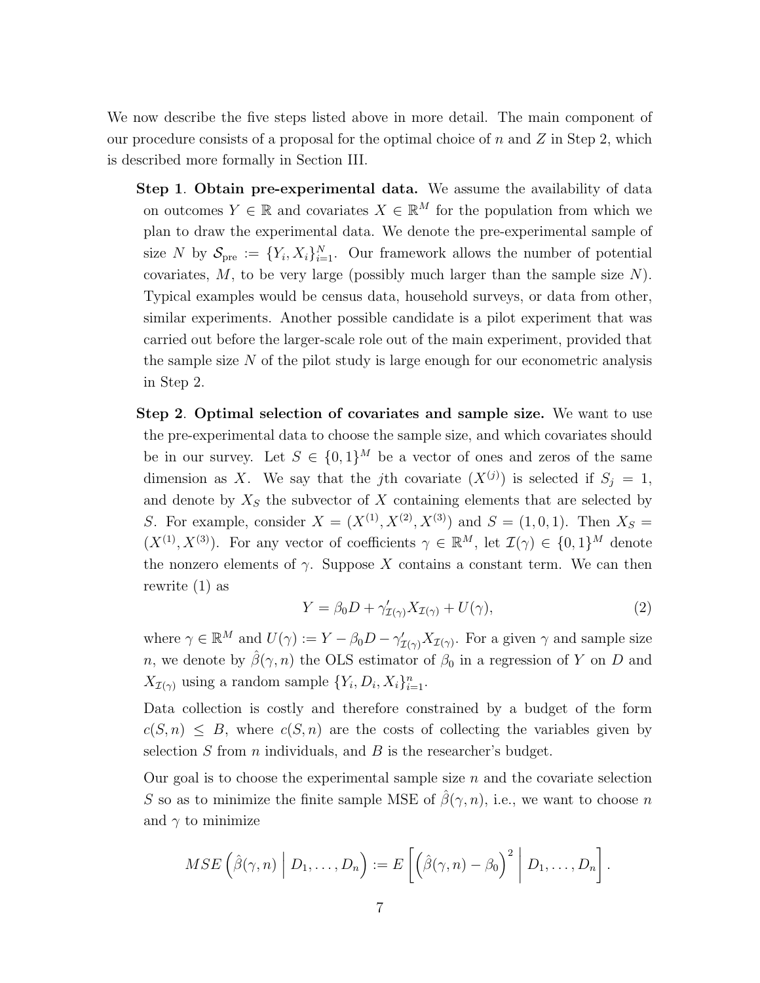We now describe the five steps listed above in more detail. The main component of our procedure consists of a proposal for the optimal choice of *n* and *Z* in Step 2, which is described more formally in Section III.

- Step 1. Obtain pre-experimental data. We assume the availability of data on outcomes  $Y \in \mathbb{R}$  and covariates  $X \in \mathbb{R}^M$  for the population from which we plan to draw the experimental data. We denote the pre-experimental sample of size *N* by  $S_{pre} := \{Y_i, X_i\}_{i=1}^N$ . Our framework allows the number of potential covariates, *M*, to be very large (possibly much larger than the sample size *N*). Typical examples would be census data, household surveys, or data from other, similar experiments. Another possible candidate is a pilot experiment that was carried out before the larger-scale role out of the main experiment, provided that the sample size *N* of the pilot study is large enough for our econometric analysis in Step 2.
- Step 2. Optimal selection of covariates and sample size. We want to use the pre-experimental data to choose the sample size, and which covariates should be in our survey. Let  $S \in \{0,1\}^M$  be a vector of ones and zeros of the same dimension as *X*. We say that the *j*th covariate  $(X^{(j)})$  is selected if  $S_j = 1$ , and denote by  $X<sub>S</sub>$  the subvector of  $X$  containing elements that are selected by *S*. For example, consider  $X = (X^{(1)}, X^{(2)}, X^{(3)})$  and  $S = (1, 0, 1)$ . Then  $X_S =$  $(X^{(1)}, X^{(3)})$ . For any vector of coefficients  $\gamma \in \mathbb{R}^M$ , let  $\mathcal{I}(\gamma) \in \{0,1\}^M$  denote the nonzero elements of  $\gamma$ . Suppose X contains a constant term. We can then rewrite (1) as

$$
Y = \beta_0 D + \gamma'_{\mathcal{I}(\gamma)} X_{\mathcal{I}(\gamma)} + U(\gamma), \tag{2}
$$

where  $\gamma \in \mathbb{R}^M$  and  $U(\gamma) := Y - \beta_0 D - \gamma'_{\mathcal{I}(\gamma)} X_{\mathcal{I}(\gamma)}$ . For a given  $\gamma$  and sample size *n*, we denote by  $\hat{\beta}(\gamma, n)$  the OLS estimator of  $\beta_0$  in a regression of *Y* on *D* and  $X_{\mathcal{I}(\gamma)}$  using a random sample  $\{Y_i, D_i, X_i\}_{i=1}^n$ .

Data collection is costly and therefore constrained by a budget of the form  $c(S,n) \leq B$ , where  $c(S,n)$  are the costs of collecting the variables given by selection *S* from *n* individuals, and *B* is the researcher's budget.

Our goal is to choose the experimental sample size *n* and the covariate selection *S* so as to minimize the finite sample MSE of  $\hat{\beta}(\gamma, n)$ , i.e., we want to choose *n* and  $\gamma$  to minimize

$$
MSE\left(\hat{\beta}(\gamma,n)\middle|D_1,\ldots,D_n\right):=E\left[\left(\hat{\beta}(\gamma,n)-\beta_0\right)^2\middle|D_1,\ldots,D_n\right].
$$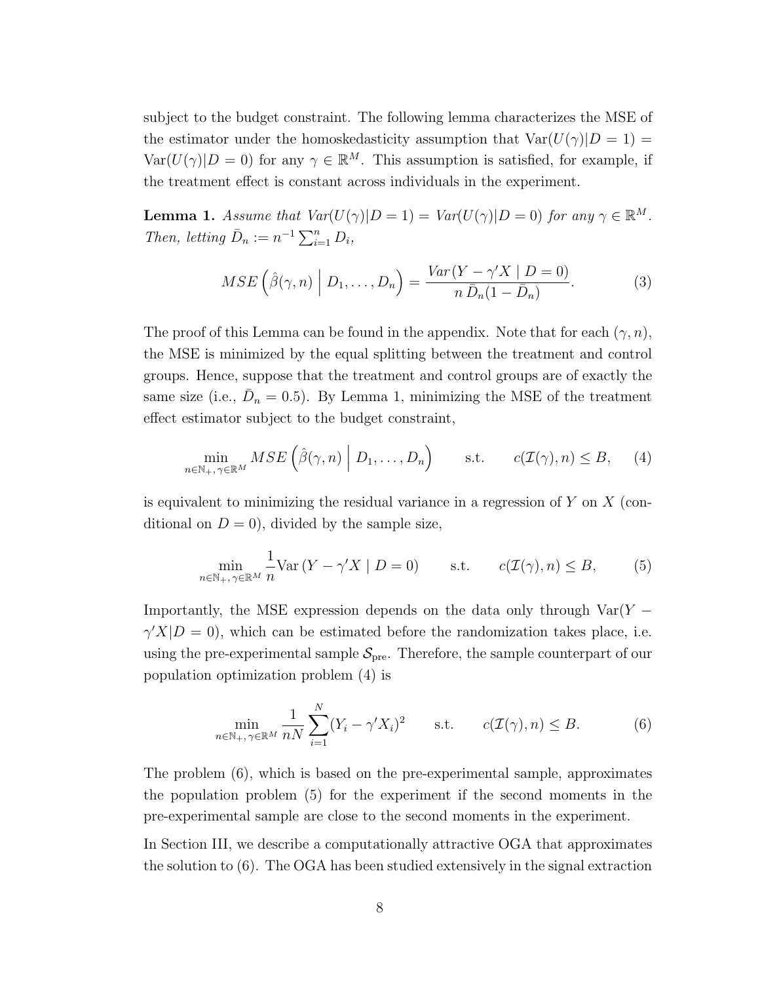subject to the budget constraint. The following lemma characterizes the MSE of the estimator under the homoskedasticity assumption that  $Var(U(\gamma)|D = 1)$  $Var(U(\gamma)|D=0)$  for any  $\gamma \in \mathbb{R}^M$ . This assumption is satisfied, for example, if the treatment effect is constant across individuals in the experiment.

**Lemma 1.** Assume that  $Var(U(\gamma)|D=1) = Var(U(\gamma)|D=0)$  for any  $\gamma \in \mathbb{R}^M$ . *Then, letting*  $\bar{D}_n := n^{-1} \sum_{i=1}^n D_i$ ,

$$
MSE\left(\hat{\beta}(\gamma,n)\middle|D_1,\ldots,D_n\right) = \frac{Var(Y-\gamma'X \mid D=0)}{n\,\bar{D}_n(1-\bar{D}_n)}.\tag{3}
$$

The proof of this Lemma can be found in the appendix. Note that for each  $(\gamma, n)$ , the MSE is minimized by the equal splitting between the treatment and control groups. Hence, suppose that the treatment and control groups are of exactly the same size (i.e.,  $\bar{D}_n = 0.5$ ). By Lemma 1, minimizing the MSE of the treatment effect estimator subject to the budget constraint,

$$
\min_{n \in \mathbb{N}_+, \gamma \in \mathbb{R}^M} MSE\left(\hat{\beta}(\gamma, n) \middle| D_1, \dots, D_n\right) \quad \text{s.t.} \quad c(\mathcal{I}(\gamma), n) \leq B,\tag{4}
$$

is equivalent to minimizing the residual variance in a regression of *Y* on *X* (conditional on  $D = 0$ , divided by the sample size,

$$
\min_{n \in \mathbb{N}_+, \gamma \in \mathbb{R}^M} \frac{1}{n} \text{Var}\left(Y - \gamma' X \mid D = 0\right) \qquad \text{s.t.} \qquad c(\mathcal{I}(\gamma), n) \le B,\tag{5}
$$

Importantly, the MSE expression depends on the data only through  $Var(Y \gamma'X|D=0$ , which can be estimated before the randomization takes place, i.e. using the pre-experimental sample  $S_{\text{pre}}$ . Therefore, the sample counterpart of our population optimization problem (4) is

$$
\min_{n \in \mathbb{N}_+, \gamma \in \mathbb{R}^M} \frac{1}{nN} \sum_{i=1}^N (Y_i - \gamma' X_i)^2 \quad \text{s.t.} \quad c(\mathcal{I}(\gamma), n) \le B. \tag{6}
$$

The problem (6), which is based on the pre-experimental sample, approximates the population problem (5) for the experiment if the second moments in the pre-experimental sample are close to the second moments in the experiment.

In Section III, we describe a computationally attractive OGA that approximates the solution to (6). The OGA has been studied extensively in the signal extraction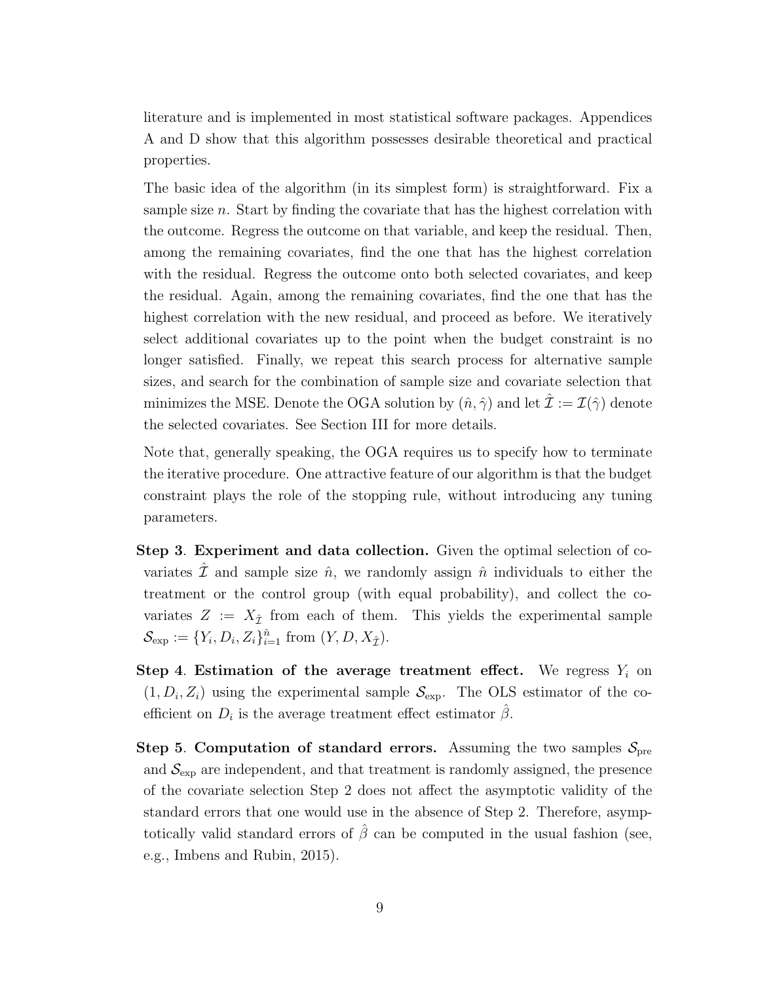literature and is implemented in most statistical software packages. Appendices A and D show that this algorithm possesses desirable theoretical and practical properties.

The basic idea of the algorithm (in its simplest form) is straightforward. Fix a sample size *n*. Start by finding the covariate that has the highest correlation with the outcome. Regress the outcome on that variable, and keep the residual. Then, among the remaining covariates, find the one that has the highest correlation with the residual. Regress the outcome onto both selected covariates, and keep the residual. Again, among the remaining covariates, find the one that has the highest correlation with the new residual, and proceed as before. We iteratively select additional covariates up to the point when the budget constraint is no longer satisfied. Finally, we repeat this search process for alternative sample sizes, and search for the combination of sample size and covariate selection that minimizes the MSE. Denote the OGA solution by  $(\hat{n}, \hat{\gamma})$  and let  $\hat{\mathcal{I}} := \mathcal{I}(\hat{\gamma})$  denote the selected covariates. See Section III for more details.

Note that, generally speaking, the OGA requires us to specify how to terminate the iterative procedure. One attractive feature of our algorithm is that the budget constraint plays the role of the stopping rule, without introducing any tuning parameters.

- Step 3. Experiment and data collection. Given the optimal selection of covariates  $\mathcal{\bar{I}}$  and sample size  $\hat{n}$ , we randomly assign  $\hat{n}$  individuals to either the treatment or the control group (with equal probability), and collect the covariates  $Z := X_{\hat{\tau}}$  from each of them. This yields the experimental sample  $\mathcal{S}_{\exp} := \{Y_i, D_i, Z_i\}_{i=1}^{\hat{n}} \text{ from } (Y, D, X_{\hat{\mathcal{I}}})$ .
- Step 4. Estimation of the average treatment effect. We regress  $Y_i$  on  $(1, D_i, Z_i)$  using the experimental sample  $\mathcal{S}_{\text{exp}}$ . The OLS estimator of the coefficient on  $D_i$  is the average treatment effect estimator  $\beta$ .
- Step 5. Computation of standard errors. Assuming the two samples  $S_{pre}$ and  $S_{\text{exp}}$  are independent, and that treatment is randomly assigned, the presence of the covariate selection Step 2 does not a↵ect the asymptotic validity of the standard errors that one would use in the absence of Step 2. Therefore, asymptotically valid standard errors of  $\hat{\beta}$  can be computed in the usual fashion (see, e.g., Imbens and Rubin, 2015).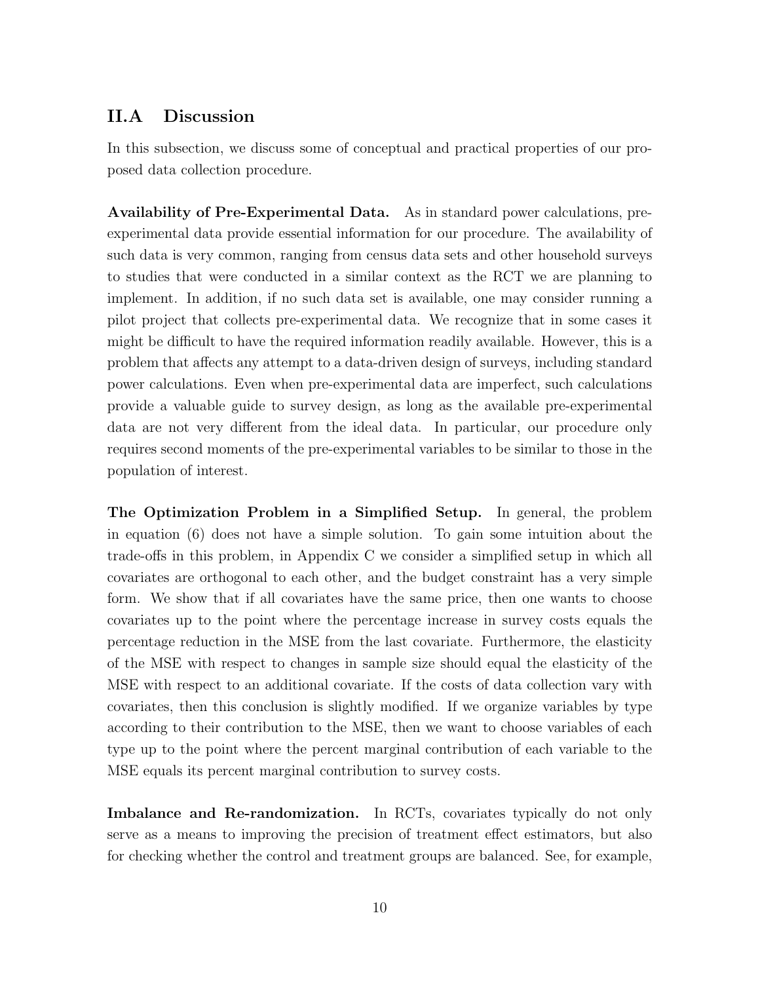#### II.A Discussion

In this subsection, we discuss some of conceptual and practical properties of our proposed data collection procedure.

Availability of Pre-Experimental Data. As in standard power calculations, preexperimental data provide essential information for our procedure. The availability of such data is very common, ranging from census data sets and other household surveys to studies that were conducted in a similar context as the RCT we are planning to implement. In addition, if no such data set is available, one may consider running a pilot project that collects pre-experimental data. We recognize that in some cases it might be difficult to have the required information readily available. However, this is a problem that affects any attempt to a data-driven design of surveys, including standard power calculations. Even when pre-experimental data are imperfect, such calculations provide a valuable guide to survey design, as long as the available pre-experimental data are not very different from the ideal data. In particular, our procedure only requires second moments of the pre-experimental variables to be similar to those in the population of interest.

The Optimization Problem in a Simplified Setup. In general, the problem in equation (6) does not have a simple solution. To gain some intuition about the trade-offs in this problem, in Appendix C we consider a simplified setup in which all covariates are orthogonal to each other, and the budget constraint has a very simple form. We show that if all covariates have the same price, then one wants to choose covariates up to the point where the percentage increase in survey costs equals the percentage reduction in the MSE from the last covariate. Furthermore, the elasticity of the MSE with respect to changes in sample size should equal the elasticity of the MSE with respect to an additional covariate. If the costs of data collection vary with covariates, then this conclusion is slightly modified. If we organize variables by type according to their contribution to the MSE, then we want to choose variables of each type up to the point where the percent marginal contribution of each variable to the MSE equals its percent marginal contribution to survey costs.

Imbalance and Re-randomization. In RCTs, covariates typically do not only serve as a means to improving the precision of treatment effect estimators, but also for checking whether the control and treatment groups are balanced. See, for example,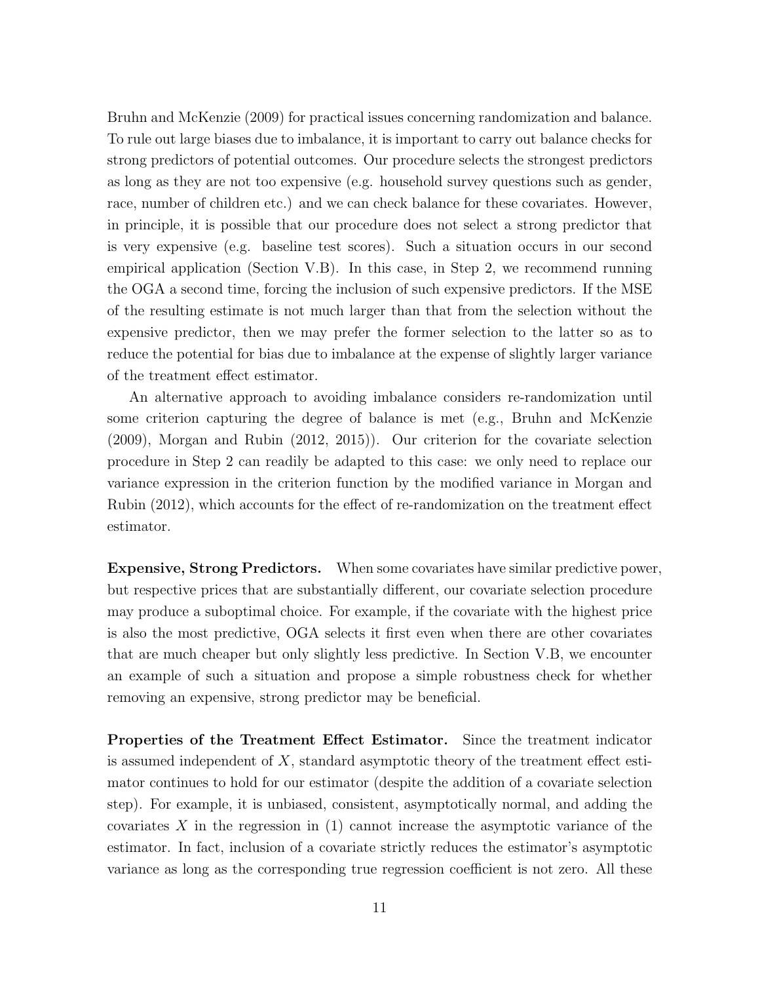Bruhn and McKenzie (2009) for practical issues concerning randomization and balance. To rule out large biases due to imbalance, it is important to carry out balance checks for strong predictors of potential outcomes. Our procedure selects the strongest predictors as long as they are not too expensive (e.g. household survey questions such as gender, race, number of children etc.) and we can check balance for these covariates. However, in principle, it is possible that our procedure does not select a strong predictor that is very expensive (e.g. baseline test scores). Such a situation occurs in our second empirical application (Section V.B). In this case, in Step 2, we recommend running the OGA a second time, forcing the inclusion of such expensive predictors. If the MSE of the resulting estimate is not much larger than that from the selection without the expensive predictor, then we may prefer the former selection to the latter so as to reduce the potential for bias due to imbalance at the expense of slightly larger variance of the treatment effect estimator.

An alternative approach to avoiding imbalance considers re-randomization until some criterion capturing the degree of balance is met (e.g., Bruhn and McKenzie (2009), Morgan and Rubin (2012, 2015)). Our criterion for the covariate selection procedure in Step 2 can readily be adapted to this case: we only need to replace our variance expression in the criterion function by the modified variance in Morgan and Rubin  $(2012)$ , which accounts for the effect of re-randomization on the treatment effect estimator.

Expensive, Strong Predictors. When some covariates have similar predictive power, but respective prices that are substantially different, our covariate selection procedure may produce a suboptimal choice. For example, if the covariate with the highest price is also the most predictive, OGA selects it first even when there are other covariates that are much cheaper but only slightly less predictive. In Section V.B, we encounter an example of such a situation and propose a simple robustness check for whether removing an expensive, strong predictor may be beneficial.

Properties of the Treatment Effect Estimator. Since the treatment indicator is assumed independent of  $X$ , standard asymptotic theory of the treatment effect estimator continues to hold for our estimator (despite the addition of a covariate selection step). For example, it is unbiased, consistent, asymptotically normal, and adding the covariates *X* in the regression in (1) cannot increase the asymptotic variance of the estimator. In fact, inclusion of a covariate strictly reduces the estimator's asymptotic variance as long as the corresponding true regression coefficient is not zero. All these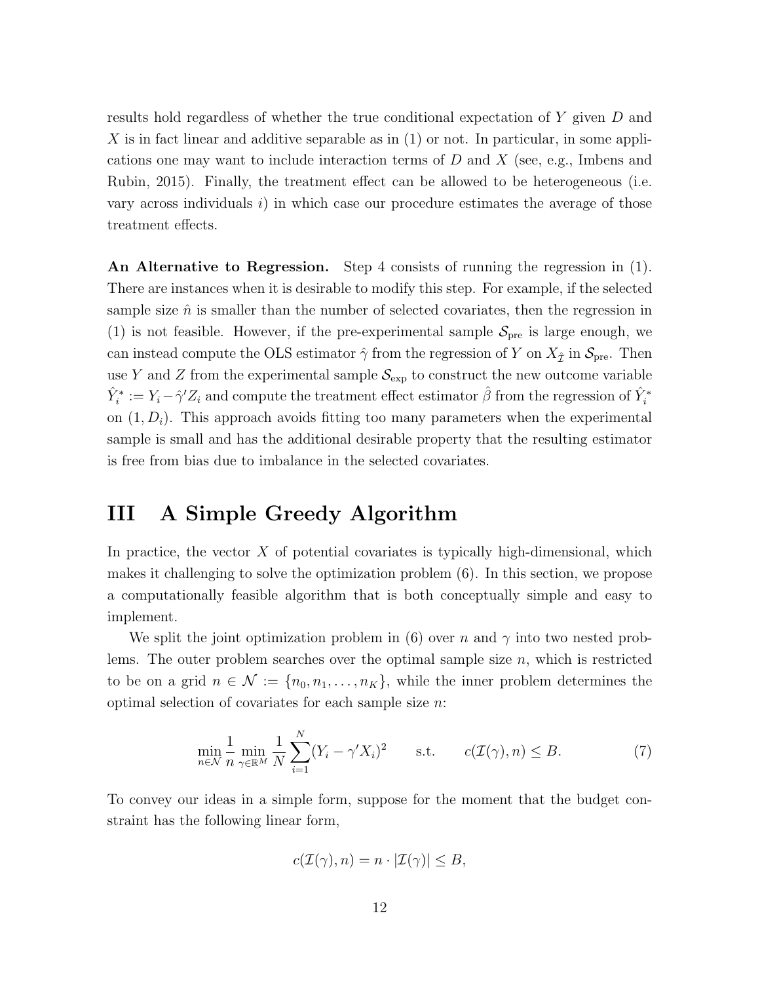results hold regardless of whether the true conditional expectation of *Y* given *D* and *X* is in fact linear and additive separable as in (1) or not. In particular, in some applications one may want to include interaction terms of *D* and *X* (see, e.g., Imbens and Rubin, 2015). Finally, the treatment effect can be allowed to be heterogeneous (i.e. vary across individuals *i*) in which case our procedure estimates the average of those treatment effects.

An Alternative to Regression. Step 4 consists of running the regression in (1). There are instances when it is desirable to modify this step. For example, if the selected sample size  $\hat{n}$  is smaller than the number of selected covariates, then the regression in (1) is not feasible. However, if the pre-experimental sample  $S_{pre}$  is large enough, we can instead compute the OLS estimator  $\hat{\gamma}$  from the regression of *Y* on  $X_{\hat{\tau}}$  in  $\mathcal{S}_{pre}$ . Then use *Y* and *Z* from the experimental sample  $S_{\text{exp}}$  to construct the new outcome variable  $\hat{Y}_i^* := Y_i - \hat{\gamma}' Z_i$  and compute the treatment effect estimator  $\hat{\beta}$  from the regression of  $\hat{Y}_i^*$ on  $(1, D_i)$ . This approach avoids fitting too many parameters when the experimental sample is small and has the additional desirable property that the resulting estimator is free from bias due to imbalance in the selected covariates.

## III A Simple Greedy Algorithm

In practice, the vector  $X$  of potential covariates is typically high-dimensional, which makes it challenging to solve the optimization problem (6). In this section, we propose a computationally feasible algorithm that is both conceptually simple and easy to implement.

We split the joint optimization problem in  $(6)$  over *n* and  $\gamma$  into two nested problems. The outer problem searches over the optimal sample size *n*, which is restricted to be on a grid  $n \in \mathcal{N} := \{n_0, n_1, \ldots, n_K\}$ , while the inner problem determines the optimal selection of covariates for each sample size *n*:

$$
\min_{n \in \mathcal{N}} \frac{1}{n} \min_{\gamma \in \mathbb{R}^M} \frac{1}{N} \sum_{i=1}^N (Y_i - \gamma' X_i)^2 \qquad \text{s.t.} \qquad c(\mathcal{I}(\gamma), n) \le B. \tag{7}
$$

To convey our ideas in a simple form, suppose for the moment that the budget constraint has the following linear form,

$$
c(\mathcal{I}(\gamma), n) = n \cdot |\mathcal{I}(\gamma)| \leq B,
$$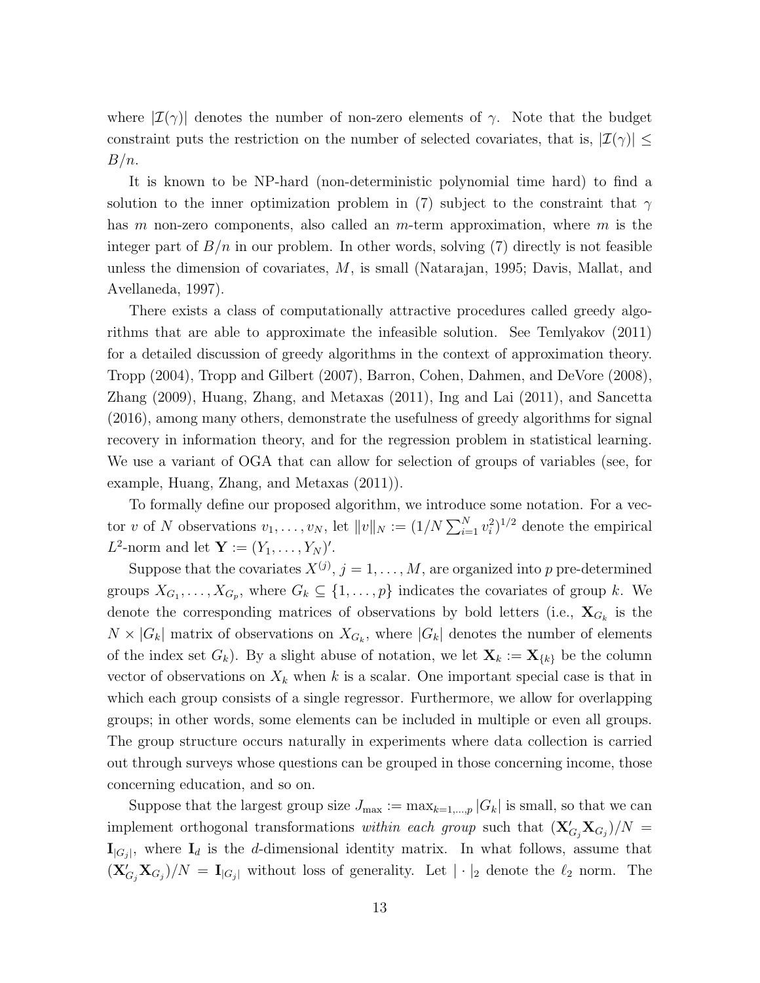where  $|\mathcal{I}(\gamma)|$  denotes the number of non-zero elements of  $\gamma$ . Note that the budget constraint puts the restriction on the number of selected covariates, that is,  $|\mathcal{I}(\gamma)|$  < *B/n*.

It is known to be NP-hard (non-deterministic polynomial time hard) to find a solution to the inner optimization problem in (7) subject to the constraint that  $\gamma$ has *m* non-zero components, also called an *m*-term approximation, where *m* is the integer part of  $B/n$  in our problem. In other words, solving  $(7)$  directly is not feasible unless the dimension of covariates, *M*, is small (Natarajan, 1995; Davis, Mallat, and Avellaneda, 1997).

There exists a class of computationally attractive procedures called greedy algorithms that are able to approximate the infeasible solution. See Temlyakov (2011) for a detailed discussion of greedy algorithms in the context of approximation theory. Tropp (2004), Tropp and Gilbert (2007), Barron, Cohen, Dahmen, and DeVore (2008), Zhang (2009), Huang, Zhang, and Metaxas (2011), Ing and Lai (2011), and Sancetta (2016), among many others, demonstrate the usefulness of greedy algorithms for signal recovery in information theory, and for the regression problem in statistical learning. We use a variant of OGA that can allow for selection of groups of variables (see, for example, Huang, Zhang, and Metaxas (2011)).

To formally define our proposed algorithm, we introduce some notation. For a vector *v* of *N* observations  $v_1, \ldots, v_N$ , let  $||v||_N := (1/N \sum_{i=1}^N v_i^2)^{1/2}$  denote the empirical *L*<sup>2</sup>-norm and let  $Y := (Y_1, ..., Y_N)'$ .

Suppose that the covariates  $X^{(j)}$ ,  $j = 1, \ldots, M$ , are organized into *p* pre-determined groups  $X_{G_1}, \ldots, X_{G_p}$ , where  $G_k \subseteq \{1, \ldots, p\}$  indicates the covariates of group *k*. We denote the corresponding matrices of observations by bold letters (i.e.,  $X_{G_k}$  is the  $N \times |G_k|$  matrix of observations on  $X_{G_k}$ , where  $|G_k|$  denotes the number of elements of the index set  $G_k$ ). By a slight abuse of notation, we let  $\mathbf{X}_k := \mathbf{X}_{\{k\}}$  be the column vector of observations on  $X_k$  when  $k$  is a scalar. One important special case is that in which each group consists of a single regressor. Furthermore, we allow for overlapping groups; in other words, some elements can be included in multiple or even all groups. The group structure occurs naturally in experiments where data collection is carried out through surveys whose questions can be grouped in those concerning income, those concerning education, and so on.

Suppose that the largest group size  $J_{\text{max}} := \max_{k=1,\dots,p} |G_k|$  is small, so that we can implement orthogonal transformations *within each group* such that  $(X'_{G_j}X_{G_j})/N =$  $\mathbf{I}_{|G_j|}$ , where  $\mathbf{I}_d$  is the *d*-dimensional identity matrix. In what follows, assume that  $(\mathbf{X}'_{G_j} \mathbf{X}_{G_j})/N = \mathbf{I}_{|G_j|}$  without loss of generality. Let  $|\cdot|_2$  denote the  $\ell_2$  norm. The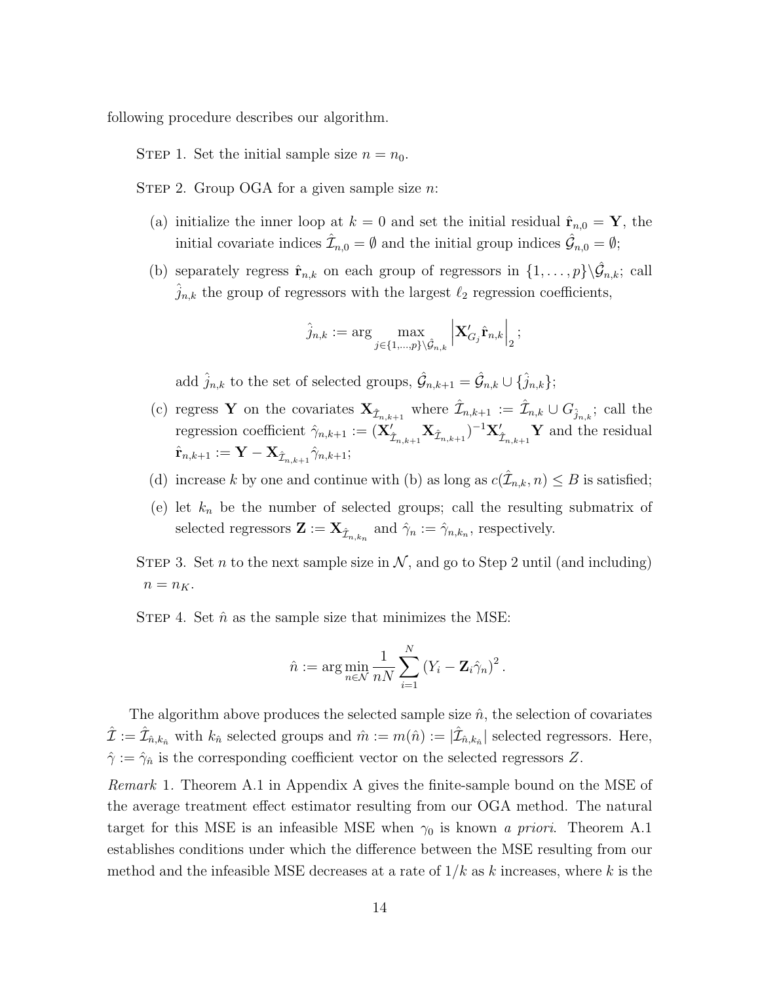following procedure describes our algorithm.

STEP 1. Set the initial sample size  $n = n_0$ .

STEP 2. Group OGA for a given sample size *n*:

- (a) initialize the inner loop at  $k = 0$  and set the initial residual  $\hat{\mathbf{r}}_{n,0} = \mathbf{Y}$ , the initial covariate indices  $\hat{\mathcal{I}}_{n,0} = \emptyset$  and the initial group indices  $\hat{\mathcal{G}}_{n,0} = \emptyset$ ;
- (b) separately regress  $\hat{\mathbf{r}}_{n,k}$  on each group of regressors in  $\{1,\ldots,p\}\backslash\hat{\mathcal{G}}_{n,k}$ ; call  $\hat{j}_{n,k}$  the group of regressors with the largest  $\ell_2$  regression coefficients,

$$
\hat{j}_{n,k} := \arg\max_{j\in\{1,\ldots,p\}\backslash \hat{\mathcal{G}}_{n,k}} \left|\mathbf{X}_{G_j}'\hat{\mathbf{r}}_{n,k}\right|_2;
$$

add  $\hat{j}_{n,k}$  to the set of selected groups,  $\hat{\mathcal{G}}_{n,k+1} = \hat{\mathcal{G}}_{n,k} \cup \{\hat{j}_{n,k}\};$ 

- (c) regress Y on the covariates  $\mathbf{X}_{\hat{\mathcal{I}}_{n,k+1}}$  where  $\hat{\mathcal{I}}_{n,k+1} := \hat{\mathcal{I}}_{n,k} \cup G_{\hat{j}_{n,k}}$ ; call the regression coefficient  $\hat{\gamma}_{n,k+1} := (\mathbf{X}'_{\hat{\mathcal{I}}_{n,k+1}} \mathbf{X}_{\hat{\mathcal{I}}_{n,k+1}})^{-1} \mathbf{X}'_{\hat{\mathcal{I}}_{n,k+1}} \mathbf{Y}$  and the residual  $\hat{\mathbf{r}}_{n,k+1} := \mathbf{Y} - \mathbf{X}_{\hat{\mathcal{I}}_{n,k+1}} \hat{\gamma}_{n,k+1};$
- (d) increase *k* by one and continue with (b) as long as  $c(\hat{\mathcal{I}}_{n,k}, n) \leq B$  is satisfied;
- (e) let *k<sup>n</sup>* be the number of selected groups; call the resulting submatrix of selected regressors  $\mathbf{Z} := \mathbf{X}_{\hat{\mathcal{I}}_{n,k_n}}$  and  $\hat{\gamma}_n := \hat{\gamma}_{n,k_n}$ , respectively.
- STEP 3. Set *n* to the next sample size in  $N$ , and go to Step 2 until (and including)  $n = n_K$ .

STEP 4. Set  $\hat{n}$  as the sample size that minimizes the MSE:

$$
\hat{n} := \arg\min_{n \in \mathcal{N}} \frac{1}{nN} \sum_{i=1}^N (Y_i - \mathbf{Z}_i \hat{\gamma}_n)^2.
$$

The algorithm above produces the selected sample size  $\hat{n}$ , the selection of covariates  $\mathcal{I} := \mathcal{I}_{\hat{n},k_{\hat{n}}}$  with  $k_{\hat{n}}$  selected groups and  $\hat{m} := m(\hat{n}) := |\mathcal{I}_{\hat{n},k_{\hat{n}}}|$  selected regressors. Here,  $\hat{\gamma} := \hat{\gamma}_n$  is the corresponding coefficient vector on the selected regressors Z.

*Remark* 1*.* Theorem A.1 in Appendix A gives the finite-sample bound on the MSE of the average treatment effect estimator resulting from our OGA method. The natural target for this MSE is an infeasible MSE when  $\gamma_0$  is known *a priori*. Theorem A.1 establishes conditions under which the difference between the MSE resulting from our method and the infeasible MSE decreases at a rate of 1*/k* as *k* increases, where *k* is the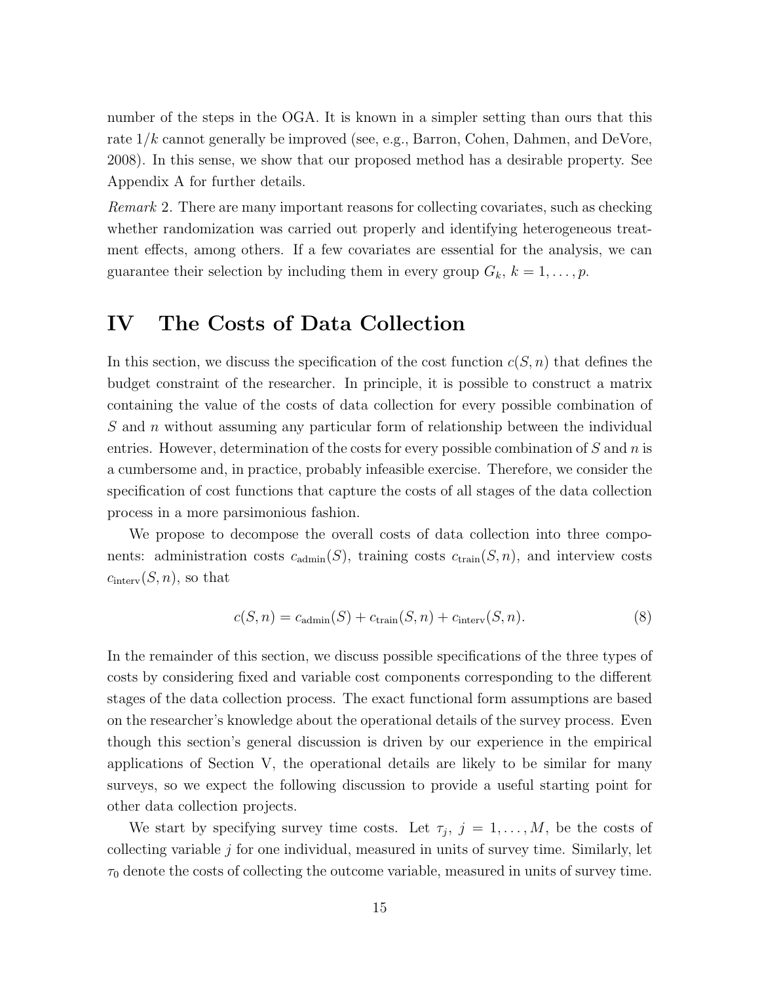number of the steps in the OGA. It is known in a simpler setting than ours that this rate 1*/k* cannot generally be improved (see, e.g., Barron, Cohen, Dahmen, and DeVore, 2008). In this sense, we show that our proposed method has a desirable property. See Appendix A for further details.

*Remark* 2*.* There are many important reasons for collecting covariates, such as checking whether randomization was carried out properly and identifying heterogeneous treatment effects, among others. If a few covariates are essential for the analysis, we can guarantee their selection by including them in every group  $G_k$ ,  $k = 1, \ldots, p$ .

## IV The Costs of Data Collection

In this section, we discuss the specification of the cost function  $c(S, n)$  that defines the budget constraint of the researcher. In principle, it is possible to construct a matrix containing the value of the costs of data collection for every possible combination of *S* and *n* without assuming any particular form of relationship between the individual entries. However, determination of the costs for every possible combination of *S* and *n* is a cumbersome and, in practice, probably infeasible exercise. Therefore, we consider the specification of cost functions that capture the costs of all stages of the data collection process in a more parsimonious fashion.

We propose to decompose the overall costs of data collection into three components: administration costs  $c_{\text{admin}}(S)$ , training costs  $c_{\text{train}}(S, n)$ , and interview costs  $c_{\text{interv}}(S, n)$ , so that

$$
c(S, n) = c_{\text{admin}}(S) + c_{\text{train}}(S, n) + c_{\text{interv}}(S, n). \tag{8}
$$

In the remainder of this section, we discuss possible specifications of the three types of costs by considering fixed and variable cost components corresponding to the different stages of the data collection process. The exact functional form assumptions are based on the researcher's knowledge about the operational details of the survey process. Even though this section's general discussion is driven by our experience in the empirical applications of Section V, the operational details are likely to be similar for many surveys, so we expect the following discussion to provide a useful starting point for other data collection projects.

We start by specifying survey time costs. Let  $\tau_j$ ,  $j = 1, \ldots, M$ , be the costs of collecting variable *j* for one individual, measured in units of survey time. Similarly, let  $\tau_0$  denote the costs of collecting the outcome variable, measured in units of survey time.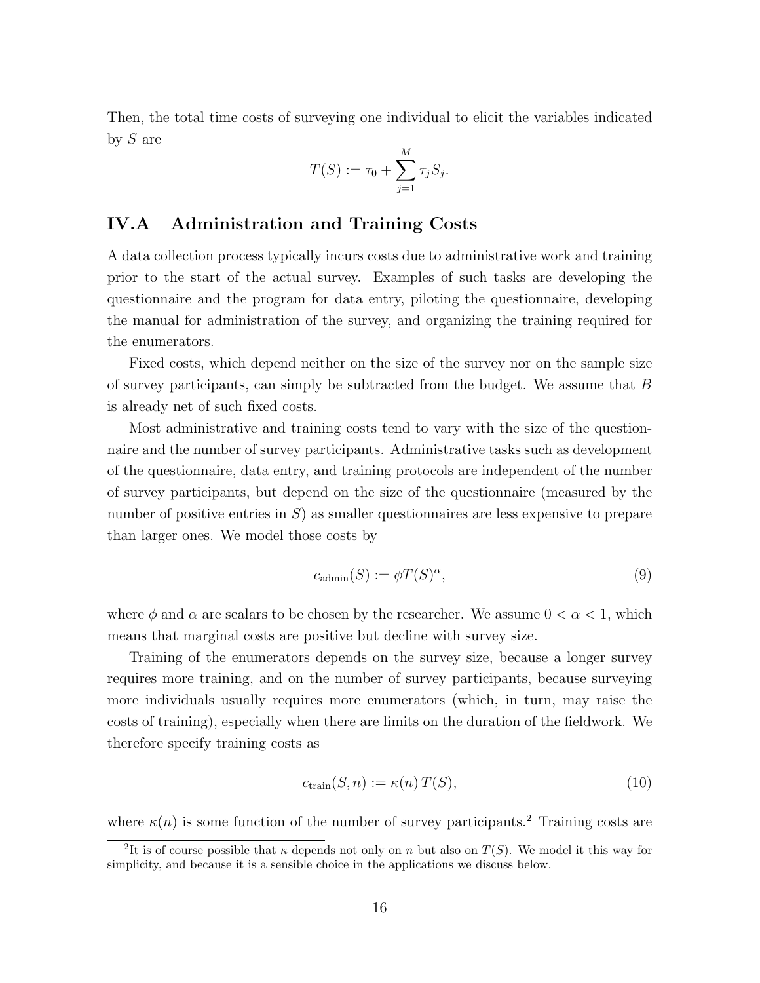Then, the total time costs of surveying one individual to elicit the variables indicated by *S* are

$$
T(S) := \tau_0 + \sum_{j=1}^{M} \tau_j S_j.
$$

#### IV.A Administration and Training Costs

A data collection process typically incurs costs due to administrative work and training prior to the start of the actual survey. Examples of such tasks are developing the questionnaire and the program for data entry, piloting the questionnaire, developing the manual for administration of the survey, and organizing the training required for the enumerators.

Fixed costs, which depend neither on the size of the survey nor on the sample size of survey participants, can simply be subtracted from the budget. We assume that *B* is already net of such fixed costs.

Most administrative and training costs tend to vary with the size of the questionnaire and the number of survey participants. Administrative tasks such as development of the questionnaire, data entry, and training protocols are independent of the number of survey participants, but depend on the size of the questionnaire (measured by the number of positive entries in *S*) as smaller questionnaires are less expensive to prepare than larger ones. We model those costs by

$$
c_{\text{admin}}(S) := \phi T(S)^{\alpha},\tag{9}
$$

where  $\phi$  and  $\alpha$  are scalars to be chosen by the researcher. We assume  $0 < \alpha < 1$ , which means that marginal costs are positive but decline with survey size.

Training of the enumerators depends on the survey size, because a longer survey requires more training, and on the number of survey participants, because surveying more individuals usually requires more enumerators (which, in turn, may raise the costs of training), especially when there are limits on the duration of the fieldwork. We therefore specify training costs as

$$
c_{\text{train}}(S, n) := \kappa(n) \, T(S),\tag{10}
$$

where  $\kappa(n)$  is some function of the number of survey participants.<sup>2</sup> Training costs are

<sup>&</sup>lt;sup>2</sup>It is of course possible that  $\kappa$  depends not only on *n* but also on  $T(S)$ . We model it this way for simplicity, and because it is a sensible choice in the applications we discuss below.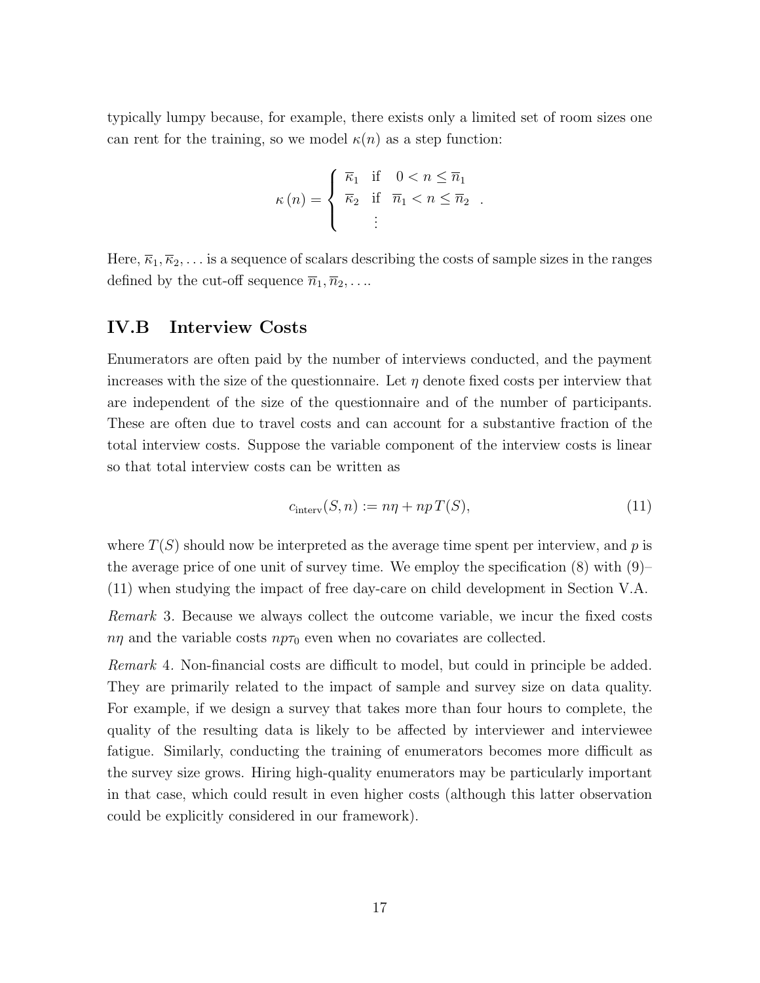typically lumpy because, for example, there exists only a limited set of room sizes one can rent for the training, so we model  $\kappa(n)$  as a step function:

$$
\kappa(n) = \begin{cases} \overline{\kappa}_1 & \text{if } 0 < n \le \overline{n}_1 \\ \overline{\kappa}_2 & \text{if } \overline{n}_1 < n \le \overline{n}_2 \\ \vdots & \end{cases}
$$

Here,  $\overline{\kappa}_1, \overline{\kappa}_2, \ldots$  is a sequence of scalars describing the costs of sample sizes in the ranges defined by the cut-off sequence  $\overline{n}_1, \overline{n}_2, \ldots$ 

#### IV.B Interview Costs

Enumerators are often paid by the number of interviews conducted, and the payment increases with the size of the questionnaire. Let  $\eta$  denote fixed costs per interview that are independent of the size of the questionnaire and of the number of participants. These are often due to travel costs and can account for a substantive fraction of the total interview costs. Suppose the variable component of the interview costs is linear so that total interview costs can be written as

$$
c_{\text{interv}}(S, n) := n\eta + np\,T(S),\tag{11}
$$

where  $T(S)$  should now be interpreted as the average time spent per interview, and  $p$  is the average price of one unit of survey time. We employ the specification  $(8)$  with  $(9)$ – (11) when studying the impact of free day-care on child development in Section V.A.

*Remark* 3*.* Because we always collect the outcome variable, we incur the fixed costs  $n\eta$  and the variable costs  $np\tau_0$  even when no covariates are collected.

*Remark* 4. Non-financial costs are difficult to model, but could in principle be added. They are primarily related to the impact of sample and survey size on data quality. For example, if we design a survey that takes more than four hours to complete, the quality of the resulting data is likely to be affected by interviewer and interviewee fatigue. Similarly, conducting the training of enumerators becomes more difficult as the survey size grows. Hiring high-quality enumerators may be particularly important in that case, which could result in even higher costs (although this latter observation could be explicitly considered in our framework).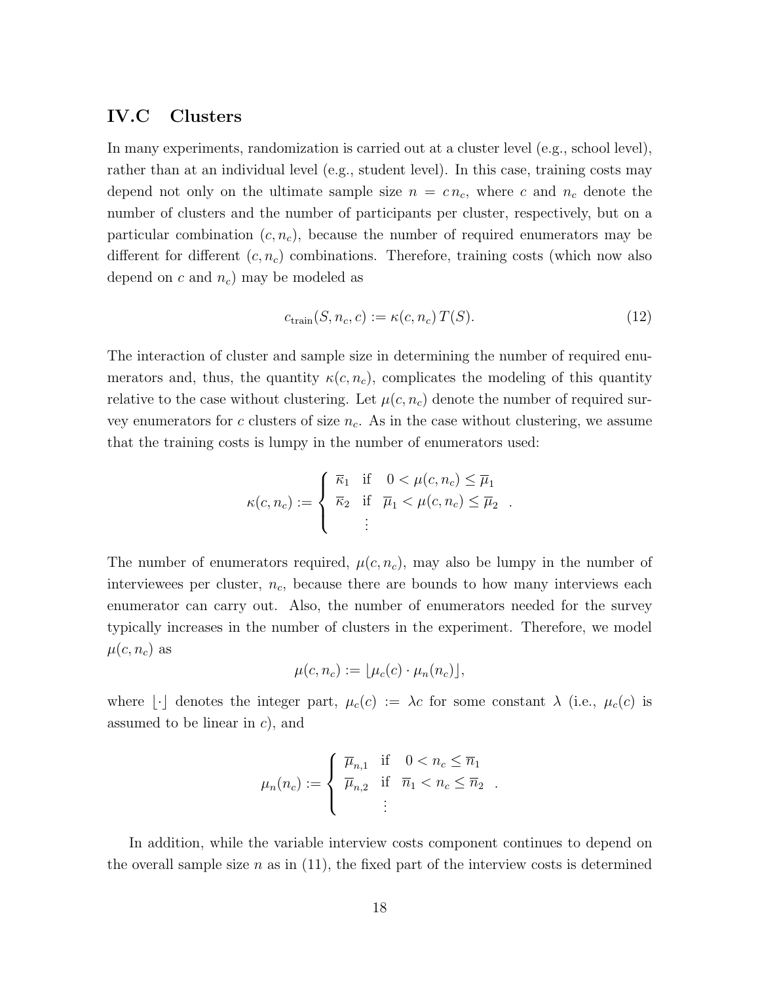#### IV.C Clusters

In many experiments, randomization is carried out at a cluster level (e.g., school level), rather than at an individual level (e.g., student level). In this case, training costs may depend not only on the ultimate sample size  $n = cn_c$ , where *c* and  $n_c$  denote the number of clusters and the number of participants per cluster, respectively, but on a particular combination  $(c, n_c)$ , because the number of required enumerators may be different for different  $(c, n_c)$  combinations. Therefore, training costs (which now also depend on *c* and *nc*) may be modeled as

$$
c_{\text{train}}(S, n_c, c) := \kappa(c, n_c) T(S). \tag{12}
$$

The interaction of cluster and sample size in determining the number of required enumerators and, thus, the quantity  $\kappa(c, n_c)$ , complicates the modeling of this quantity relative to the case without clustering. Let  $\mu(c, n_c)$  denote the number of required survey enumerators for *c* clusters of size *nc*. As in the case without clustering, we assume that the training costs is lumpy in the number of enumerators used:

$$
\kappa(c, n_c) := \begin{cases} \overline{\kappa}_1 & \text{if } 0 < \mu(c, n_c) \le \overline{\mu}_1 \\ \overline{\kappa}_2 & \text{if } \overline{\mu}_1 < \mu(c, n_c) \le \overline{\mu}_2 \\ \vdots & \end{cases}
$$

The number of enumerators required,  $\mu(c, n_c)$ , may also be lumpy in the number of interviewees per cluster, *nc*, because there are bounds to how many interviews each enumerator can carry out. Also, the number of enumerators needed for the survey typically increases in the number of clusters in the experiment. Therefore, we model  $\mu(c, n_c)$  as

$$
\mu(c, n_c) := \lfloor \mu_c(c) \cdot \mu_n(n_c) \rfloor,
$$

where  $\lfloor \cdot \rfloor$  denotes the integer part,  $\mu_c(c) := \lambda c$  for some constant  $\lambda$  (i.e.,  $\mu_c(c)$  is assumed to be linear in *c*), and

$$
\mu_n(n_c) := \begin{cases} \overline{\mu}_{n,1} & \text{if } 0 < n_c \leq \overline{n}_1 \\ \overline{\mu}_{n,2} & \text{if } \overline{n}_1 < n_c \leq \overline{n}_2 \\ \vdots & \end{cases}
$$

In addition, while the variable interview costs component continues to depend on the overall sample size  $n$  as in  $(11)$ , the fixed part of the interview costs is determined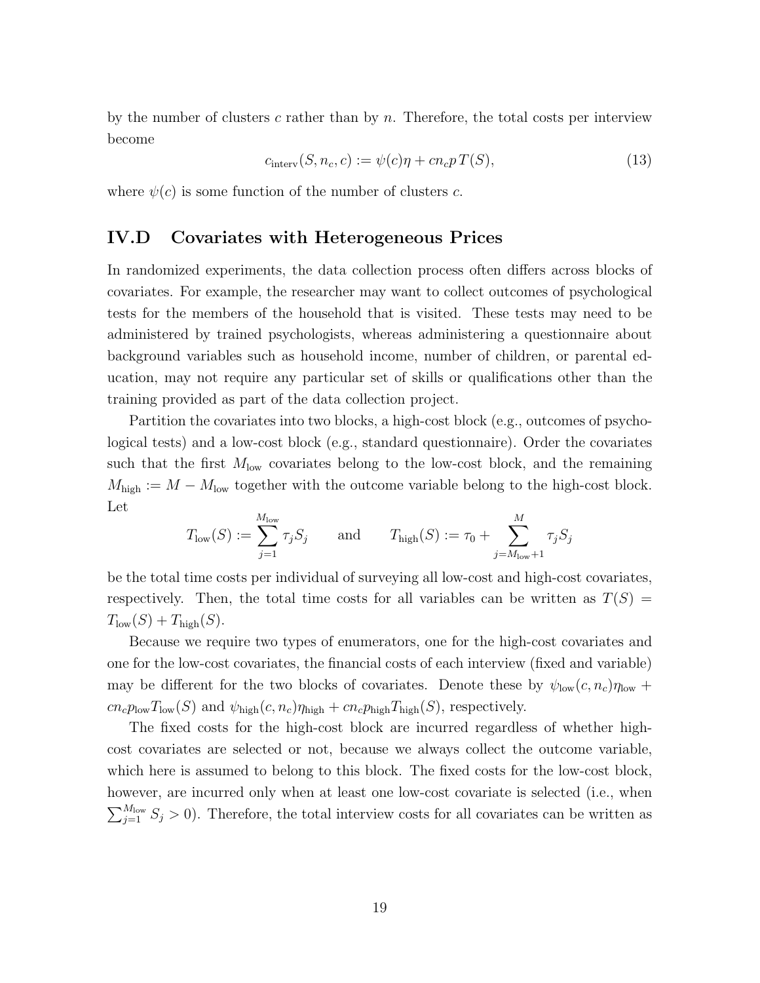by the number of clusters *c* rather than by *n*. Therefore, the total costs per interview become

$$
c_{\text{interv}}(S, n_c, c) := \psi(c)\eta + cn_c p T(S), \qquad (13)
$$

where  $\psi(c)$  is some function of the number of clusters *c*.

#### IV.D Covariates with Heterogeneous Prices

In randomized experiments, the data collection process often differs across blocks of covariates. For example, the researcher may want to collect outcomes of psychological tests for the members of the household that is visited. These tests may need to be administered by trained psychologists, whereas administering a questionnaire about background variables such as household income, number of children, or parental education, may not require any particular set of skills or qualifications other than the training provided as part of the data collection project.

Partition the covariates into two blocks, a high-cost block (e.g., outcomes of psychological tests) and a low-cost block (e.g., standard questionnaire). Order the covariates such that the first  $M_{\text{low}}$  covariates belong to the low-cost block, and the remaining  $M_{\text{high}} := M - M_{\text{low}}$  together with the outcome variable belong to the high-cost block. Let

$$
T_{\text{low}}(S) := \sum_{j=1}^{M_{\text{low}}} \tau_j S_j \quad \text{and} \quad T_{\text{high}}(S) := \tau_0 + \sum_{j=M_{\text{low}}+1}^{M} \tau_j S_j
$$

be the total time costs per individual of surveying all low-cost and high-cost covariates, respectively. Then, the total time costs for all variables can be written as  $T(S)$  =  $T_{\text{low}}(S) + T_{\text{high}}(S)$ .

Because we require two types of enumerators, one for the high-cost covariates and one for the low-cost covariates, the financial costs of each interview (fixed and variable) may be different for the two blocks of covariates. Denote these by  $\psi_{\text{low}}(c, n_c)\eta_{\text{low}} +$  $cn_c p_{\text{low}} T_{\text{low}}(S)$  and  $\psi_{\text{high}}(c, n_c) \eta_{\text{high}} + cn_c p_{\text{high}} T_{\text{high}}(S)$ , respectively.

The fixed costs for the high-cost block are incurred regardless of whether highcost covariates are selected or not, because we always collect the outcome variable, which here is assumed to belong to this block. The fixed costs for the low-cost block, however, are incurred only when at least one low-cost covariate is selected (i.e., when  $\sum_{j=1}^{M_{\text{low}}} S_j > 0$ . Therefore, the total interview costs for all covariates can be written as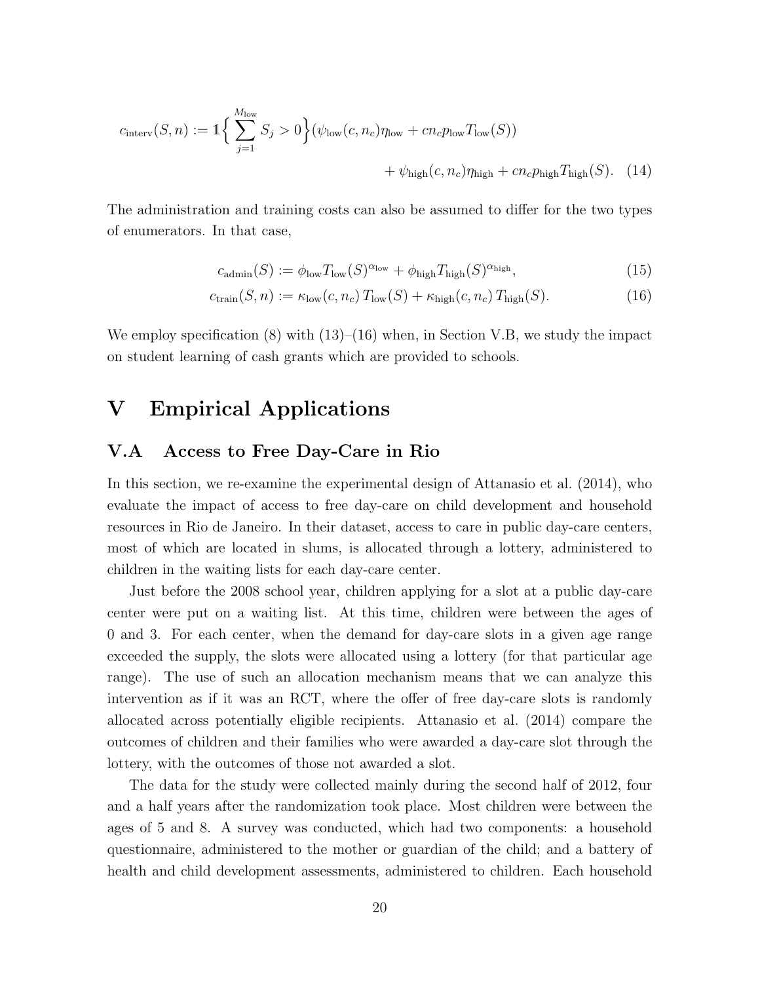$$
c_{\text{interv}}(S, n) := \mathbb{1}\left\{\sum_{j=1}^{M_{\text{low}}} S_j > 0\right\} (\psi_{\text{low}}(c, n_c)\eta_{\text{low}} + cn_c p_{\text{low}} T_{\text{low}}(S)) + \psi_{\text{high}}(c, n_c)\eta_{\text{high}} + cn_c p_{\text{high}} T_{\text{high}}(S). \tag{14}
$$

The administration and training costs can also be assumed to differ for the two types of enumerators. In that case,

$$
c_{\text{admin}}(S) := \phi_{\text{low}} T_{\text{low}}(S)^{\alpha_{\text{low}}} + \phi_{\text{high}} T_{\text{high}}(S)^{\alpha_{\text{high}}},\tag{15}
$$

$$
c_{\text{train}}(S, n) := \kappa_{\text{low}}(c, n_c) T_{\text{low}}(S) + \kappa_{\text{high}}(c, n_c) T_{\text{high}}(S). \tag{16}
$$

We employ specification  $(8)$  with  $(13)$ – $(16)$  when, in Section V.B, we study the impact on student learning of cash grants which are provided to schools.

## V Empirical Applications

#### V.A Access to Free Day-Care in Rio

In this section, we re-examine the experimental design of Attanasio et al. (2014), who evaluate the impact of access to free day-care on child development and household resources in Rio de Janeiro. In their dataset, access to care in public day-care centers, most of which are located in slums, is allocated through a lottery, administered to children in the waiting lists for each day-care center.

Just before the 2008 school year, children applying for a slot at a public day-care center were put on a waiting list. At this time, children were between the ages of 0 and 3. For each center, when the demand for day-care slots in a given age range exceeded the supply, the slots were allocated using a lottery (for that particular age range). The use of such an allocation mechanism means that we can analyze this intervention as if it was an RCT, where the offer of free day-care slots is randomly allocated across potentially eligible recipients. Attanasio et al. (2014) compare the outcomes of children and their families who were awarded a day-care slot through the lottery, with the outcomes of those not awarded a slot.

The data for the study were collected mainly during the second half of 2012, four and a half years after the randomization took place. Most children were between the ages of 5 and 8. A survey was conducted, which had two components: a household questionnaire, administered to the mother or guardian of the child; and a battery of health and child development assessments, administered to children. Each household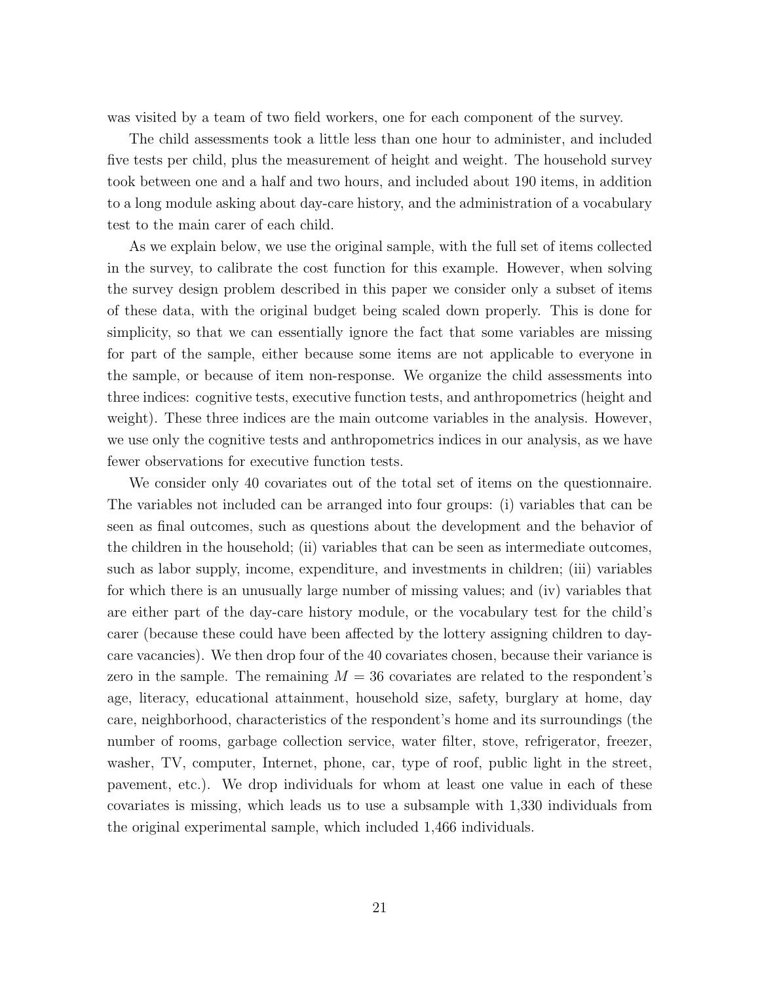was visited by a team of two field workers, one for each component of the survey.

The child assessments took a little less than one hour to administer, and included five tests per child, plus the measurement of height and weight. The household survey took between one and a half and two hours, and included about 190 items, in addition to a long module asking about day-care history, and the administration of a vocabulary test to the main carer of each child.

As we explain below, we use the original sample, with the full set of items collected in the survey, to calibrate the cost function for this example. However, when solving the survey design problem described in this paper we consider only a subset of items of these data, with the original budget being scaled down properly. This is done for simplicity, so that we can essentially ignore the fact that some variables are missing for part of the sample, either because some items are not applicable to everyone in the sample, or because of item non-response. We organize the child assessments into three indices: cognitive tests, executive function tests, and anthropometrics (height and weight). These three indices are the main outcome variables in the analysis. However, we use only the cognitive tests and anthropometrics indices in our analysis, as we have fewer observations for executive function tests.

We consider only 40 covariates out of the total set of items on the questionnaire. The variables not included can be arranged into four groups: (i) variables that can be seen as final outcomes, such as questions about the development and the behavior of the children in the household; (ii) variables that can be seen as intermediate outcomes, such as labor supply, income, expenditure, and investments in children; (iii) variables for which there is an unusually large number of missing values; and (iv) variables that are either part of the day-care history module, or the vocabulary test for the child's carer (because these could have been affected by the lottery assigning children to daycare vacancies). We then drop four of the 40 covariates chosen, because their variance is zero in the sample. The remaining  $M = 36$  covariates are related to the respondent's age, literacy, educational attainment, household size, safety, burglary at home, day care, neighborhood, characteristics of the respondent's home and its surroundings (the number of rooms, garbage collection service, water filter, stove, refrigerator, freezer, washer, TV, computer, Internet, phone, car, type of roof, public light in the street, pavement, etc.). We drop individuals for whom at least one value in each of these covariates is missing, which leads us to use a subsample with 1,330 individuals from the original experimental sample, which included 1,466 individuals.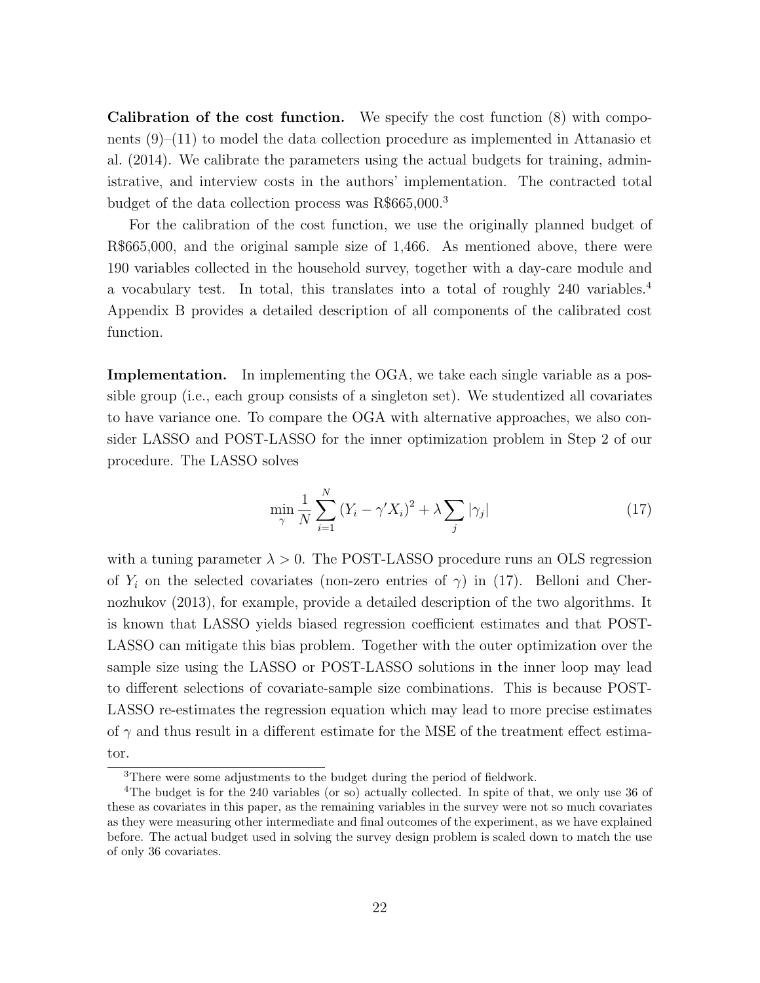Calibration of the cost function. We specify the cost function (8) with components  $(9)-(11)$  to model the data collection procedure as implemented in Attanasio et al. (2014). We calibrate the parameters using the actual budgets for training, administrative, and interview costs in the authors' implementation. The contracted total budget of the data collection process was R\$665,000.<sup>3</sup>

For the calibration of the cost function, we use the originally planned budget of R\$665,000, and the original sample size of 1,466. As mentioned above, there were 190 variables collected in the household survey, together with a day-care module and a vocabulary test. In total, this translates into a total of roughly 240 variables.<sup>4</sup> Appendix B provides a detailed description of all components of the calibrated cost function.

Implementation. In implementing the OGA, we take each single variable as a possible group (i.e., each group consists of a singleton set). We studentized all covariates to have variance one. To compare the OGA with alternative approaches, we also consider LASSO and POST-LASSO for the inner optimization problem in Step 2 of our procedure. The LASSO solves

$$
\min_{\gamma} \frac{1}{N} \sum_{i=1}^{N} \left( Y_i - \gamma' X_i \right)^2 + \lambda \sum_{j} |\gamma_j| \tag{17}
$$

with a tuning parameter  $\lambda > 0$ . The POST-LASSO procedure runs an OLS regression of  $Y_i$  on the selected covariates (non-zero entries of  $\gamma$ ) in (17). Belloni and Chernozhukov (2013), for example, provide a detailed description of the two algorithms. It is known that LASSO yields biased regression coefficient estimates and that POST-LASSO can mitigate this bias problem. Together with the outer optimization over the sample size using the LASSO or POST-LASSO solutions in the inner loop may lead to different selections of covariate-sample size combinations. This is because POST-LASSO re-estimates the regression equation which may lead to more precise estimates of  $\gamma$  and thus result in a different estimate for the MSE of the treatment effect estimator.

<sup>3</sup>There were some adjustments to the budget during the period of fieldwork.

<sup>4</sup>The budget is for the 240 variables (or so) actually collected. In spite of that, we only use 36 of these as covariates in this paper, as the remaining variables in the survey were not so much covariates as they were measuring other intermediate and final outcomes of the experiment, as we have explained before. The actual budget used in solving the survey design problem is scaled down to match the use of only 36 covariates.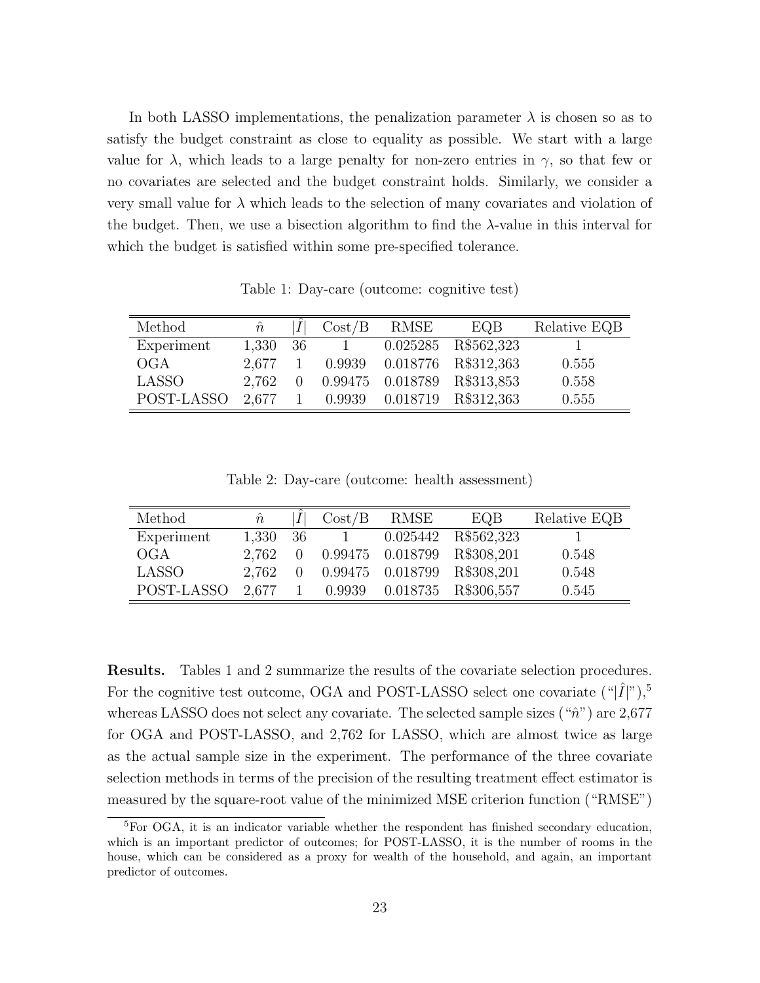In both LASSO implementations, the penalization parameter  $\lambda$  is chosen so as to satisfy the budget constraint as close to equality as possible. We start with a large value for  $\lambda$ , which leads to a large penalty for non-zero entries in  $\gamma$ , so that few or no covariates are selected and the budget constraint holds. Similarly, we consider a very small value for  $\lambda$  which leads to the selection of many covariates and violation of the budget. Then, we use a bisection algorithm to find the  $\lambda$ -value in this interval for which the budget is satisfied within some pre-specified tolerance.

Table 1: Day-care (outcome: cognitive test)

| Method       | $\hat{n}$       |     | Cost/B | RMSE | EQB                         | Relative EQB |
|--------------|-----------------|-----|--------|------|-----------------------------|--------------|
| Experiment   | 1,330           | -36 |        |      | 0.025285 R\$562,323         |              |
| OGA          | 2.677           |     | 0.9939 |      | 0.018776 R\$312,363         | 0.555        |
| <b>LASSO</b> | 2.762           | 0   |        |      | 0.99475 0.018789 R\$313,853 | 0.558        |
| POST-LASSO   | $2.677 \quad 1$ |     |        |      | 0.9939 0.018719 R\$312,363  | 0.555        |

Table 2: Day-care (outcome: health assessment)

| Method     | $\hat{n}$ |          | Cost/B       | RMSE | EQB                                | Relative EQB |
|------------|-----------|----------|--------------|------|------------------------------------|--------------|
| Experiment | 1,330 36  |          | $\mathbf{1}$ |      | 0.025442 R\$562,323                |              |
| OGA        | 2.762     | $\Omega$ |              |      | 0.99475 0.018799 R\$308,201        | 0.548        |
| LASSO      | 2.762     |          |              |      | 0.99475 0.018799 R\$308,201        | 0.548        |
| POST-LASSO |           |          |              |      | 2,677 1 0.9939 0.018735 R\$306,557 | 0.545        |

Results. Tables 1 and 2 summarize the results of the covariate selection procedures. For the cognitive test outcome, OGA and POST-LASSO select one covariate  $({}^{\omega}|\hat{I}|^{\nu})$ ,<sup>5</sup> whereas LASSO does not select any covariate. The selected sample sizes ("ˆ*n*") are 2,677 for OGA and POST-LASSO, and 2,762 for LASSO, which are almost twice as large as the actual sample size in the experiment. The performance of the three covariate selection methods in terms of the precision of the resulting treatment effect estimator is measured by the square-root value of the minimized MSE criterion function ("RMSE")

 ${}^{5}$ For OGA, it is an indicator variable whether the respondent has finished secondary education, which is an important predictor of outcomes; for POST-LASSO, it is the number of rooms in the house, which can be considered as a proxy for wealth of the household, and again, an important predictor of outcomes.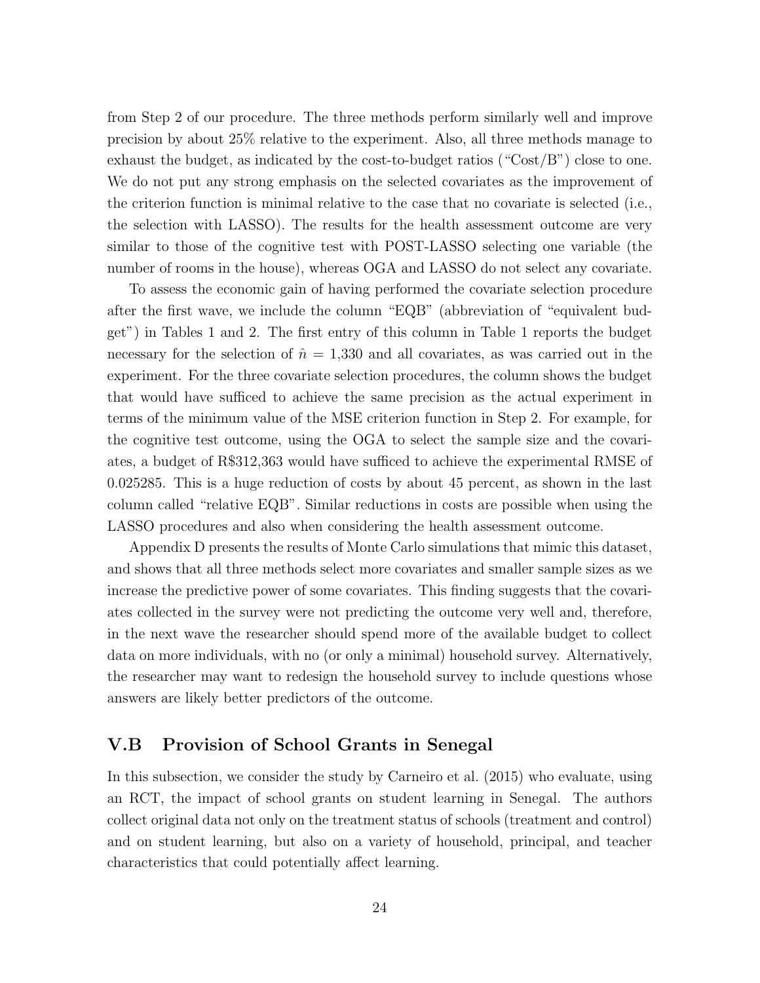from Step 2 of our procedure. The three methods perform similarly well and improve precision by about 25% relative to the experiment. Also, all three methods manage to exhaust the budget, as indicated by the cost-to-budget ratios ("Cost/B") close to one. We do not put any strong emphasis on the selected covariates as the improvement of the criterion function is minimal relative to the case that no covariate is selected (i.e., the selection with LASSO). The results for the health assessment outcome are very similar to those of the cognitive test with POST-LASSO selecting one variable (the number of rooms in the house), whereas OGA and LASSO do not select any covariate.

To assess the economic gain of having performed the covariate selection procedure after the first wave, we include the column "EQB" (abbreviation of "equivalent budget") in Tables 1 and 2. The first entry of this column in Table 1 reports the budget necessary for the selection of  $\hat{n} = 1,330$  and all covariates, as was carried out in the experiment. For the three covariate selection procedures, the column shows the budget that would have sufficed to achieve the same precision as the actual experiment in terms of the minimum value of the MSE criterion function in Step 2. For example, for the cognitive test outcome, using the OGA to select the sample size and the covariates, a budget of R\$312,363 would have sufficed to achieve the experimental RMSE of 0*.*025285. This is a huge reduction of costs by about 45 percent, as shown in the last column called "relative EQB". Similar reductions in costs are possible when using the LASSO procedures and also when considering the health assessment outcome.

Appendix D presents the results of Monte Carlo simulations that mimic this dataset, and shows that all three methods select more covariates and smaller sample sizes as we increase the predictive power of some covariates. This finding suggests that the covariates collected in the survey were not predicting the outcome very well and, therefore, in the next wave the researcher should spend more of the available budget to collect data on more individuals, with no (or only a minimal) household survey. Alternatively, the researcher may want to redesign the household survey to include questions whose answers are likely better predictors of the outcome.

#### V.B Provision of School Grants in Senegal

In this subsection, we consider the study by Carneiro et al. (2015) who evaluate, using an RCT, the impact of school grants on student learning in Senegal. The authors collect original data not only on the treatment status of schools (treatment and control) and on student learning, but also on a variety of household, principal, and teacher characteristics that could potentially affect learning.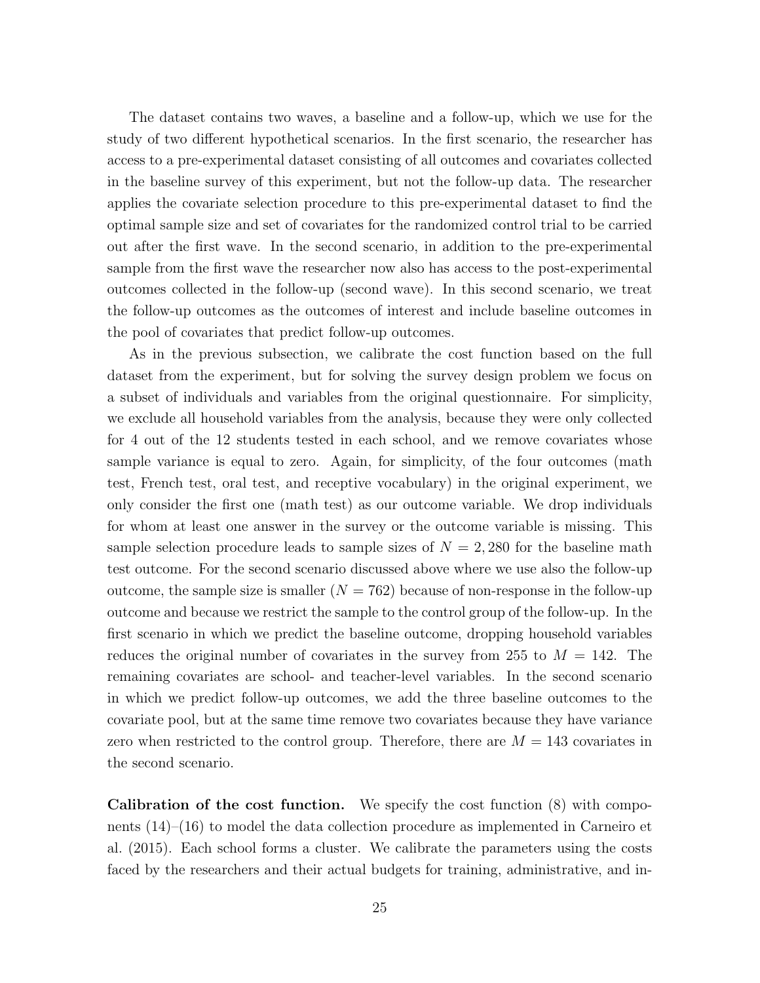The dataset contains two waves, a baseline and a follow-up, which we use for the study of two different hypothetical scenarios. In the first scenario, the researcher has access to a pre-experimental dataset consisting of all outcomes and covariates collected in the baseline survey of this experiment, but not the follow-up data. The researcher applies the covariate selection procedure to this pre-experimental dataset to find the optimal sample size and set of covariates for the randomized control trial to be carried out after the first wave. In the second scenario, in addition to the pre-experimental sample from the first wave the researcher now also has access to the post-experimental outcomes collected in the follow-up (second wave). In this second scenario, we treat the follow-up outcomes as the outcomes of interest and include baseline outcomes in the pool of covariates that predict follow-up outcomes.

As in the previous subsection, we calibrate the cost function based on the full dataset from the experiment, but for solving the survey design problem we focus on a subset of individuals and variables from the original questionnaire. For simplicity, we exclude all household variables from the analysis, because they were only collected for 4 out of the 12 students tested in each school, and we remove covariates whose sample variance is equal to zero. Again, for simplicity, of the four outcomes (math test, French test, oral test, and receptive vocabulary) in the original experiment, we only consider the first one (math test) as our outcome variable. We drop individuals for whom at least one answer in the survey or the outcome variable is missing. This sample selection procedure leads to sample sizes of  $N = 2,280$  for the baseline math test outcome. For the second scenario discussed above where we use also the follow-up outcome, the sample size is smaller  $(N = 762)$  because of non-response in the follow-up outcome and because we restrict the sample to the control group of the follow-up. In the first scenario in which we predict the baseline outcome, dropping household variables reduces the original number of covariates in the survey from 255 to  $M = 142$ . The remaining covariates are school- and teacher-level variables. In the second scenario in which we predict follow-up outcomes, we add the three baseline outcomes to the covariate pool, but at the same time remove two covariates because they have variance zero when restricted to the control group. Therefore, there are  $M = 143$  covariates in the second scenario.

Calibration of the cost function. We specify the cost function (8) with components (14)–(16) to model the data collection procedure as implemented in Carneiro et al. (2015). Each school forms a cluster. We calibrate the parameters using the costs faced by the researchers and their actual budgets for training, administrative, and in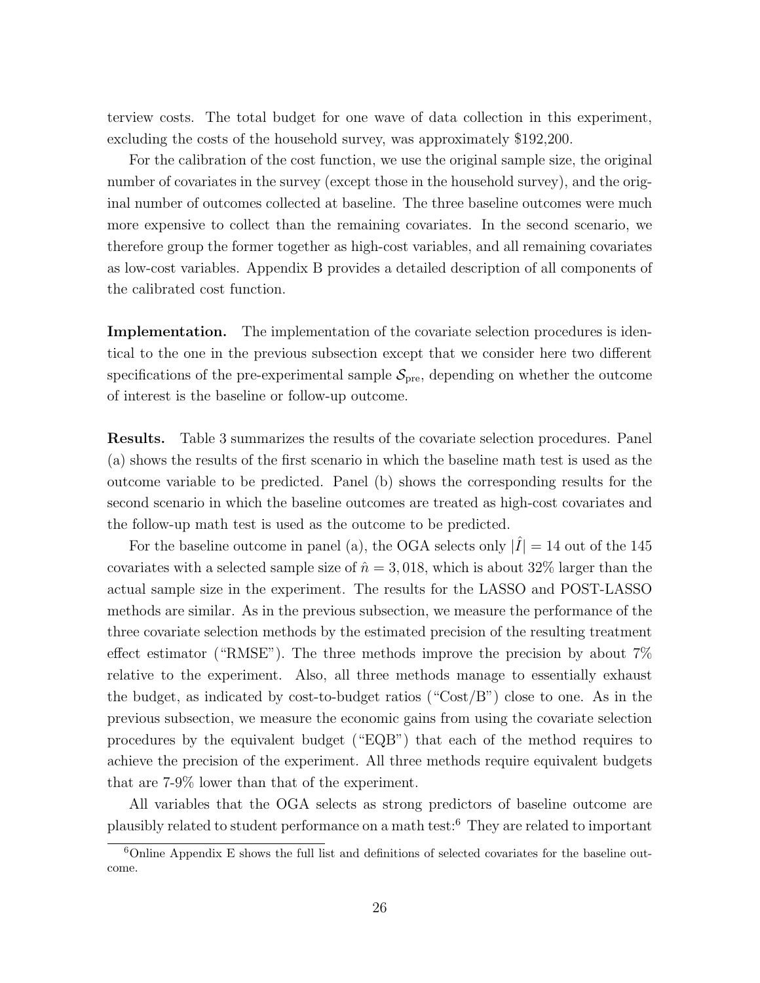terview costs. The total budget for one wave of data collection in this experiment, excluding the costs of the household survey, was approximately \$192,200.

For the calibration of the cost function, we use the original sample size, the original number of covariates in the survey (except those in the household survey), and the original number of outcomes collected at baseline. The three baseline outcomes were much more expensive to collect than the remaining covariates. In the second scenario, we therefore group the former together as high-cost variables, and all remaining covariates as low-cost variables. Appendix B provides a detailed description of all components of the calibrated cost function.

Implementation. The implementation of the covariate selection procedures is identical to the one in the previous subsection except that we consider here two different specifications of the pre-experimental sample  $S_{\text{pre}}$ , depending on whether the outcome of interest is the baseline or follow-up outcome.

Results. Table 3 summarizes the results of the covariate selection procedures. Panel (a) shows the results of the first scenario in which the baseline math test is used as the outcome variable to be predicted. Panel (b) shows the corresponding results for the second scenario in which the baseline outcomes are treated as high-cost covariates and the follow-up math test is used as the outcome to be predicted.

For the baseline outcome in panel (a), the OGA selects only  $|\tilde{I}| = 14$  out of the 145 covariates with a selected sample size of  $\hat{n} = 3,018$ , which is about 32% larger than the actual sample size in the experiment. The results for the LASSO and POST-LASSO methods are similar. As in the previous subsection, we measure the performance of the three covariate selection methods by the estimated precision of the resulting treatment effect estimator ("RMSE"). The three methods improve the precision by about  $7\%$ relative to the experiment. Also, all three methods manage to essentially exhaust the budget, as indicated by cost-to-budget ratios (" $\text{Cost}/B$ ") close to one. As in the previous subsection, we measure the economic gains from using the covariate selection procedures by the equivalent budget ("EQB") that each of the method requires to achieve the precision of the experiment. All three methods require equivalent budgets that are 7-9% lower than that of the experiment.

All variables that the OGA selects as strong predictors of baseline outcome are plausibly related to student performance on a math test:<sup>6</sup> They are related to important

 $6$ Online Appendix E shows the full list and definitions of selected covariates for the baseline outcome.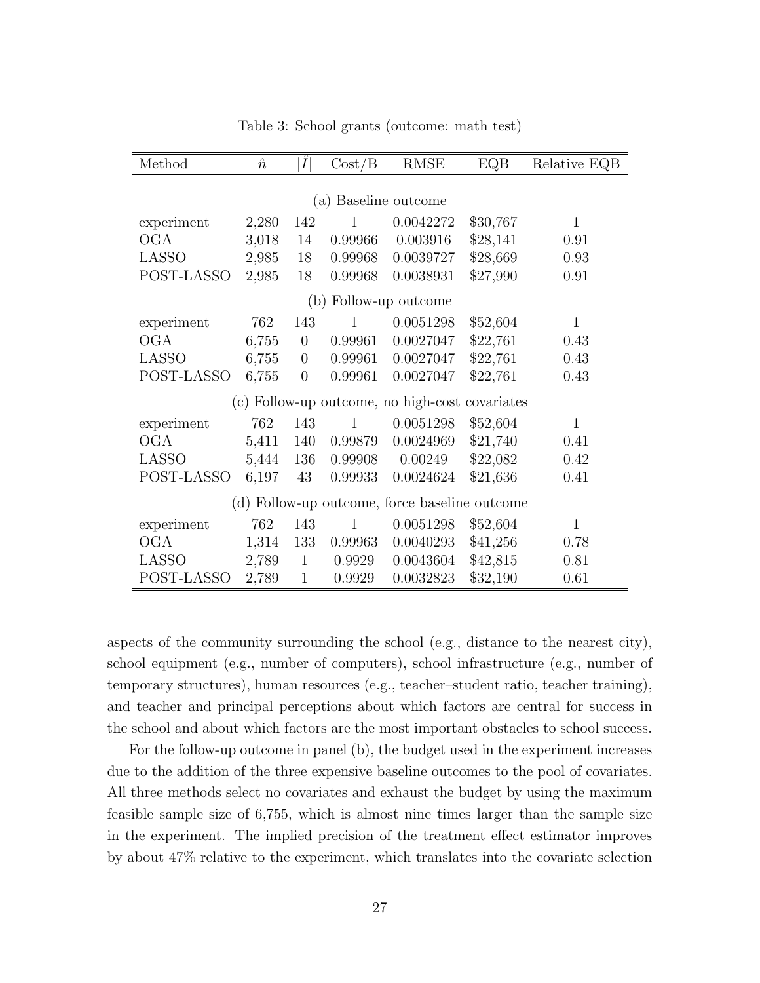| Method                                        | $\hat n$ | $ \hat{I} $    | Cost/B       | <b>RMSE</b>                                    | EQB      | Relative EQB |  |  |  |
|-----------------------------------------------|----------|----------------|--------------|------------------------------------------------|----------|--------------|--|--|--|
|                                               |          |                |              |                                                |          |              |  |  |  |
|                                               |          |                |              | (a) Baseline outcome                           |          |              |  |  |  |
| experiment                                    | 2,280    | 142            | 1            | 0.0042272                                      | \$30,767 | $\mathbf{1}$ |  |  |  |
| OGA                                           | 3,018    | 14             | 0.99966      | 0.003916                                       | \$28,141 | 0.91         |  |  |  |
| LASSO                                         | 2,985    | 18             | 0.99968      | 0.0039727                                      | \$28,669 | 0.93         |  |  |  |
| POST-LASSO                                    | 2,985    | 18             | 0.99968      | 0.0038931                                      | \$27,990 | 0.91         |  |  |  |
|                                               |          |                |              | (b) Follow-up outcome                          |          |              |  |  |  |
| experiment                                    | 762      | 143            | 1            | 0.0051298                                      | \$52,604 | $\mathbf{1}$ |  |  |  |
| OGA                                           | 6,755    | $\overline{0}$ | 0.99961      | 0.0027047                                      | \$22,761 | 0.43         |  |  |  |
| <b>LASSO</b>                                  | 6,755    | $\overline{0}$ | 0.99961      | 0.0027047                                      | \$22,761 | 0.43         |  |  |  |
| POST-LASSO                                    | 6,755    | $\overline{0}$ | 0.99961      | 0.0027047                                      | \$22,761 | 0.43         |  |  |  |
|                                               |          |                |              | (c) Follow-up outcome, no high-cost covariates |          |              |  |  |  |
| experiment                                    | 762      | 143            | $\mathbf{1}$ | 0.0051298                                      | \$52,604 | $\mathbf{1}$ |  |  |  |
| OGA                                           | 5,411    | 140            | 0.99879      | 0.0024969                                      | \$21,740 | 0.41         |  |  |  |
| LASSO                                         | 5,444    | 136            | 0.99908      | 0.00249                                        | \$22,082 | 0.42         |  |  |  |
| POST-LASSO                                    | 6,197    | 43             | 0.99933      | 0.0024624                                      | \$21,636 | 0.41         |  |  |  |
| (d) Follow-up outcome, force baseline outcome |          |                |              |                                                |          |              |  |  |  |
| experiment                                    | 762      | 143            | $\mathbf{1}$ | 0.0051298                                      | \$52,604 | $\mathbf{1}$ |  |  |  |
| <b>OGA</b>                                    | 1,314    | 133            | 0.99963      | 0.0040293                                      | \$41,256 | 0.78         |  |  |  |
| LASSO                                         | 2,789    | $\mathbf{1}$   | 0.9929       | 0.0043604                                      | \$42,815 | 0.81         |  |  |  |
| POST-LASSO                                    | 2,789    | $\mathbf{1}$   | 0.9929       | 0.0032823                                      | \$32,190 | 0.61         |  |  |  |

Table 3: School grants (outcome: math test)

aspects of the community surrounding the school (e.g., distance to the nearest city), school equipment (e.g., number of computers), school infrastructure (e.g., number of temporary structures), human resources (e.g., teacher–student ratio, teacher training), and teacher and principal perceptions about which factors are central for success in the school and about which factors are the most important obstacles to school success.

For the follow-up outcome in panel (b), the budget used in the experiment increases due to the addition of the three expensive baseline outcomes to the pool of covariates. All three methods select no covariates and exhaust the budget by using the maximum feasible sample size of 6,755, which is almost nine times larger than the sample size in the experiment. The implied precision of the treatment effect estimator improves by about 47% relative to the experiment, which translates into the covariate selection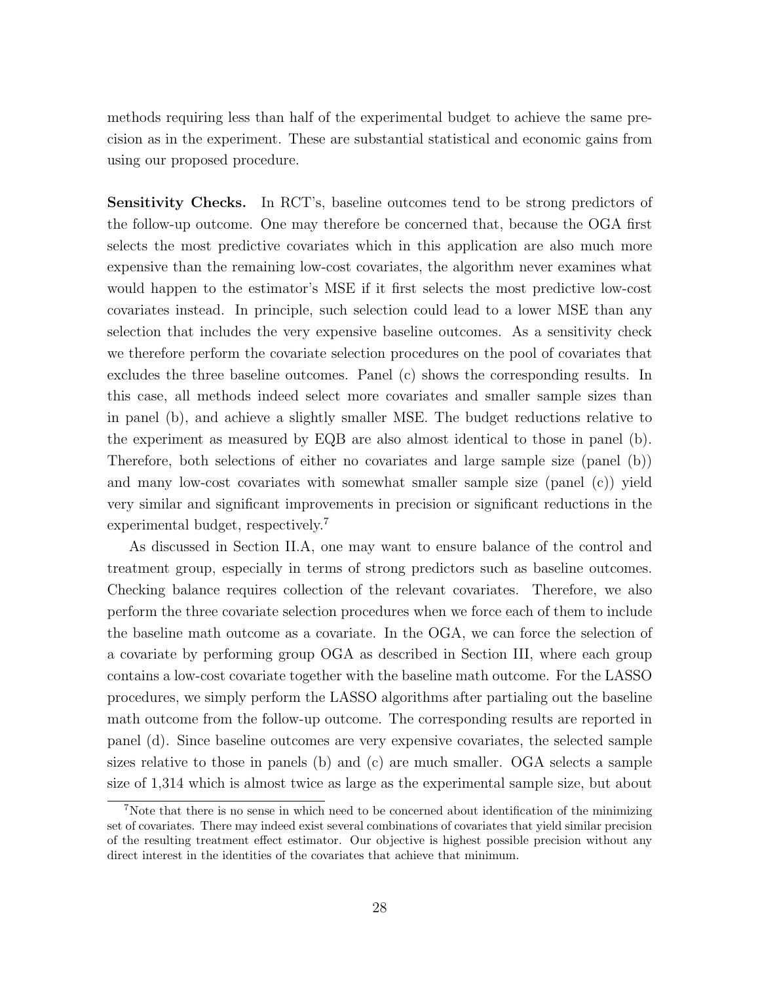methods requiring less than half of the experimental budget to achieve the same precision as in the experiment. These are substantial statistical and economic gains from using our proposed procedure.

Sensitivity Checks. In RCT's, baseline outcomes tend to be strong predictors of the follow-up outcome. One may therefore be concerned that, because the OGA first selects the most predictive covariates which in this application are also much more expensive than the remaining low-cost covariates, the algorithm never examines what would happen to the estimator's MSE if it first selects the most predictive low-cost covariates instead. In principle, such selection could lead to a lower MSE than any selection that includes the very expensive baseline outcomes. As a sensitivity check we therefore perform the covariate selection procedures on the pool of covariates that excludes the three baseline outcomes. Panel (c) shows the corresponding results. In this case, all methods indeed select more covariates and smaller sample sizes than in panel (b), and achieve a slightly smaller MSE. The budget reductions relative to the experiment as measured by EQB are also almost identical to those in panel (b). Therefore, both selections of either no covariates and large sample size (panel (b)) and many low-cost covariates with somewhat smaller sample size (panel (c)) yield very similar and significant improvements in precision or significant reductions in the experimental budget, respectively.<sup>7</sup>

As discussed in Section II.A, one may want to ensure balance of the control and treatment group, especially in terms of strong predictors such as baseline outcomes. Checking balance requires collection of the relevant covariates. Therefore, we also perform the three covariate selection procedures when we force each of them to include the baseline math outcome as a covariate. In the OGA, we can force the selection of a covariate by performing group OGA as described in Section III, where each group contains a low-cost covariate together with the baseline math outcome. For the LASSO procedures, we simply perform the LASSO algorithms after partialing out the baseline math outcome from the follow-up outcome. The corresponding results are reported in panel (d). Since baseline outcomes are very expensive covariates, the selected sample sizes relative to those in panels (b) and (c) are much smaller. OGA selects a sample size of 1,314 which is almost twice as large as the experimental sample size, but about

<sup>&</sup>lt;sup>7</sup>Note that there is no sense in which need to be concerned about identification of the minimizing set of covariates. There may indeed exist several combinations of covariates that yield similar precision of the resulting treatment effect estimator. Our objective is highest possible precision without any direct interest in the identities of the covariates that achieve that minimum.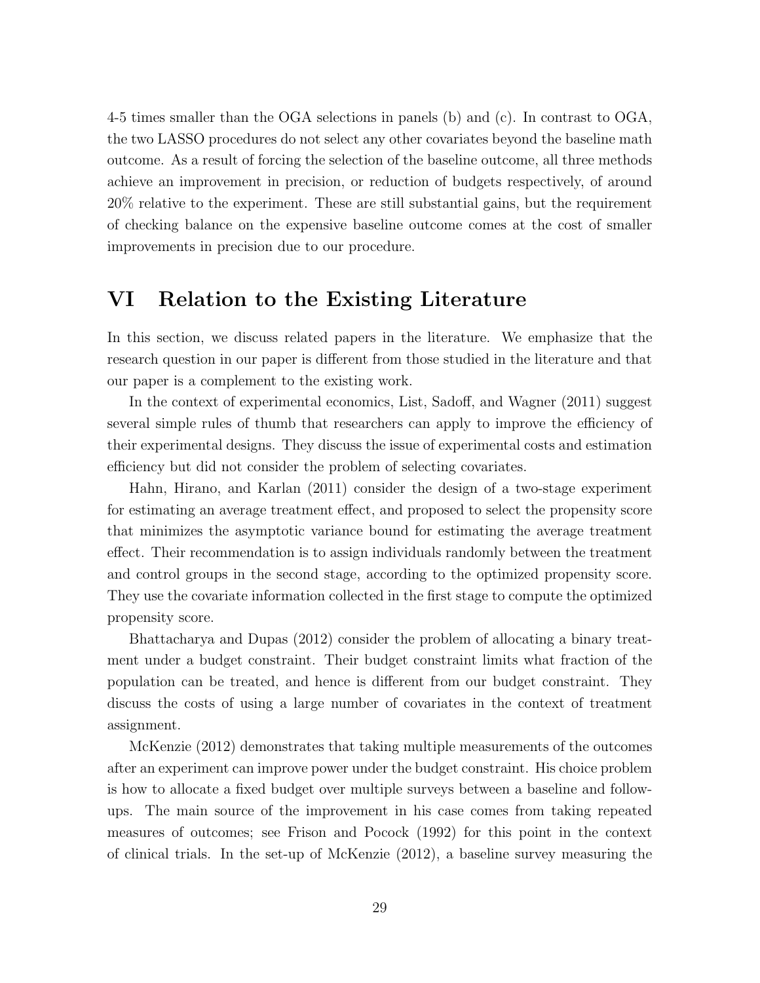4-5 times smaller than the OGA selections in panels (b) and (c). In contrast to OGA, the two LASSO procedures do not select any other covariates beyond the baseline math outcome. As a result of forcing the selection of the baseline outcome, all three methods achieve an improvement in precision, or reduction of budgets respectively, of around 20% relative to the experiment. These are still substantial gains, but the requirement of checking balance on the expensive baseline outcome comes at the cost of smaller improvements in precision due to our procedure.

## VI Relation to the Existing Literature

In this section, we discuss related papers in the literature. We emphasize that the research question in our paper is different from those studied in the literature and that our paper is a complement to the existing work.

In the context of experimental economics, List, Sadoff, and Wagner (2011) suggest several simple rules of thumb that researchers can apply to improve the efficiency of their experimental designs. They discuss the issue of experimental costs and estimation efficiency but did not consider the problem of selecting covariates.

Hahn, Hirano, and Karlan (2011) consider the design of a two-stage experiment for estimating an average treatment effect, and proposed to select the propensity score that minimizes the asymptotic variance bound for estimating the average treatment effect. Their recommendation is to assign individuals randomly between the treatment and control groups in the second stage, according to the optimized propensity score. They use the covariate information collected in the first stage to compute the optimized propensity score.

Bhattacharya and Dupas (2012) consider the problem of allocating a binary treatment under a budget constraint. Their budget constraint limits what fraction of the population can be treated, and hence is different from our budget constraint. They discuss the costs of using a large number of covariates in the context of treatment assignment.

McKenzie (2012) demonstrates that taking multiple measurements of the outcomes after an experiment can improve power under the budget constraint. His choice problem is how to allocate a fixed budget over multiple surveys between a baseline and followups. The main source of the improvement in his case comes from taking repeated measures of outcomes; see Frison and Pocock (1992) for this point in the context of clinical trials. In the set-up of McKenzie (2012), a baseline survey measuring the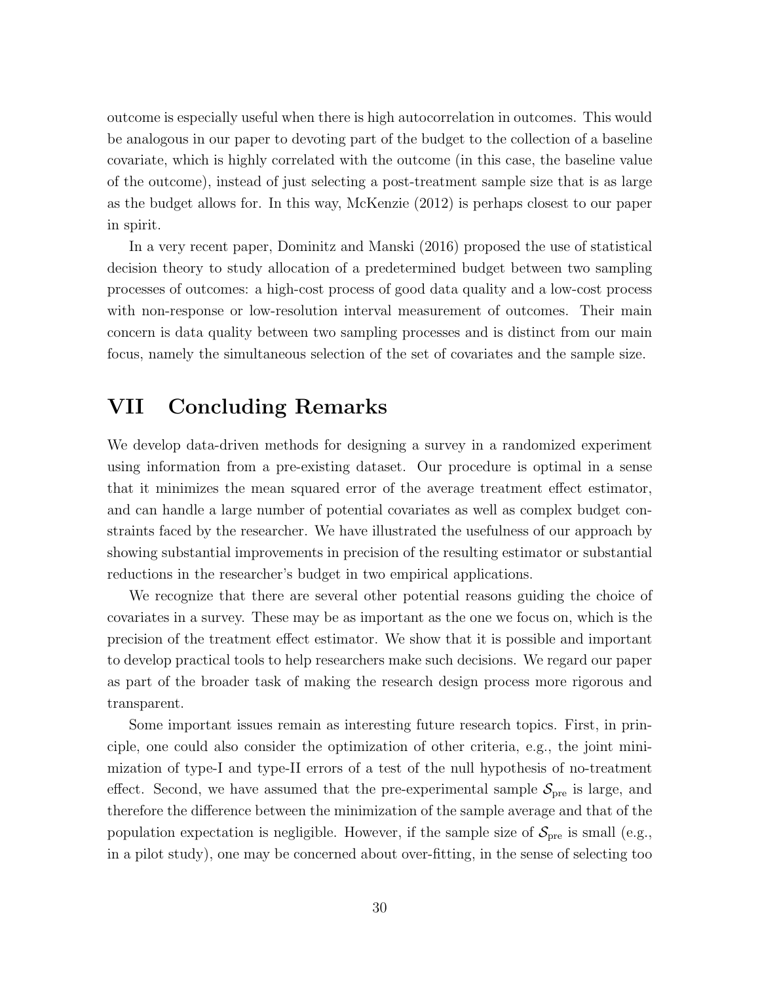outcome is especially useful when there is high autocorrelation in outcomes. This would be analogous in our paper to devoting part of the budget to the collection of a baseline covariate, which is highly correlated with the outcome (in this case, the baseline value of the outcome), instead of just selecting a post-treatment sample size that is as large as the budget allows for. In this way, McKenzie (2012) is perhaps closest to our paper in spirit.

In a very recent paper, Dominitz and Manski (2016) proposed the use of statistical decision theory to study allocation of a predetermined budget between two sampling processes of outcomes: a high-cost process of good data quality and a low-cost process with non-response or low-resolution interval measurement of outcomes. Their main concern is data quality between two sampling processes and is distinct from our main focus, namely the simultaneous selection of the set of covariates and the sample size.

## VII Concluding Remarks

We develop data-driven methods for designing a survey in a randomized experiment using information from a pre-existing dataset. Our procedure is optimal in a sense that it minimizes the mean squared error of the average treatment effect estimator, and can handle a large number of potential covariates as well as complex budget constraints faced by the researcher. We have illustrated the usefulness of our approach by showing substantial improvements in precision of the resulting estimator or substantial reductions in the researcher's budget in two empirical applications.

We recognize that there are several other potential reasons guiding the choice of covariates in a survey. These may be as important as the one we focus on, which is the precision of the treatment effect estimator. We show that it is possible and important to develop practical tools to help researchers make such decisions. We regard our paper as part of the broader task of making the research design process more rigorous and transparent.

Some important issues remain as interesting future research topics. First, in principle, one could also consider the optimization of other criteria, e.g., the joint minimization of type-I and type-II errors of a test of the null hypothesis of no-treatment effect. Second, we have assumed that the pre-experimental sample  $S_{pre}$  is large, and therefore the difference between the minimization of the sample average and that of the population expectation is negligible. However, if the sample size of  $S_{\text{pre}}$  is small (e.g., in a pilot study), one may be concerned about over-fitting, in the sense of selecting too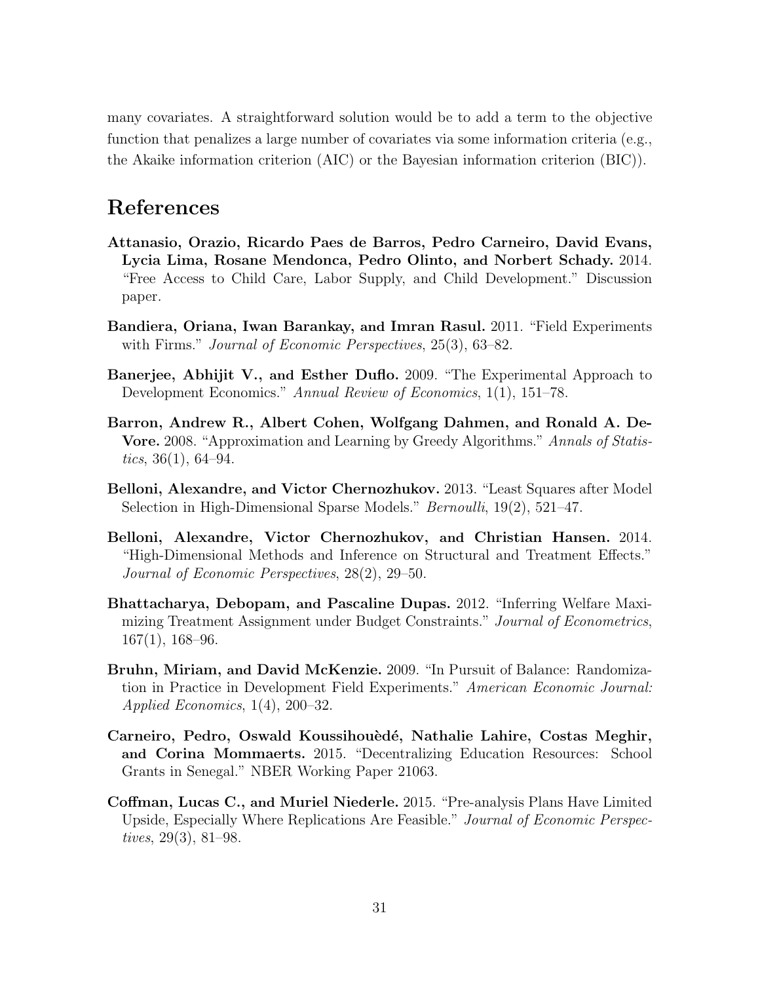many covariates. A straightforward solution would be to add a term to the objective function that penalizes a large number of covariates via some information criteria (e.g., the Akaike information criterion (AIC) or the Bayesian information criterion (BIC)).

## References

- Attanasio, Orazio, Ricardo Paes de Barros, Pedro Carneiro, David Evans, Lycia Lima, Rosane Mendonca, Pedro Olinto, and Norbert Schady. 2014. "Free Access to Child Care, Labor Supply, and Child Development." Discussion paper.
- Bandiera, Oriana, Iwan Barankay, and Imran Rasul. 2011. "Field Experiments with Firms." *Journal of Economic Perspectives*, 25(3), 63–82.
- Banerjee, Abhijit V., and Esther Duflo. 2009. "The Experimental Approach to Development Economics." *Annual Review of Economics*, 1(1), 151–78.
- Barron, Andrew R., Albert Cohen, Wolfgang Dahmen, and Ronald A. De-Vore. 2008. "Approximation and Learning by Greedy Algorithms." *Annals of Statistics*, 36(1), 64–94.
- Belloni, Alexandre, and Victor Chernozhukov. 2013. "Least Squares after Model Selection in High-Dimensional Sparse Models." *Bernoulli*, 19(2), 521–47.
- Belloni, Alexandre, Victor Chernozhukov, and Christian Hansen. 2014. "High-Dimensional Methods and Inference on Structural and Treatment Effects." *Journal of Economic Perspectives*, 28(2), 29–50.
- Bhattacharya, Debopam, and Pascaline Dupas. 2012. "Inferring Welfare Maximizing Treatment Assignment under Budget Constraints." *Journal of Econometrics*, 167(1), 168–96.
- Bruhn, Miriam, and David McKenzie. 2009. "In Pursuit of Balance: Randomization in Practice in Development Field Experiments." *American Economic Journal: Applied Economics*, 1(4), 200–32.
- Carneiro, Pedro, Oswald Koussihouèdé, Nathalie Lahire, Costas Meghir, and Corina Mommaerts. 2015. "Decentralizing Education Resources: School Grants in Senegal." NBER Working Paper 21063.
- Coffman, Lucas C., and Muriel Niederle. 2015. "Pre-analysis Plans Have Limited Upside, Especially Where Replications Are Feasible." *Journal of Economic Perspectives*, 29(3), 81–98.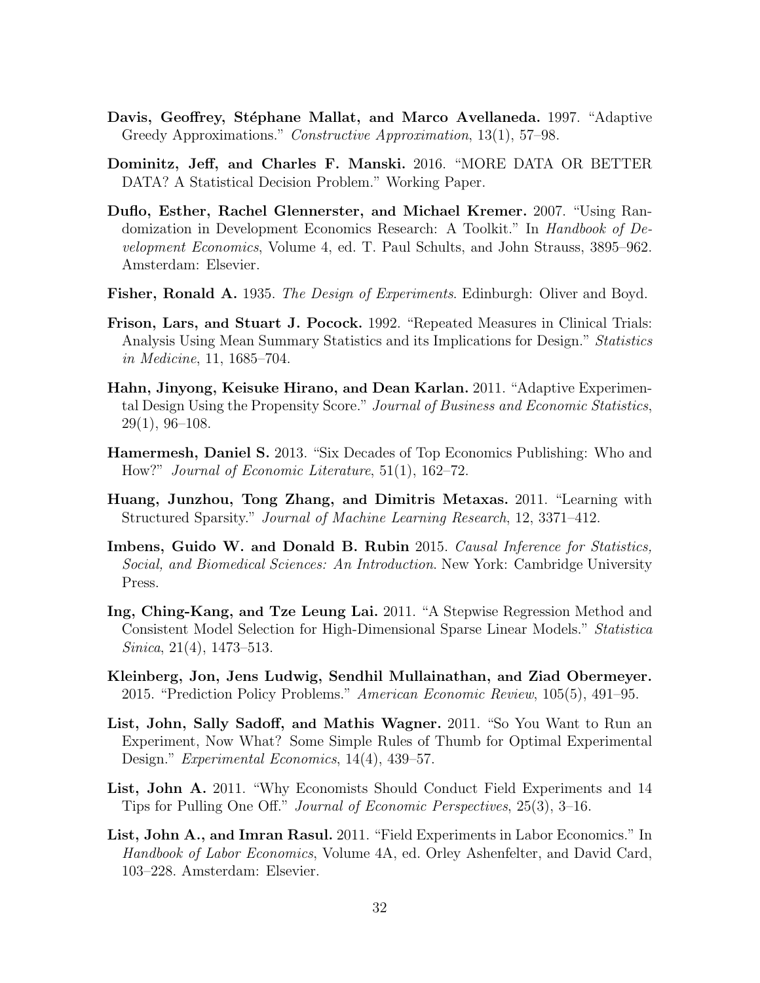- Davis, Geoffrey, Stéphane Mallat, and Marco Avellaneda. 1997. "Adaptive Greedy Approximations." *Constructive Approximation*, 13(1), 57–98.
- Dominitz, Jeff, and Charles F. Manski. 2016. "MORE DATA OR BETTER DATA? A Statistical Decision Problem." Working Paper.
- Duflo, Esther, Rachel Glennerster, and Michael Kremer. 2007. "Using Randomization in Development Economics Research: A Toolkit." In *Handbook of Development Economics*, Volume 4, ed. T. Paul Schults, and John Strauss, 3895–962. Amsterdam: Elsevier.
- Fisher, Ronald A. 1935. *The Design of Experiments*. Edinburgh: Oliver and Boyd.
- Frison, Lars, and Stuart J. Pocock. 1992. "Repeated Measures in Clinical Trials: Analysis Using Mean Summary Statistics and its Implications for Design." *Statistics in Medicine*, 11, 1685–704.
- Hahn, Jinyong, Keisuke Hirano, and Dean Karlan. 2011. "Adaptive Experimental Design Using the Propensity Score." *Journal of Business and Economic Statistics*, 29(1), 96–108.
- Hamermesh, Daniel S. 2013. "Six Decades of Top Economics Publishing: Who and How?" *Journal of Economic Literature*, 51(1), 162–72.
- Huang, Junzhou, Tong Zhang, and Dimitris Metaxas. 2011. "Learning with Structured Sparsity." *Journal of Machine Learning Research*, 12, 3371–412.
- Imbens, Guido W. and Donald B. Rubin 2015. *Causal Inference for Statistics, Social, and Biomedical Sciences: An Introduction*. New York: Cambridge University Press.
- Ing, Ching-Kang, and Tze Leung Lai. 2011. "A Stepwise Regression Method and Consistent Model Selection for High-Dimensional Sparse Linear Models." *Statistica Sinica*, 21(4), 1473–513.
- Kleinberg, Jon, Jens Ludwig, Sendhil Mullainathan, and Ziad Obermeyer. 2015. "Prediction Policy Problems." *American Economic Review*, 105(5), 491–95.
- List, John, Sally Sadoff, and Mathis Wagner. 2011. "So You Want to Run an Experiment, Now What? Some Simple Rules of Thumb for Optimal Experimental Design." *Experimental Economics*, 14(4), 439–57.
- List, John A. 2011. "Why Economists Should Conduct Field Experiments and 14 Tips for Pulling One O↵." *Journal of Economic Perspectives*, 25(3), 3–16.
- List, John A., and Imran Rasul. 2011. "Field Experiments in Labor Economics." In *Handbook of Labor Economics*, Volume 4A, ed. Orley Ashenfelter, and David Card, 103–228. Amsterdam: Elsevier.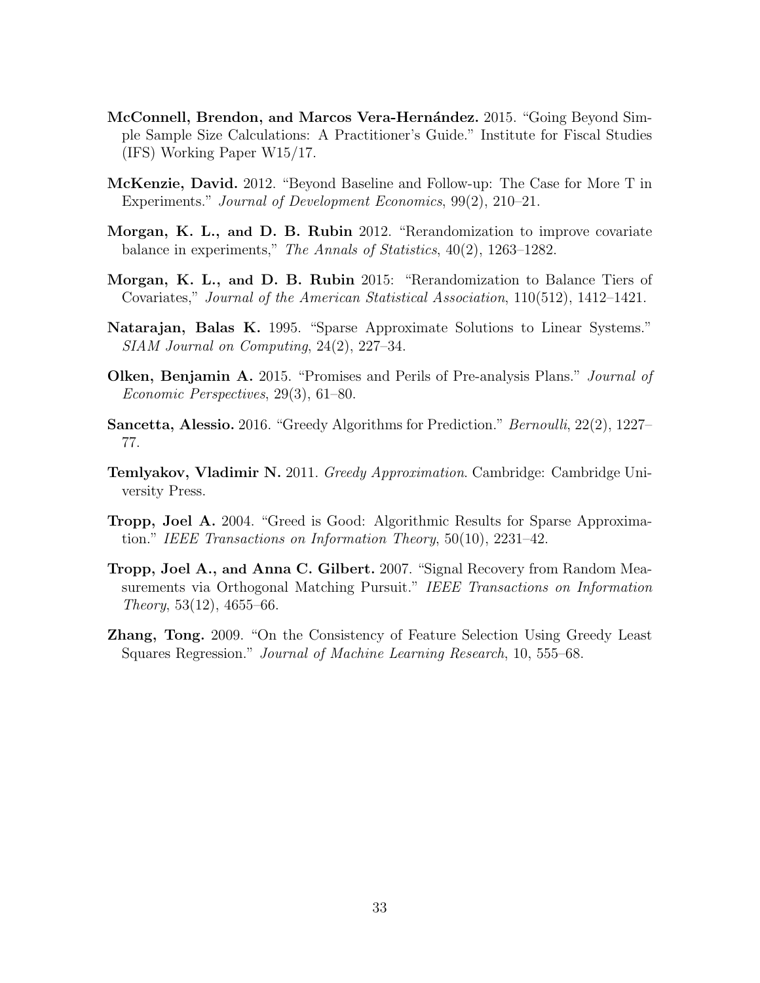- McConnell, Brendon, and Marcos Vera-Hernández. 2015. "Going Beyond Simple Sample Size Calculations: A Practitioner's Guide." Institute for Fiscal Studies (IFS) Working Paper W15/17.
- McKenzie, David. 2012. "Beyond Baseline and Follow-up: The Case for More T in Experiments." *Journal of Development Economics*, 99(2), 210–21.
- Morgan, K. L., and D. B. Rubin 2012. "Rerandomization to improve covariate balance in experiments," *The Annals of Statistics*, 40(2), 1263–1282.
- Morgan, K. L., and D. B. Rubin 2015: "Rerandomization to Balance Tiers of Covariates," *Journal of the American Statistical Association*, 110(512), 1412–1421.
- Natarajan, Balas K. 1995. "Sparse Approximate Solutions to Linear Systems." *SIAM Journal on Computing*, 24(2), 227–34.
- Olken, Benjamin A. 2015. "Promises and Perils of Pre-analysis Plans." *Journal of Economic Perspectives*, 29(3), 61–80.
- Sancetta, Alessio. 2016. "Greedy Algorithms for Prediction." *Bernoulli*, 22(2), 1227– 77.
- Temlyakov, Vladimir N. 2011. *Greedy Approximation*. Cambridge: Cambridge University Press.
- Tropp, Joel A. 2004. "Greed is Good: Algorithmic Results for Sparse Approximation." *IEEE Transactions on Information Theory*, 50(10), 2231–42.
- Tropp, Joel A., and Anna C. Gilbert. 2007. "Signal Recovery from Random Measurements via Orthogonal Matching Pursuit." *IEEE Transactions on Information Theory*, 53(12), 4655–66.
- Zhang, Tong. 2009. "On the Consistency of Feature Selection Using Greedy Least Squares Regression." *Journal of Machine Learning Research*, 10, 555–68.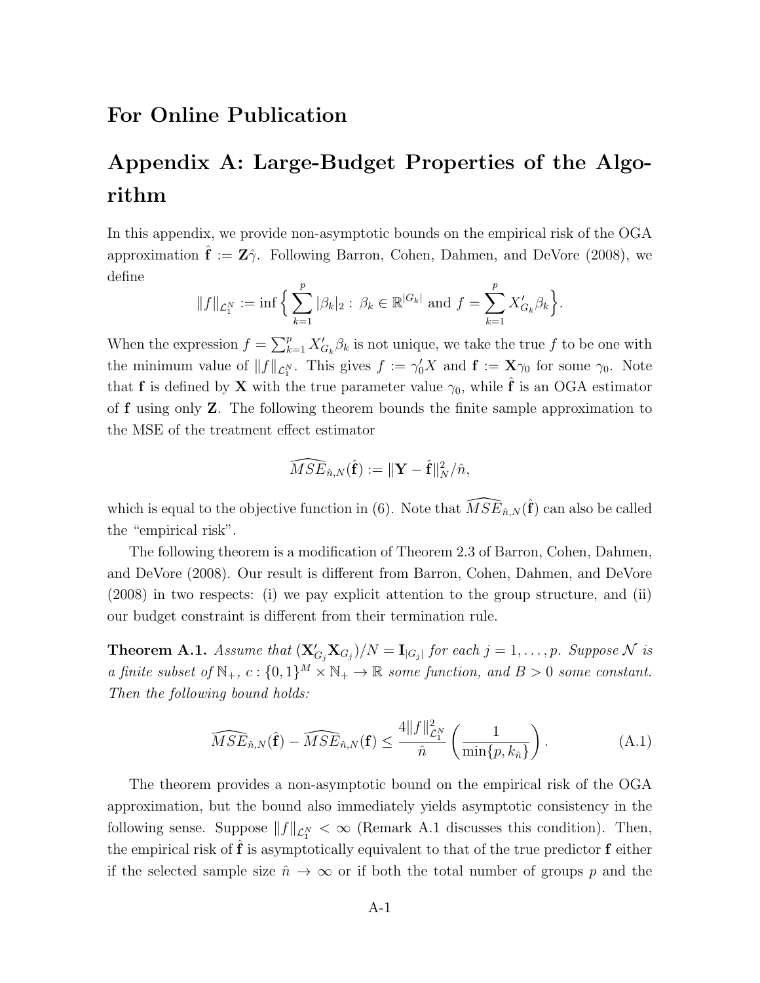## For Online Publication

# Appendix A: Large-Budget Properties of the Algorithm

In this appendix, we provide non-asymptotic bounds on the empirical risk of the OGA approximation  $\mathbf{\hat{f}} := \mathbf{Z}\hat{\gamma}$ . Following Barron, Cohen, Dahmen, and DeVore (2008), we define

$$
||f||_{\mathcal{L}_1^N} := \inf \Big\{ \sum_{k=1}^p |\beta_k|_2 : \beta_k \in \mathbb{R}^{|G_k|} \text{ and } f = \sum_{k=1}^p X'_{G_k} \beta_k \Big\}.
$$

When the expression  $f = \sum_{k=1}^{p} X'_{G_k} \beta_k$  is not unique, we take the true f to be one with the minimum value of  $||f||_{\mathcal{L}^N_1}$ . This gives  $f := \gamma_0' X$  and  $f := \mathbf{X}\gamma_0$  for some  $\gamma_0$ . Note that **f** is defined by **X** with the true parameter value  $\gamma_0$ , while **f** is an OGA estimator of f using only Z. The following theorem bounds the finite sample approximation to the MSE of the treatment effect estimator

$$
\widehat{MSE}_{\hat{n},N}(\hat{\mathbf{f}}) := \|\mathbf{Y} - \hat{\mathbf{f}}\|_N^2 / \hat{n},
$$

which is equal to the objective function in (6). Note that  $\widehat{MSE}_{\hat{n},N}(\hat{f})$  can also be called the "empirical risk".

The following theorem is a modification of Theorem 2.3 of Barron, Cohen, Dahmen, and DeVore (2008). Our result is different from Barron, Cohen, Dahmen, and DeVore (2008) in two respects: (i) we pay explicit attention to the group structure, and (ii) our budget constraint is different from their termination rule.

**Theorem A.1.** Assume that  $(X'_{G_j}X_{G_j})/N = I_{|G_j|}$  for each  $j = 1, \ldots, p$ . Suppose N is *a finite subset of*  $\mathbb{N}_+$ ,  $c: \{0,1\}^M \times \mathbb{N}_+ \to \mathbb{R}$  *some function, and*  $B > 0$  *some constant. Then the following bound holds:*

$$
\widehat{MSE}_{\hat{n},N}(\hat{\mathbf{f}}) - \widehat{MSE}_{\hat{n},N}(\mathbf{f}) \le \frac{4||f||_{\mathcal{L}_1^N}^2}{\hat{n}} \left(\frac{1}{\min\{p,k_{\hat{n}}\}}\right). \tag{A.1}
$$

The theorem provides a non-asymptotic bound on the empirical risk of the OGA approximation, but the bound also immediately yields asymptotic consistency in the following sense. Suppose  $||f||_{\mathcal{L}^N_1} < \infty$  (Remark A.1 discusses this condition). Then, the empirical risk of  $f$  is asymptotically equivalent to that of the true predictor  $f$  either if the selected sample size  $\hat{n} \to \infty$  or if both the total number of groups p and the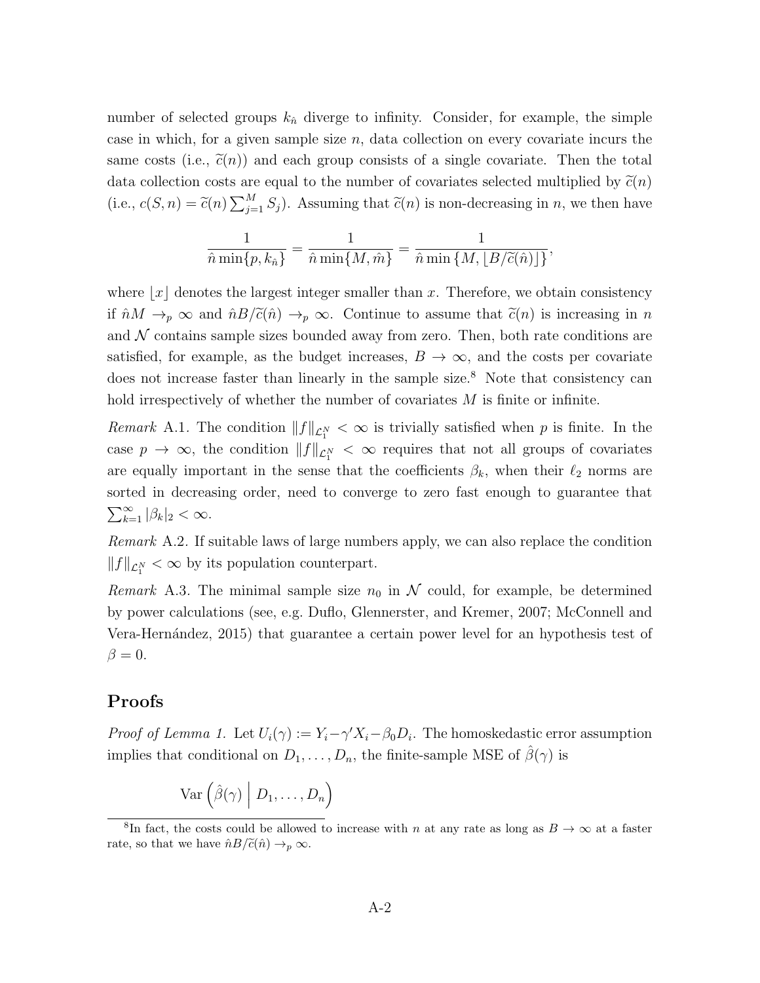number of selected groups  $k_{\hat{n}}$  diverge to infinity. Consider, for example, the simple case in which, for a given sample size *n*, data collection on every covariate incurs the same costs (i.e.,  $\tilde{c}(n)$ ) and each group consists of a single covariate. Then the total data collection costs are equal to the number of covariates selected multiplied by  $\tilde{c}(n)$ (i.e.,  $c(S, n) = \tilde{c}(n) \sum_{j=1}^{M} S_j$ ). Assuming that  $\tilde{c}(n)$  is non-decreasing in *n*, we then have

$$
\frac{1}{\hat{n}\min\{p,k_{\hat{n}}\}} = \frac{1}{\hat{n}\min\{M,\hat{m}\}} = \frac{1}{\hat{n}\min\{M,\lfloor B/\widetilde{c}(\hat{n})\rfloor\}},
$$

where  $|x|$  denotes the largest integer smaller than *x*. Therefore, we obtain consistency if  $\hat{n}M \to_p \infty$  and  $\hat{n}B/\tilde{c}(\hat{n}) \to_p \infty$ . Continue to assume that  $\tilde{c}(n)$  is increasing in *n* and  $N$  contains sample sizes bounded away from zero. Then, both rate conditions are satisfied, for example, as the budget increases,  $B \to \infty$ , and the costs per covariate does not increase faster than linearly in the sample size.<sup>8</sup> Note that consistency can hold irrespectively of whether the number of covariates M is finite or infinite.

*Remark* A.1. The condition  $||f||_{\mathcal{L}_1^N} < \infty$  is trivially satisfied when *p* is finite. In the case  $p \to \infty$ , the condition  $||f||_{\mathcal{L}^N_1} < \infty$  requires that not all groups of covariates are equally important in the sense that the coefficients  $\beta_k$ , when their  $\ell_2$  norms are sorted in decreasing order, need to converge to zero fast enough to guarantee that  $\sum_{k=1}^{\infty}$   $|\beta_k|_2 < \infty$ .

*Remark* A.2*.* If suitable laws of large numbers apply, we can also replace the condition  $||f||_{\mathcal{L}^N_1} < \infty$  by its population counterpart.

*Remark* A.3. The minimal sample size  $n_0$  in  $N$  could, for example, be determined by power calculations (see, e.g. Duflo, Glennerster, and Kremer, 2007; McConnell and Vera-Hern´andez, 2015) that guarantee a certain power level for an hypothesis test of  $\beta = 0.$ 

#### Proofs

*Proof of Lemma 1.* Let  $U_i(\gamma) := Y_i - \gamma' X_i - \beta_0 D_i$ . The homoskedastic error assumption implies that conditional on  $D_1, \ldots, D_n$ , the finite-sample MSE of  $\hat{\beta}(\gamma)$  is

$$
\text{Var}\left(\hat{\beta}(\gamma) \middle| D_1, \ldots, D_n\right)
$$

<sup>&</sup>lt;sup>8</sup>In fact, the costs could be allowed to increase with *n* at any rate as long as  $B \to \infty$  at a faster rate, so that we have  $\hat{n}B/\tilde{c}(\hat{n}) \rightarrow_p \infty$ .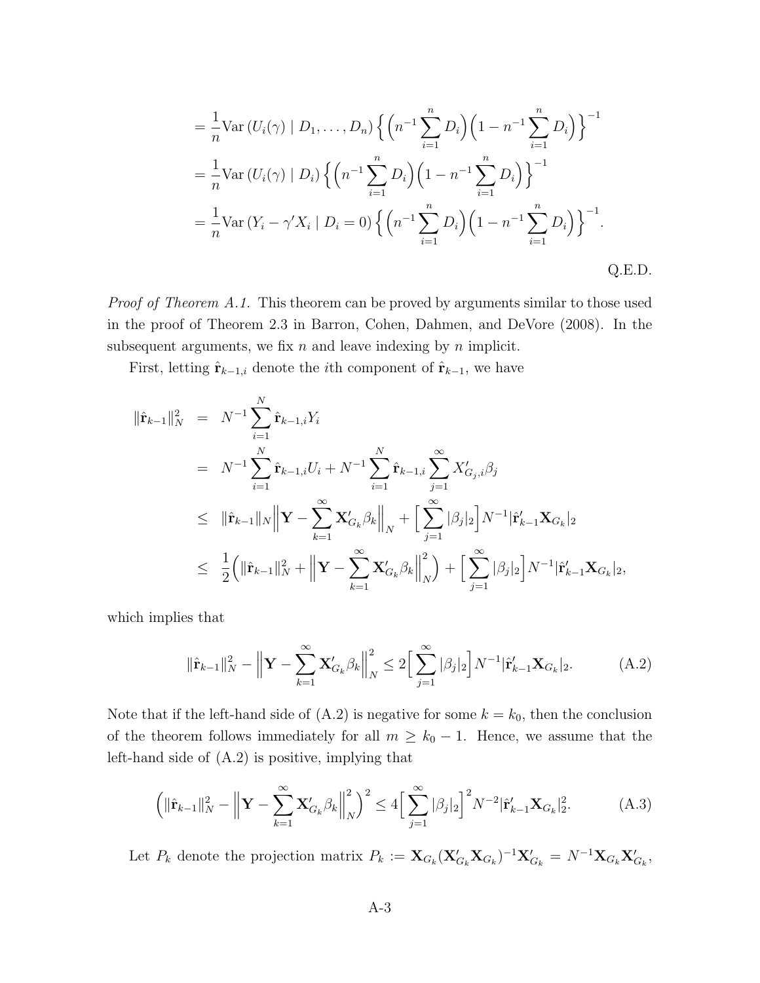$$
= \frac{1}{n} \text{Var} (U_i(\gamma) | D_1, ..., D_n) \left\{ \left( n^{-1} \sum_{i=1}^n D_i \right) \left( 1 - n^{-1} \sum_{i=1}^n D_i \right) \right\}^{-1}
$$
  

$$
= \frac{1}{n} \text{Var} (U_i(\gamma) | D_i) \left\{ \left( n^{-1} \sum_{i=1}^n D_i \right) \left( 1 - n^{-1} \sum_{i=1}^n D_i \right) \right\}^{-1}
$$
  

$$
= \frac{1}{n} \text{Var} (Y_i - \gamma' X_i | D_i = 0) \left\{ \left( n^{-1} \sum_{i=1}^n D_i \right) \left( 1 - n^{-1} \sum_{i=1}^n D_i \right) \right\}^{-1}.
$$
Q.E.D.

*Proof of Theorem A.1.* This theorem can be proved by arguments similar to those used in the proof of Theorem 2.3 in Barron, Cohen, Dahmen, and DeVore (2008). In the subsequent arguments, we fix *n* and leave indexing by *n* implicit.

First, letting  $\hat{\mathbf{r}}_{k-1,i}$  denote the *i*<sup>th</sup> component of  $\hat{\mathbf{r}}_{k-1}$ , we have

$$
\begin{split}\n\|\hat{\mathbf{r}}_{k-1}\|_{N}^{2} &= N^{-1} \sum_{i=1}^{N} \hat{\mathbf{r}}_{k-1,i} Y_{i} \\
&= N^{-1} \sum_{i=1}^{N} \hat{\mathbf{r}}_{k-1,i} U_{i} + N^{-1} \sum_{i=1}^{N} \hat{\mathbf{r}}_{k-1,i} \sum_{j=1}^{\infty} X'_{G_{j},i} \beta_{j} \\
&\leq \|\hat{\mathbf{r}}_{k-1}\|_{N} \|\mathbf{Y} - \sum_{k=1}^{\infty} \mathbf{X}'_{G_{k}} \beta_{k}\|_{N} + \left[\sum_{j=1}^{\infty} |\beta_{j}|_{2}\right] N^{-1} |\hat{\mathbf{r}}'_{k-1} \mathbf{X}_{G_{k}}|_{2} \\
&\leq \frac{1}{2} \left( \|\hat{\mathbf{r}}_{k-1}\|_{N}^{2} + \left\|\mathbf{Y} - \sum_{k=1}^{\infty} \mathbf{X}'_{G_{k}} \beta_{k}\right\|_{N}^{2} \right) + \left[\sum_{j=1}^{\infty} |\beta_{j}|_{2}\right] N^{-1} |\hat{\mathbf{r}}'_{k-1} \mathbf{X}_{G_{k}}|_{2},\n\end{split}
$$

which implies that

$$
\|\hat{\mathbf{r}}_{k-1}\|_{N}^{2} - \left\|\mathbf{Y} - \sum_{k=1}^{\infty} \mathbf{X}_{G_{k}}^{\prime} \beta_{k}\right\|_{N}^{2} \le 2\Big[\sum_{j=1}^{\infty} |\beta_{j}|_{2}\Big] N^{-1} |\hat{\mathbf{r}}_{k-1}^{\prime} \mathbf{X}_{G_{k}}|_{2}.
$$
 (A.2)

Note that if the left-hand side of  $(A.2)$  is negative for some  $k = k_0$ , then the conclusion of the theorem follows immediately for all  $m \geq k_0 - 1$ . Hence, we assume that the left-hand side of (A.2) is positive, implying that

$$
\left(\|\hat{\mathbf{r}}_{k-1}\|_{N}^{2} - \left\|\mathbf{Y} - \sum_{k=1}^{\infty} \mathbf{X}_{G_{k}}^{\prime} \beta_{k}\right\|_{N}^{2}\right)^{2} \le 4\left[\sum_{j=1}^{\infty} |\beta_{j}|_{2}\right]^{2} N^{-2} |\hat{\mathbf{r}}_{k-1}^{\prime} \mathbf{X}_{G_{k}}|_{2}^{2}.
$$
 (A.3)

Let  $P_k$  denote the projection matrix  $P_k := \mathbf{X}_{G_k} (\mathbf{X}_{G_k}' \mathbf{X}_{G_k})^{-1} \mathbf{X}_{G_k}' = N^{-1} \mathbf{X}_{G_k} \mathbf{X}_{G_k}'$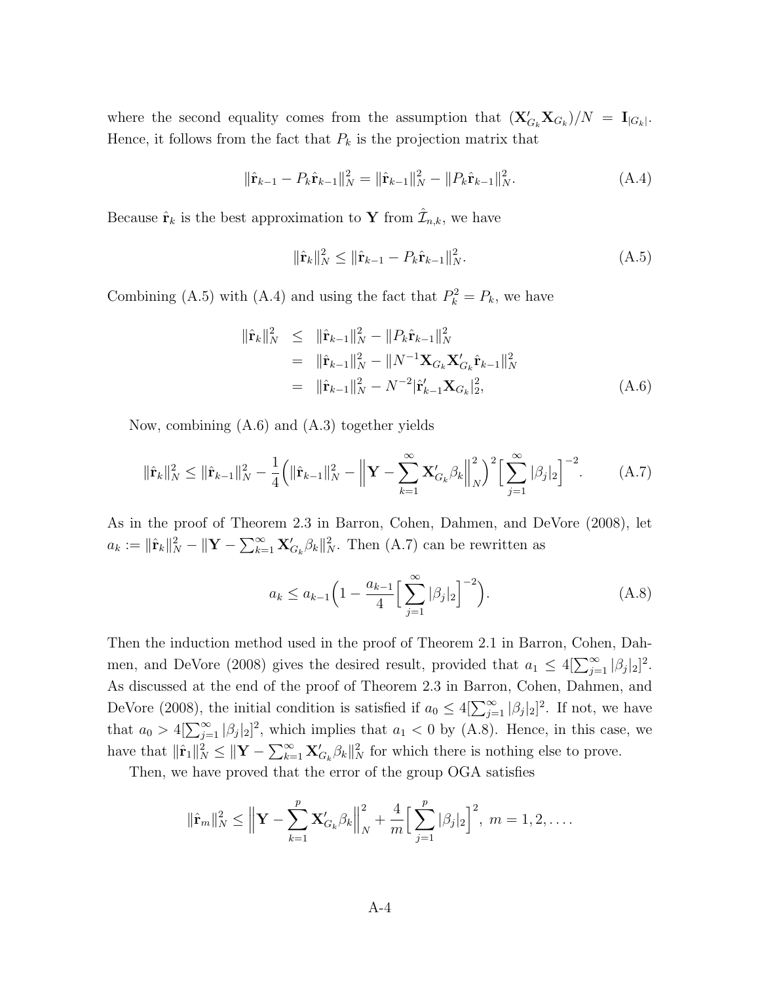where the second equality comes from the assumption that  $(X'_{G_k}X_{G_k})/N = I_{|G_k|}$ . Hence, it follows from the fact that  $P_k$  is the projection matrix that

$$
\|\hat{\mathbf{r}}_{k-1} - P_k \hat{\mathbf{r}}_{k-1}\|_{N}^{2} = \|\hat{\mathbf{r}}_{k-1}\|_{N}^{2} - \|P_k \hat{\mathbf{r}}_{k-1}\|_{N}^{2}.
$$
 (A.4)

Because  $\hat{\mathbf{r}}_k$  is the best approximation to Y from  $\mathcal{I}_{n,k}$ , we have

$$
\|\hat{\mathbf{r}}_k\|_N^2 \le \|\hat{\mathbf{r}}_{k-1} - P_k \hat{\mathbf{r}}_{k-1}\|_N^2. \tag{A.5}
$$

Combining (A.5) with (A.4) and using the fact that  $P_k^2 = P_k$ , we have

$$
\begin{aligned}\n\|\hat{\mathbf{r}}_{k}\|_{N}^{2} &\leq \|\hat{\mathbf{r}}_{k-1}\|_{N}^{2} - \|P_{k}\hat{\mathbf{r}}_{k-1}\|_{N}^{2} \\
&= \|\hat{\mathbf{r}}_{k-1}\|_{N}^{2} - \|N^{-1}\mathbf{X}_{G_{k}}\mathbf{X}_{G_{k}}'\hat{\mathbf{r}}_{k-1}\|_{N}^{2} \\
&= \|\hat{\mathbf{r}}_{k-1}\|_{N}^{2} - N^{-2}|\hat{\mathbf{r}}_{k-1}'\mathbf{X}_{G_{k}}|_{2}^{2},\n\end{aligned} \tag{A.6}
$$

Now, combining (A.6) and (A.3) together yields

$$
\|\hat{\mathbf{r}}_k\|_N^2 \le \|\hat{\mathbf{r}}_{k-1}\|_N^2 - \frac{1}{4} \left( \|\hat{\mathbf{r}}_{k-1}\|_N^2 - \left\|\mathbf{Y} - \sum_{k=1}^{\infty} \mathbf{X}_{G_k}' \beta_k \right\|_N^2 \right)^2 \left[ \sum_{j=1}^{\infty} |\beta_j|_2 \right]^{-2}.
$$
 (A.7)

As in the proof of Theorem 2.3 in Barron, Cohen, Dahmen, and DeVore (2008), let  $a_k := \|\hat{\mathbf{r}}_k\|_N^2 - \|\mathbf{Y} - \sum_{k=1}^{\infty} \mathbf{X}'_{G_k} \beta_k\|_N^2$ . Then (A.7) can be rewritten as

$$
a_k \le a_{k-1} \left( 1 - \frac{a_{k-1}}{4} \left[ \sum_{j=1}^{\infty} |\beta_j|_2 \right]^{-2} \right). \tag{A.8}
$$

Then the induction method used in the proof of Theorem 2.1 in Barron, Cohen, Dahmen, and DeVore (2008) gives the desired result, provided that  $a_1 \leq 4[\sum_{j=1}^{\infty} |\beta_j|_2]^2$ . As discussed at the end of the proof of Theorem 2.3 in Barron, Cohen, Dahmen, and DeVore (2008), the initial condition is satisfied if  $a_0 \leq 4[\sum_{j=1}^{\infty} |\beta_j|_2]^2$ . If not, we have that  $a_0 > 4[\sum_{j=1}^{\infty} |\beta_j|_2]^2$ , which implies that  $a_1 < 0$  by (A.8). Hence, in this case, we have that  $\|\hat{\mathbf{r}}_1\|_N^2 \leq \|\mathbf{Y} - \sum_{k=1}^{\infty} \mathbf{X}'_{G_k} \beta_k\|_N^2$  for which there is nothing else to prove.

Then, we have proved that the error of the group OGA satisfies

$$
\|\hat{\mathbf{r}}_m\|_N^2 \le \left\|\mathbf{Y} - \sum_{k=1}^p \mathbf{X}'_{G_k} \beta_k\right\|_N^2 + \frac{4}{m} \Big[\sum_{j=1}^p |\beta_j|_2\Big]^2, \ m = 1, 2, \dots
$$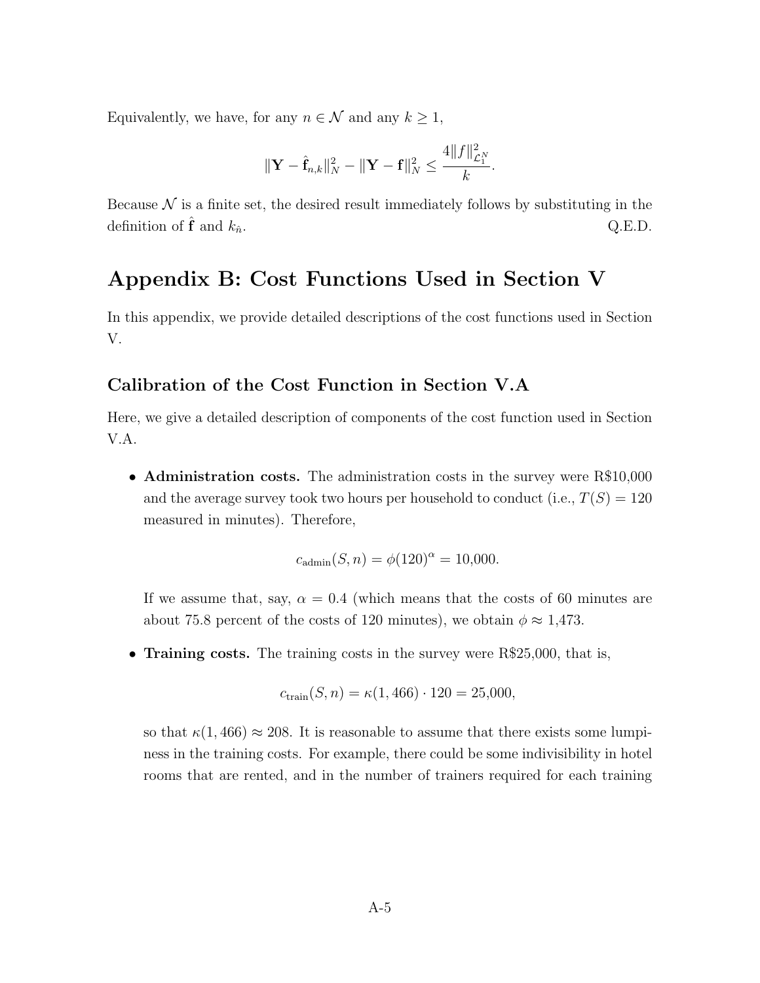Equivalently, we have, for any  $n \in \mathcal{N}$  and any  $k \geq 1$ ,

$$
\|\mathbf{Y}-\hat{\mathbf{f}}_{n,k}\|_{N}^{2}-\|\mathbf{Y}-\mathbf{f}\|_{N}^{2}\leq\frac{4\|f\|_{\mathcal{L}_{1}^{N}}^{2}}{k}.
$$

Because  $N$  is a finite set, the desired result immediately follows by substituting in the definition of  $\hat{\mathbf{f}}$  and  $k_{\hat{n}}$ . Q.E.D.

## Appendix B: Cost Functions Used in Section V

In this appendix, we provide detailed descriptions of the cost functions used in Section V.

#### Calibration of the Cost Function in Section V.A

Here, we give a detailed description of components of the cost function used in Section V.A.

• **Administration costs.** The administration costs in the survey were R\$10,000 and the average survey took two hours per household to conduct (i.e.,  $T(S) = 120$ measured in minutes). Therefore,

$$
c_{\text{admin}}(S, n) = \phi(120)^{\alpha} = 10{,}000.
$$

If we assume that, say,  $\alpha = 0.4$  (which means that the costs of 60 minutes are about 75.8 percent of the costs of 120 minutes), we obtain  $\phi \approx 1.473$ .

• **Training costs.** The training costs in the survey were R\$25,000, that is,

$$
c_{\text{train}}(S, n) = \kappa(1, 466) \cdot 120 = 25{,}000
$$

so that  $\kappa(1, 466) \approx 208$ . It is reasonable to assume that there exists some lumpiness in the training costs. For example, there could be some indivisibility in hotel rooms that are rented, and in the number of trainers required for each training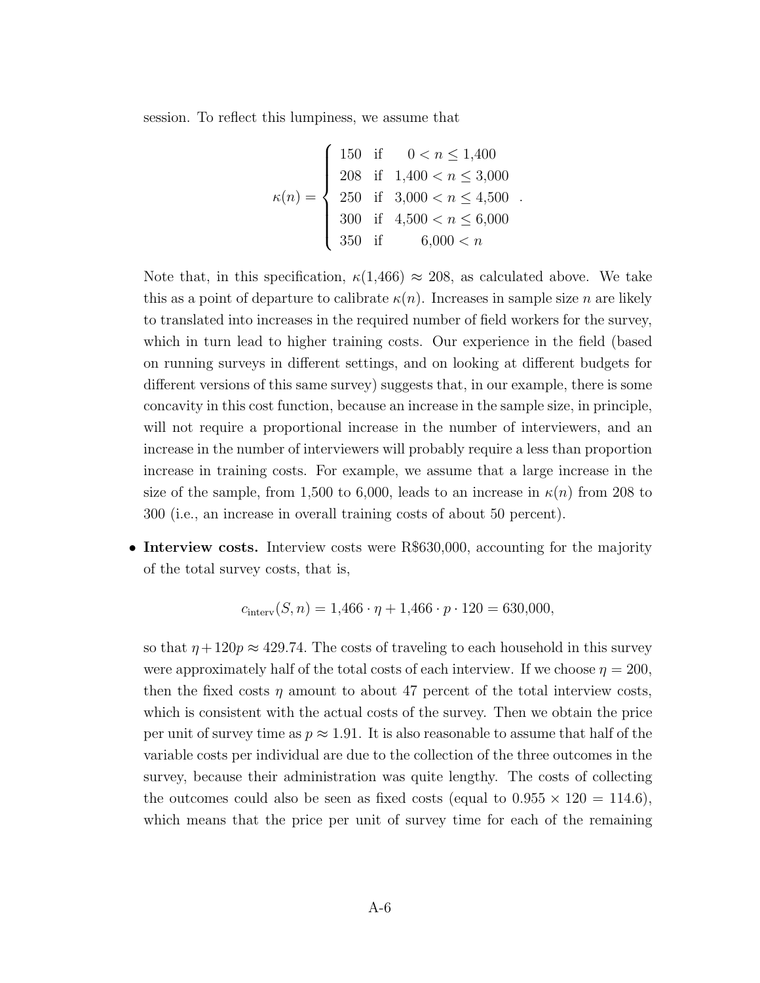session. To reflect this lumpiness, we assume that

$$
\kappa(n) = \begin{cases}\n150 & \text{if } 0 < n \le 1,400 \\
208 & \text{if } 1,400 < n \le 3,000 \\
250 & \text{if } 3,000 < n \le 4,500 \\
300 & \text{if } 4,500 < n \le 6,000 \\
350 & \text{if } 6,000 < n\n\end{cases}
$$

*.*

Note that, in this specification,  $\kappa(1,466) \approx 208$ , as calculated above. We take this as a point of departure to calibrate  $\kappa(n)$ . Increases in sample size *n* are likely to translated into increases in the required number of field workers for the survey, which in turn lead to higher training costs. Our experience in the field (based on running surveys in different settings, and on looking at different budgets for different versions of this same survey) suggests that, in our example, there is some concavity in this cost function, because an increase in the sample size, in principle, will not require a proportional increase in the number of interviewers, and an increase in the number of interviewers will probably require a less than proportion increase in training costs. For example, we assume that a large increase in the size of the sample, from 1,500 to 6,000, leads to an increase in  $\kappa(n)$  from 208 to 300 (i.e., an increase in overall training costs of about 50 percent).

• Interview costs. Interview costs were R\$630,000, accounting for the majority of the total survey costs, that is,

$$
c_{\text{interv}}(S, n) = 1,466 \cdot \eta + 1,466 \cdot p \cdot 120 = 630,000,
$$

so that  $\eta + 120p \approx 429.74$ . The costs of traveling to each household in this survey were approximately half of the total costs of each interview. If we choose  $\eta = 200$ , then the fixed costs  $\eta$  amount to about 47 percent of the total interview costs, which is consistent with the actual costs of the survey. Then we obtain the price per unit of survey time as  $p \approx 1.91$ . It is also reasonable to assume that half of the variable costs per individual are due to the collection of the three outcomes in the survey, because their administration was quite lengthy. The costs of collecting the outcomes could also be seen as fixed costs (equal to  $0.955 \times 120 = 114.6$ ), which means that the price per unit of survey time for each of the remaining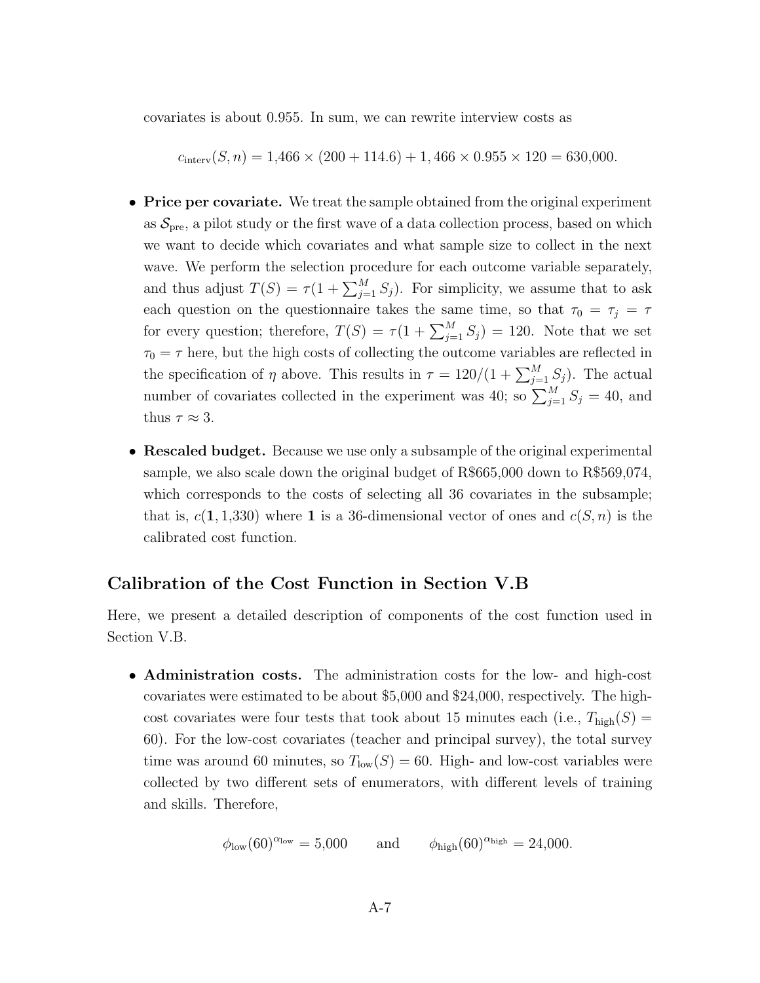covariates is about 0*.*955. In sum, we can rewrite interview costs as

 $c_{\text{interv}}(S, n) = 1,466 \times (200 + 114.6) + 1,466 \times 0.955 \times 120 = 630,000.$ 

- **Price per covariate.** We treat the sample obtained from the original experiment as  $S_{\text{pre}}$ , a pilot study or the first wave of a data collection process, based on which we want to decide which covariates and what sample size to collect in the next wave. We perform the selection procedure for each outcome variable separately, and thus adjust  $T(S) = \tau(1 + \sum_{j=1}^{M} S_j)$ . For simplicity, we assume that to ask each question on the questionnaire takes the same time, so that  $\tau_0 = \tau_j = \tau$ for every question; therefore,  $T(S) = \tau(1 + \sum_{j=1}^{M} S_j) = 120$ . Note that we set  $\tau_0 = \tau$  here, but the high costs of collecting the outcome variables are reflected in the specification of  $\eta$  above. This results in  $\tau = 120/(1 + \sum_{j=1}^{M} S_j)$ . The actual number of covariates collected in the experiment was 40; so  $\sum_{j=1}^{M} S_j = 40$ , and thus  $\tau \approx 3$ .
- **Rescaled budget.** Because we use only a subsample of the original experimental sample, we also scale down the original budget of R\$665,000 down to R\$569,074, which corresponds to the costs of selecting all 36 covariates in the subsample; that is,  $c(1, 1, 330)$  where 1 is a 36-dimensional vector of ones and  $c(S, n)$  is the calibrated cost function.

#### Calibration of the Cost Function in Section V.B

Here, we present a detailed description of components of the cost function used in Section V.B.

• Administration costs. The administration costs for the low- and high-cost covariates were estimated to be about \$5,000 and \$24,000, respectively. The highcost covariates were four tests that took about 15 minutes each (i.e.,  $T_{\text{high}}(S)$ ) 60). For the low-cost covariates (teacher and principal survey), the total survey time was around 60 minutes, so  $T_{\text{low}}(S) = 60$ . High- and low-cost variables were collected by two different sets of enumerators, with different levels of training and skills. Therefore,

$$
\phi_{\text{low}}(60)^{\alpha_{\text{low}}} = 5{,}000 \quad \text{and} \quad \phi_{\text{high}}(60)^{\alpha_{\text{high}}} = 24{,}000.
$$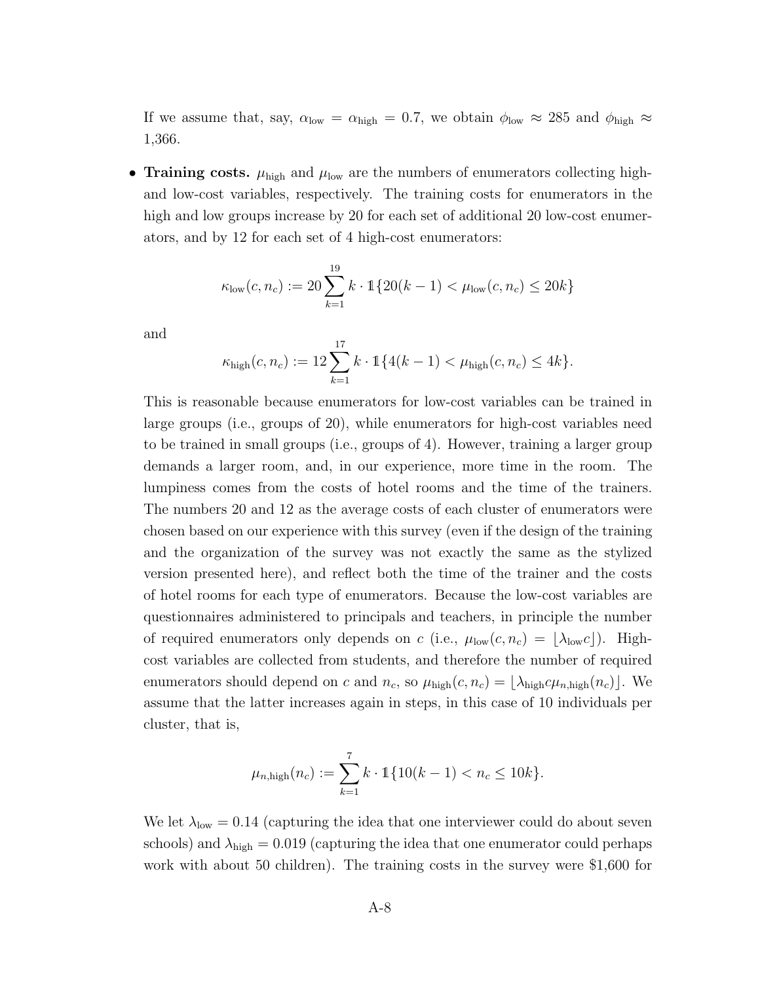If we assume that, say,  $\alpha_{\text{low}} = \alpha_{\text{high}} = 0.7$ , we obtain  $\phi_{\text{low}} \approx 285$  and  $\phi_{\text{high}} \approx$ 1,366.

**•** Training costs.  $\mu_{\text{high}}$  and  $\mu_{\text{low}}$  are the numbers of enumerators collecting highand low-cost variables, respectively. The training costs for enumerators in the high and low groups increase by 20 for each set of additional 20 low-cost enumerators, and by 12 for each set of 4 high-cost enumerators:

$$
\kappa_{\text{low}}(c, n_c) := 20 \sum_{k=1}^{19} k \cdot \mathbb{1} \{ 20(k-1) < \mu_{\text{low}}(c, n_c) \le 20k \}
$$

and

$$
\kappa_{\text{high}}(c, n_c) := 12 \sum_{k=1}^{17} k \cdot 1 \{ 4(k-1) < \mu_{\text{high}}(c, n_c) \le 4k \}.
$$

This is reasonable because enumerators for low-cost variables can be trained in large groups (i.e., groups of 20), while enumerators for high-cost variables need to be trained in small groups (i.e., groups of 4). However, training a larger group demands a larger room, and, in our experience, more time in the room. The lumpiness comes from the costs of hotel rooms and the time of the trainers. The numbers 20 and 12 as the average costs of each cluster of enumerators were chosen based on our experience with this survey (even if the design of the training and the organization of the survey was not exactly the same as the stylized version presented here), and reflect both the time of the trainer and the costs of hotel rooms for each type of enumerators. Because the low-cost variables are questionnaires administered to principals and teachers, in principle the number of required enumerators only depends on *c* (i.e.,  $\mu_{\text{low}}(c, n_c) = |\lambda_{\text{low}}c|$ ). Highcost variables are collected from students, and therefore the number of required enumerators should depend on *c* and  $n_c$ , so  $\mu_{\text{high}}(c, n_c) = [\lambda_{\text{high}}c\mu_{n,\text{high}}(n_c)]$ . We assume that the latter increases again in steps, in this case of 10 individuals per cluster, that is,

$$
\mu_{n,\text{high}}(n_c) := \sum_{k=1}^7 k \cdot \mathbb{1}\{10(k-1) < n_c \leq 10k\}.
$$

We let  $\lambda_{\text{low}} = 0.14$  (capturing the idea that one interviewer could do about seven schools) and  $\lambda_{\text{high}} = 0.019$  (capturing the idea that one enumerator could perhaps work with about 50 children). The training costs in the survey were \$1,600 for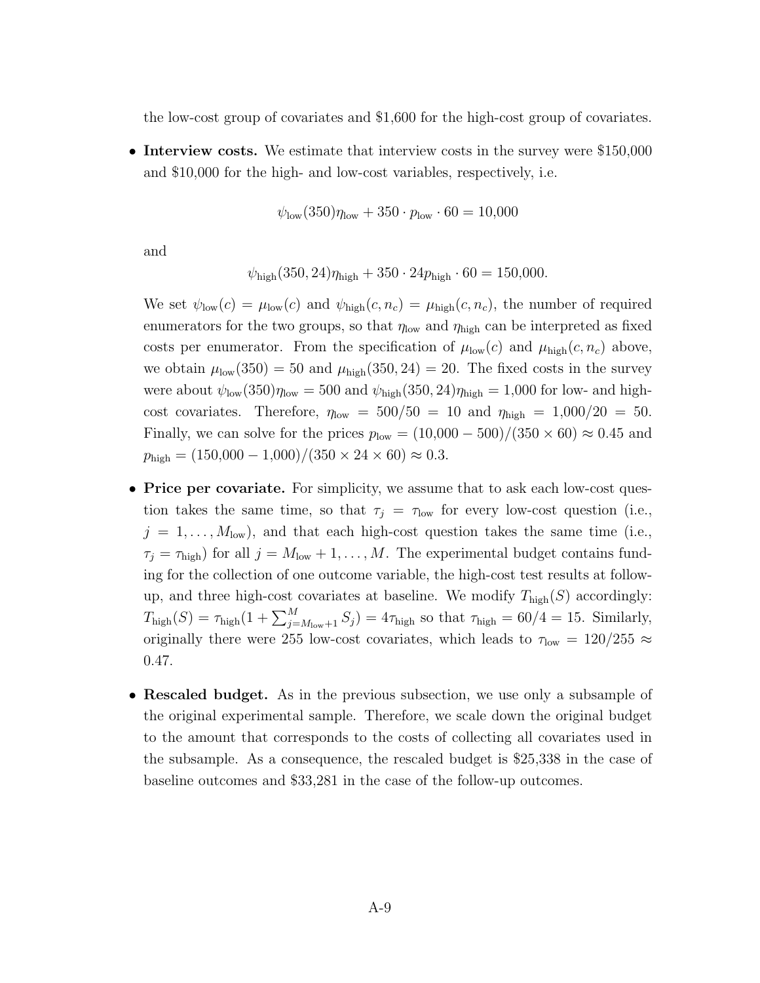the low-cost group of covariates and \$1,600 for the high-cost group of covariates.

• Interview costs. We estimate that interview costs in the survey were \$150,000 and \$10,000 for the high- and low-cost variables, respectively, i.e.

$$
\psi_{\text{low}}(350)\eta_{\text{low}} + 350 \cdot p_{\text{low}} \cdot 60 = 10{,}000
$$

and

$$
\psi_{\text{high}}(350, 24)\eta_{\text{high}} + 350 \cdot 24p_{\text{high}} \cdot 60 = 150,000.
$$

We set  $\psi_{\text{low}}(c) = \mu_{\text{low}}(c)$  and  $\psi_{\text{high}}(c, n_c) = \mu_{\text{high}}(c, n_c)$ , the number of required enumerators for the two groups, so that  $\eta_{\text{low}}$  and  $\eta_{\text{high}}$  can be interpreted as fixed costs per enumerator. From the specification of  $\mu_{\text{low}}(c)$  and  $\mu_{\text{high}}(c, n_c)$  above, we obtain  $\mu_{\text{low}}(350) = 50$  and  $\mu_{\text{high}}(350, 24) = 20$ . The fixed costs in the survey were about  $\psi_{\text{low}}(350)\eta_{\text{low}} = 500$  and  $\psi_{\text{high}}(350, 24)\eta_{\text{high}} = 1,000$  for low- and highcost covariates. Therefore,  $\eta_{\text{low}} = 500/50 = 10$  and  $\eta_{\text{high}} = 1,000/20 = 50$ . Finally, we can solve for the prices  $p_{\text{low}} = (10,000 - 500)/(350 \times 60) \approx 0.45$  and  $p_{\text{high}} = (150,000 - 1,000)/(350 \times 24 \times 60) \approx 0.3.$ 

- **Price per covariate.** For simplicity, we assume that to ask each low-cost question takes the same time, so that  $\tau_j = \tau_{low}$  for every low-cost question (i.e.,  $j = 1, \ldots, M_{\text{low}}$ ), and that each high-cost question takes the same time (i.e.,  $\tau_j = \tau_{\text{high}}$ ) for all  $j = M_{\text{low}} + 1, \ldots, M$ . The experimental budget contains funding for the collection of one outcome variable, the high-cost test results at followup, and three high-cost covariates at baseline. We modify  $T_{\text{high}}(S)$  accordingly:  $T_{\text{high}}(S) = \tau_{\text{high}}(1 + \sum_{j=M_{\text{low}}+1}^{M} S_j) = 4\tau_{\text{high}}$  so that  $\tau_{\text{high}} = 60/4 = 15$ . Similarly, originally there were 255 low-cost covariates, which leads to  $\tau_{\text{low}} = 120/255 \approx$ 0*.*47.
- Rescaled budget. As in the previous subsection, we use only a subsample of the original experimental sample. Therefore, we scale down the original budget to the amount that corresponds to the costs of collecting all covariates used in the subsample. As a consequence, the rescaled budget is \$25,338 in the case of baseline outcomes and \$33,281 in the case of the follow-up outcomes.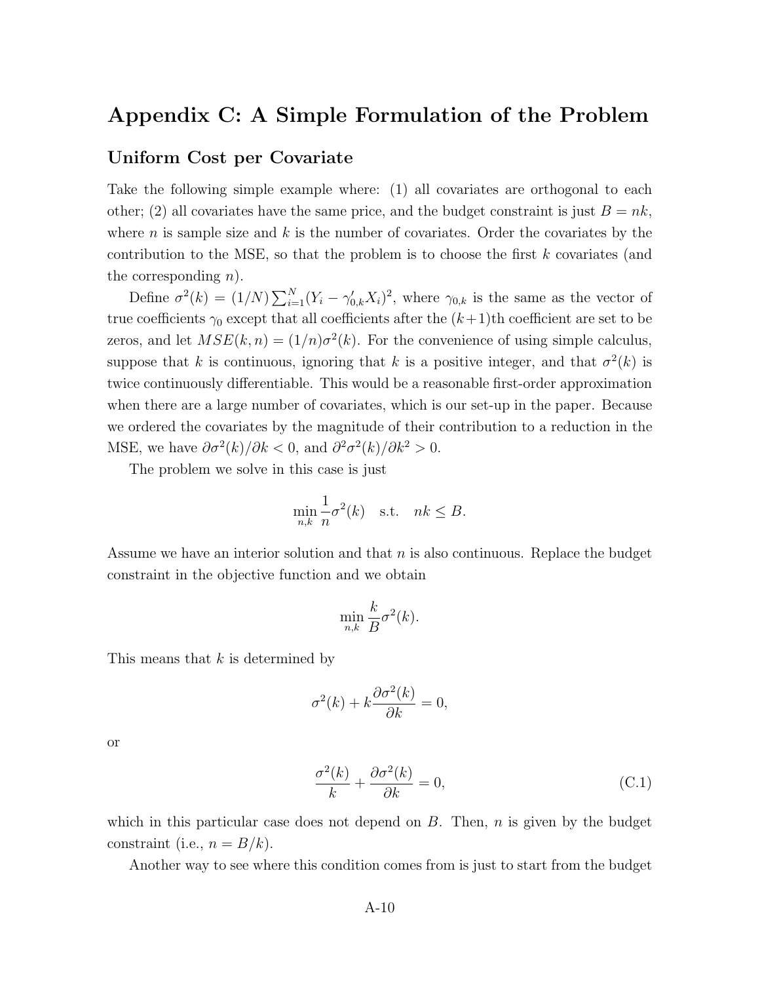### Appendix C: A Simple Formulation of the Problem

#### Uniform Cost per Covariate

Take the following simple example where: (1) all covariates are orthogonal to each other; (2) all covariates have the same price, and the budget constraint is just  $B = nk$ , where *n* is sample size and *k* is the number of covariates. Order the covariates by the contribution to the MSE, so that the problem is to choose the first *k* covariates (and the corresponding *n*).

Define  $\sigma^2(k) = (1/N) \sum_{i=1}^N (Y_i - \gamma'_{0,k} X_i)^2$ , where  $\gamma_{0,k}$  is the same as the vector of true coefficients  $\gamma_0$  except that all coefficients after the  $(k+1)$ th coefficient are set to be zeros, and let  $MSE(k, n) = (1/n)\sigma^{2}(k)$ . For the convenience of using simple calculus, suppose that *k* is continuous, ignoring that *k* is a positive integer, and that  $\sigma^2(k)$  is twice continuously differentiable. This would be a reasonable first-order approximation when there are a large number of covariates, which is our set-up in the paper. Because we ordered the covariates by the magnitude of their contribution to a reduction in the MSE, we have  $\partial \sigma^2(k)/\partial k < 0$ , and  $\partial^2 \sigma^2(k)/\partial k^2 > 0$ .

The problem we solve in this case is just

$$
\min_{n,k} \frac{1}{n} \sigma^2(k) \quad \text{s.t.} \quad nk \leq B.
$$

Assume we have an interior solution and that *n* is also continuous. Replace the budget constraint in the objective function and we obtain

$$
\min_{n,k} \frac{k}{B} \sigma^2(k).
$$

This means that *k* is determined by

$$
\sigma^2(k) + k \frac{\partial \sigma^2(k)}{\partial k} = 0,
$$

or

$$
\frac{\sigma^2(k)}{k} + \frac{\partial \sigma^2(k)}{\partial k} = 0,
$$
\n(C.1)

which in this particular case does not depend on *B*. Then, *n* is given by the budget constraint (i.e.,  $n = B/k$ ).

Another way to see where this condition comes from is just to start from the budget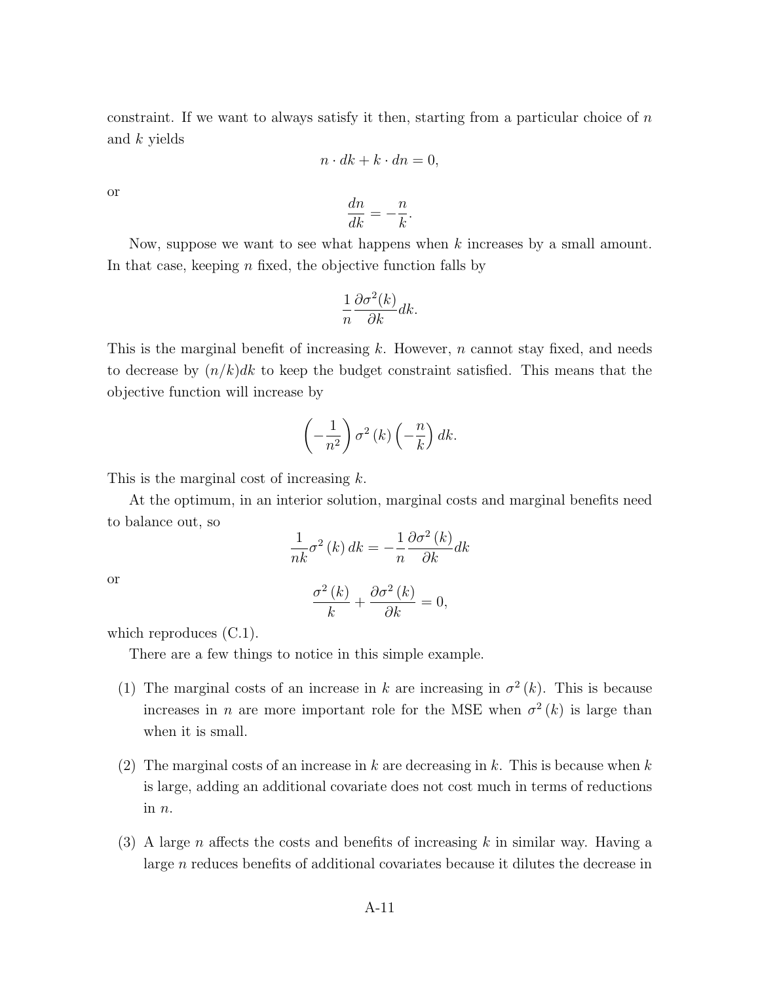constraint. If we want to always satisfy it then, starting from a particular choice of *n* and *k* yields

$$
n \cdot dk + k \cdot dn = 0,
$$

or

$$
\frac{dn}{dk} = -\frac{n}{k}.
$$

Now, suppose we want to see what happens when *k* increases by a small amount. In that case, keeping *n* fixed, the objective function falls by

$$
\frac{1}{n}\frac{\partial \sigma^2(k)}{\partial k} dk.
$$

This is the marginal benefit of increasing *k*. However, *n* cannot stay fixed, and needs to decrease by (*n/k*)*dk* to keep the budget constraint satisfied. This means that the objective function will increase by

$$
\left(-\frac{1}{n^2}\right)\sigma^2(k)\left(-\frac{n}{k}\right)dk.
$$

This is the marginal cost of increasing *k*.

At the optimum, in an interior solution, marginal costs and marginal benefits need to balance out, so

$$
\frac{1}{nk}\sigma^2(k) dk = -\frac{1}{n}\frac{\partial \sigma^2(k)}{\partial k} dk
$$

or

$$
\frac{\sigma^2(k)}{k} + \frac{\partial \sigma^2(k)}{\partial k} = 0,
$$

which reproduces  $(C.1)$ .

There are a few things to notice in this simple example.

- (1) The marginal costs of an increase in *k* are increasing in  $\sigma^2(k)$ . This is because increases in *n* are more important role for the MSE when  $\sigma^2(k)$  is large than when it is small.
- (2) The marginal costs of an increase in *k* are decreasing in *k*. This is because when *k* is large, adding an additional covariate does not cost much in terms of reductions in *n*.
- (3) A large *n* affects the costs and benefits of increasing  $k$  in similar way. Having a large *n* reduces benefits of additional covariates because it dilutes the decrease in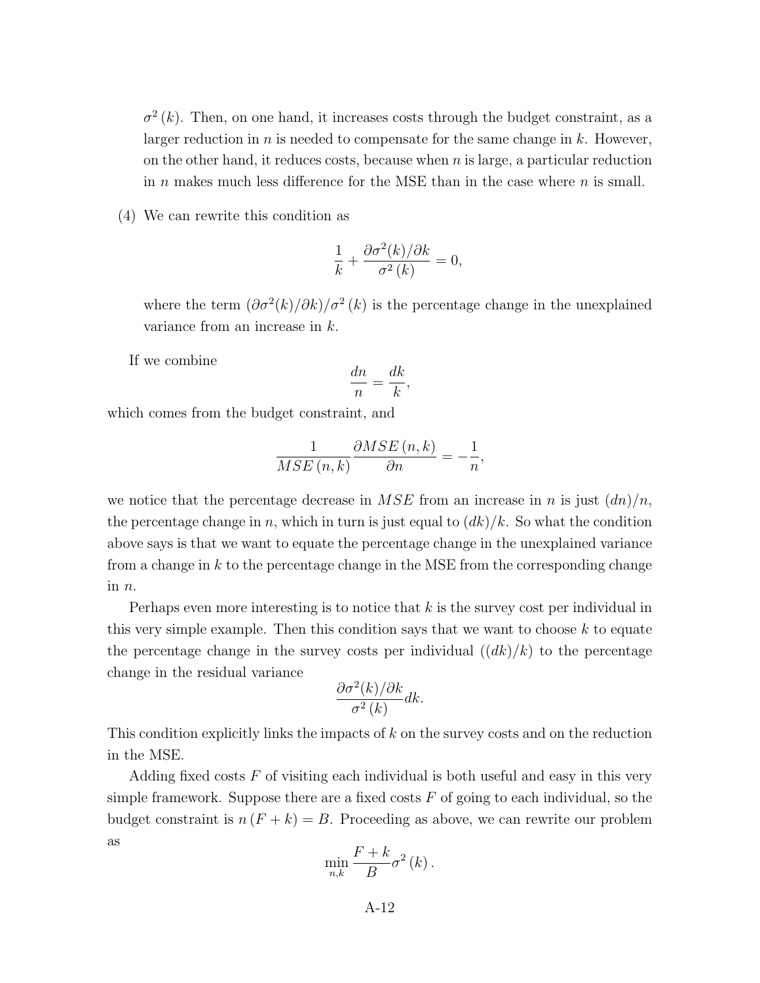$\sigma^2(k)$ . Then, on one hand, it increases costs through the budget constraint, as a larger reduction in *n* is needed to compensate for the same change in *k*. However, on the other hand, it reduces costs, because when *n* is large, a particular reduction in  $n$  makes much less difference for the MSE than in the case where  $n$  is small.

(4) We can rewrite this condition as

$$
\frac{1}{k} + \frac{\partial \sigma^2(k)/\partial k}{\sigma^2(k)} = 0,
$$

where the term  $\left(\frac{\partial \sigma^2(k)}{\partial k}\right)$  *o*<sup>2</sup> (*k*) is the percentage change in the unexplained variance from an increase in *k*.

If we combine

$$
\frac{dn}{n} = \frac{dk}{k},
$$

which comes from the budget constraint, and

$$
\frac{1}{MSE\left(n,k\right)}\frac{\partial MSE\left(n,k\right)}{\partial n}=-\frac{1}{n},
$$

we notice that the percentage decrease in  $MSE$  from an increase in *n* is just  $(dn)/n$ , the percentage change in *n*, which in turn is just equal to  $(dk)/k$ . So what the condition above says is that we want to equate the percentage change in the unexplained variance from a change in *k* to the percentage change in the MSE from the corresponding change in *n*.

Perhaps even more interesting is to notice that *k* is the survey cost per individual in this very simple example. Then this condition says that we want to choose *k* to equate the percentage change in the survey costs per individual  $((dk)/k)$  to the percentage change in the residual variance

$$
\frac{\partial \sigma^2(k)/\partial k}{\sigma^2(k)} dk.
$$

This condition explicitly links the impacts of *k* on the survey costs and on the reduction in the MSE.

Adding fixed costs *F* of visiting each individual is both useful and easy in this very simple framework. Suppose there are a fixed costs  $F$  of going to each individual, so the budget constraint is  $n(F + k) = B$ . Proceeding as above, we can rewrite our problem as

$$
\min_{n,k} \frac{F+k}{B} \sigma^2(k).
$$

A-12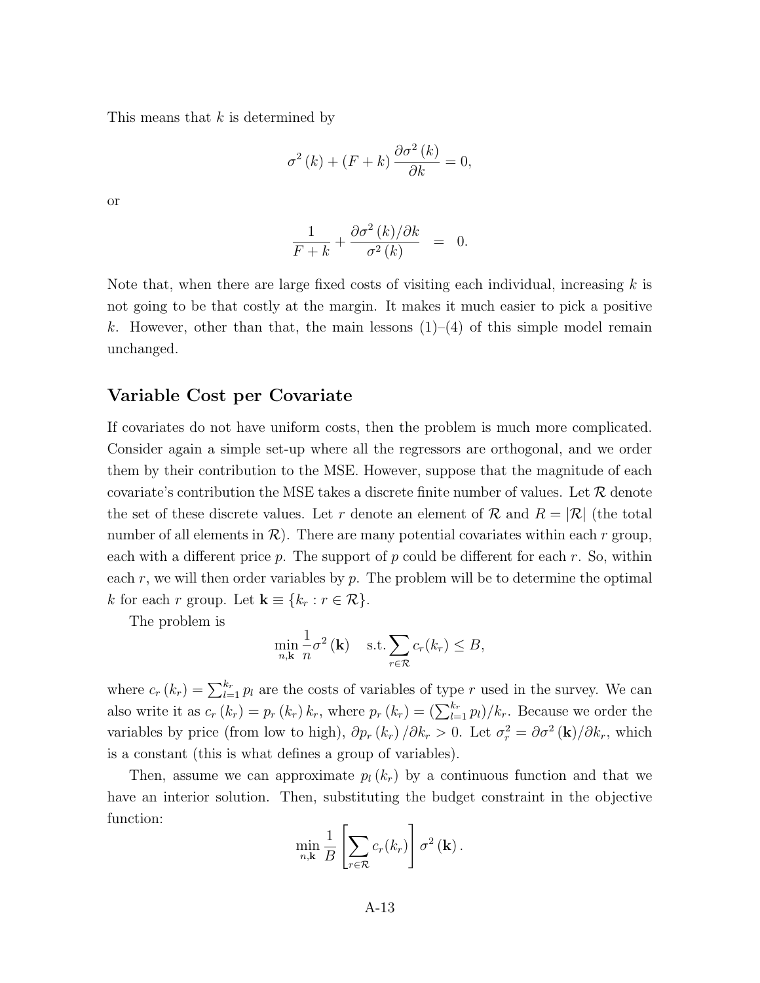This means that *k* is determined by

$$
\sigma^{2}(k) + (F + k) \frac{\partial \sigma^{2}(k)}{\partial k} = 0,
$$

or

$$
\frac{1}{F+k} + \frac{\partial \sigma^2(k)/\partial k}{\sigma^2(k)} = 0.
$$

Note that, when there are large fixed costs of visiting each individual, increasing *k* is not going to be that costly at the margin. It makes it much easier to pick a positive k. However, other than that, the main lessons  $(1)-(4)$  of this simple model remain unchanged.

#### Variable Cost per Covariate

If covariates do not have uniform costs, then the problem is much more complicated. Consider again a simple set-up where all the regressors are orthogonal, and we order them by their contribution to the MSE. However, suppose that the magnitude of each covariate's contribution the MSE takes a discrete finite number of values. Let *R* denote the set of these discrete values. Let r denote an element of  $\mathcal{R}$  and  $R = |\mathcal{R}|$  (the total number of all elements in  $\mathcal{R}$ ). There are many potential covariates within each  $r$  group, each with a different price  $p$ . The support of  $p$  could be different for each  $r$ . So, within each *r*, we will then order variables by *p*. The problem will be to determine the optimal *k* for each *r* group. Let  $\mathbf{k} \equiv \{k_r : r \in \mathcal{R}\}.$ 

The problem is

$$
\min_{n,\mathbf{k}} \frac{1}{n} \sigma^2(\mathbf{k}) \quad \text{s.t.} \sum_{r \in \mathcal{R}} c_r(k_r) \leq B,
$$

where  $c_r(k_r) = \sum_{l=1}^{k_r} p_l$  are the costs of variables of type *r* used in the survey. We can also write it as  $c_r(k_r) = p_r(k_r) k_r$ , where  $p_r(k_r) = \left(\sum_{l=1}^{k_r} p_l\right)/k_r$ . Because we order the variables by price (from low to high),  $\partial p_r(k_r) / \partial k_r > 0$ . Let  $\sigma_r^2 = \partial \sigma^2(\mathbf{k}) / \partial k_r$ , which is a constant (this is what defines a group of variables).

Then, assume we can approximate  $p_l(k_r)$  by a continuous function and that we have an interior solution. Then, substituting the budget constraint in the objective function:

$$
\min_{n,\mathbf{k}} \frac{1}{B} \left[ \sum_{r \in \mathcal{R}} c_r(k_r) \right] \sigma^2(\mathbf{k}).
$$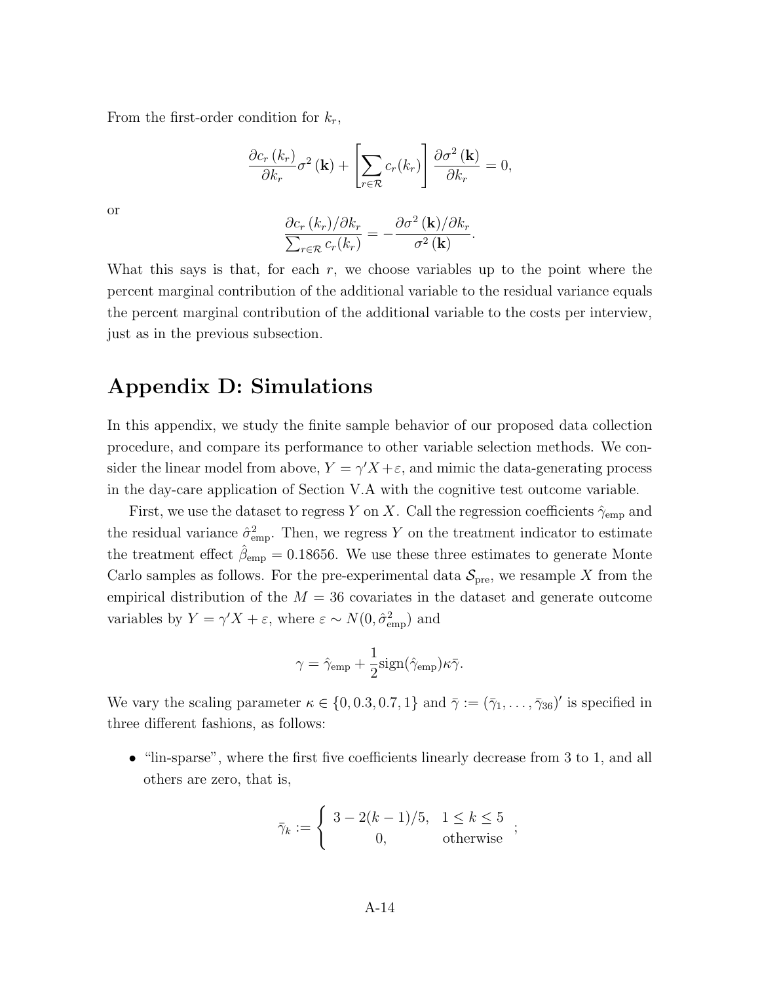From the first-order condition for *kr*,

$$
\frac{\partial c_r(k_r)}{\partial k_r} \sigma^2(\mathbf{k}) + \left[\sum_{r \in \mathcal{R}} c_r(k_r)\right] \frac{\partial \sigma^2(\mathbf{k})}{\partial k_r} = 0,
$$

$$
\frac{\partial c_r(k_r)}{\partial k_r} = -\frac{\partial \sigma^2(\mathbf{k})}{\partial k_r}.
$$

or

What this says is that, for each *r*, we choose variables up to the point where the percent marginal contribution of the additional variable to the residual variance equals the percent marginal contribution of the additional variable to the costs per interview, just as in the previous subsection.

## Appendix D: Simulations

In this appendix, we study the finite sample behavior of our proposed data collection procedure, and compare its performance to other variable selection methods. We consider the linear model from above,  $Y = \gamma' X + \varepsilon$ , and mimic the data-generating process in the day-care application of Section V.A with the cognitive test outcome variable.

First, we use the dataset to regress *Y* on *X*. Call the regression coefficients  $\hat{\gamma}_{\text{emp}}$  and the residual variance  $\hat{\sigma}_{emp}^2$ . Then, we regress Y on the treatment indicator to estimate the treatment effect  $\hat{\beta}_{emp} = 0.18656$ . We use these three estimates to generate Monte Carlo samples as follows. For the pre-experimental data  $S_{\text{pre}}$ , we resample X from the empirical distribution of the  $M = 36$  covariates in the dataset and generate outcome variables by  $Y = \gamma' X + \varepsilon$ , where  $\varepsilon \sim N(0, \hat{\sigma}_{emp}^2)$  and

$$
\gamma = \hat{\gamma}_{\rm emp} + \frac{1}{2} sign(\hat{\gamma}_{\rm emp})\kappa \bar{\gamma}.
$$

We vary the scaling parameter  $\kappa \in \{0, 0.3, 0.7, 1\}$  and  $\bar{\gamma} := (\bar{\gamma}_1, \ldots, \bar{\gamma}_{36})'$  is specified in three different fashions, as follows:

• "lin-sparse", where the first five coefficients linearly decrease from 3 to 1, and all others are zero, that is,

$$
\bar{\gamma}_k := \begin{cases} 3 - 2(k-1)/5, & 1 \leq k \leq 5 \\ 0, & \text{otherwise} \end{cases};
$$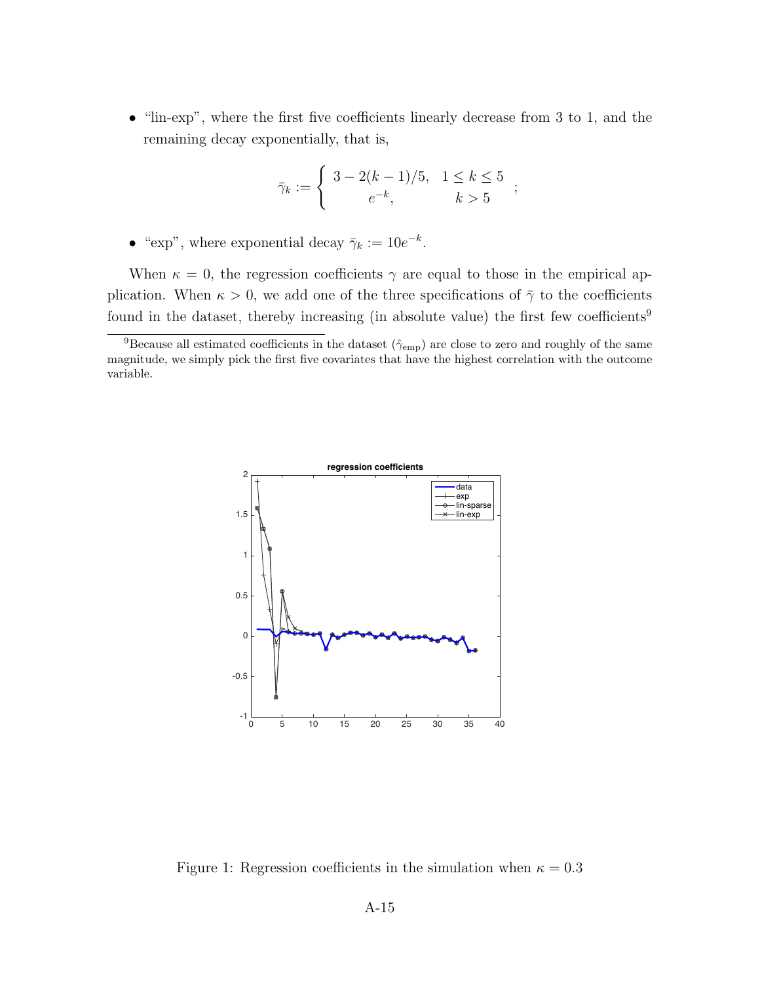• "lin-exp", where the first five coefficients linearly decrease from 3 to 1, and the remaining decay exponentially, that is,

$$
\bar{\gamma}_k := \begin{cases} 3 - 2(k-1)/5, & 1 \le k \le 5 \\ e^{-k}, & k > 5 \end{cases};
$$

• "exp", where exponential decay  $\bar{\gamma}_k := 10e^{-k}$ .

When  $\kappa = 0$ , the regression coefficients  $\gamma$  are equal to those in the empirical application. When  $\kappa > 0$ , we add one of the three specifications of  $\bar{\gamma}$  to the coefficients found in the dataset, thereby increasing (in absolute value) the first few coefficients<sup>9</sup>



Figure 1: Regression coefficients in the simulation when  $\kappa = 0.3$ 

<sup>&</sup>lt;sup>9</sup>Because all estimated coefficients in the dataset  $(\hat{\gamma}_{emp})$  are close to zero and roughly of the same magnitude, we simply pick the first five covariates that have the highest correlation with the outcome variable.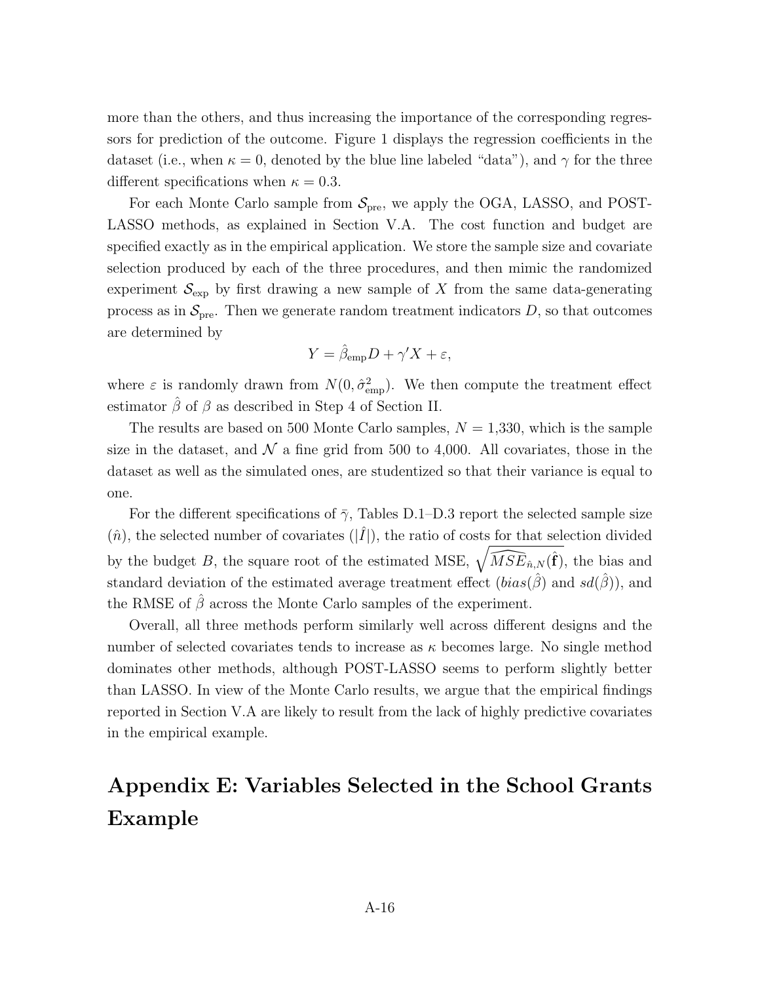more than the others, and thus increasing the importance of the corresponding regressors for prediction of the outcome. Figure 1 displays the regression coefficients in the dataset (i.e., when  $\kappa = 0$ , denoted by the blue line labeled "data"), and  $\gamma$  for the three different specifications when  $\kappa = 0.3$ .

For each Monte Carlo sample from  $S_{pre}$ , we apply the OGA, LASSO, and POST-LASSO methods, as explained in Section V.A. The cost function and budget are specified exactly as in the empirical application. We store the sample size and covariate selection produced by each of the three procedures, and then mimic the randomized experiment  $S_{\text{exp}}$  by first drawing a new sample of X from the same data-generating process as in  $S_{\text{pre}}$ . Then we generate random treatment indicators  $D$ , so that outcomes are determined by

$$
Y = \hat{\beta}_{\rm emp} D + \gamma' X + \varepsilon,
$$

where  $\varepsilon$  is randomly drawn from  $N(0, \hat{\sigma}_{emp}^2)$ . We then compute the treatment effect estimator  $\hat{\beta}$  of  $\beta$  as described in Step 4 of Section II.

The results are based on 500 Monte Carlo samples,  $N = 1,330$ , which is the sample size in the dataset, and  $\mathcal N$  a fine grid from 500 to 4,000. All covariates, those in the dataset as well as the simulated ones, are studentized so that their variance is equal to one.

For the different specifications of  $\bar{\gamma}$ , Tables D.1–D.3 report the selected sample size  $(\hat{n})$ , the selected number of covariates  $(|\hat{I}|)$ , the ratio of costs for that selection divided by the budget *B*, the square root of the estimated MSE,  $\sqrt{\widehat{MSE}_{\hat{n},N}(\hat{f})}$ , the bias and standard deviation of the estimated average treatment effect  $(bias(\hat{\beta}))$  and  $sd(\hat{\beta}))$ , and the RMSE of  $\hat{\beta}$  across the Monte Carlo samples of the experiment.

Overall, all three methods perform similarly well across different designs and the number of selected covariates tends to increase as  $\kappa$  becomes large. No single method dominates other methods, although POST-LASSO seems to perform slightly better than LASSO. In view of the Monte Carlo results, we argue that the empirical findings reported in Section V.A are likely to result from the lack of highly predictive covariates in the empirical example.

# Appendix E: Variables Selected in the School Grants Example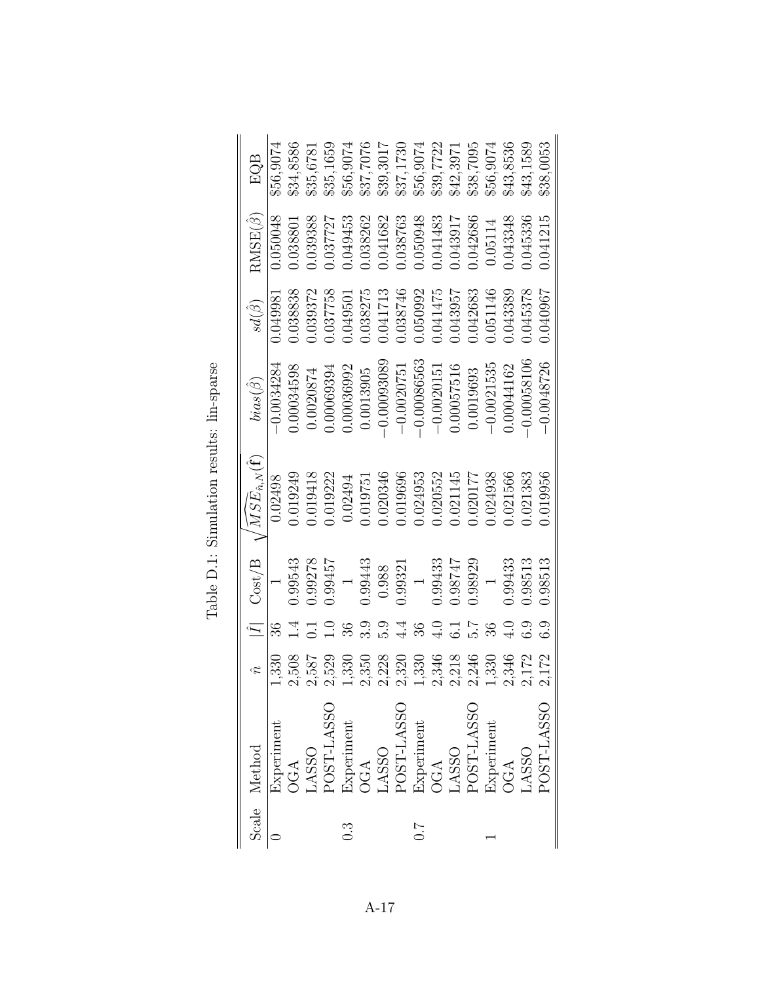| EQB                                  | \$56,9074          | \$34,8586  | \$35,6781 | \$35,1659  | \$56,9074      |           |               | \$37,7076<br>\$39,3017<br>\$37,1730 | \$56,9074      | \$39,7722     | \$42,3971        | \$38,7095     | \$56,9074      | \$43,8536     | \$43,1589     | 638,0053     |
|--------------------------------------|--------------------|------------|-----------|------------|----------------|-----------|---------------|-------------------------------------|----------------|---------------|------------------|---------------|----------------|---------------|---------------|--------------|
| $RMSE(\hat{\beta})$                  | 0.050048           | 1.03880    | 0.039388  | 1.037727   | 0.049453       | 1.038262  | 0.041682      | 0.38763                             | 050948         | 0.041483      | 1.043917         | 042686        | 0.05114        | 043348        | 045336        | 0.041215     |
| $sd(\hat{\beta})$                    | 0.049981           | 0.38838    | 0.39372   | 0.37758    | 1.049501       | 0.38275   | 0.041713      | 0.038746                            | 0.50992        | 1.041475      | 043957           | 042683        | 051146         | 043389        | 045378        | 196010.0     |
| $bias(\hat{\beta})$                  | $-0.0034284$       | 0.00034598 | 0.0020874 | 0.00069394 | 0.00036992     | 0.0013905 | $-0.00093089$ | $-0.00200751$                       | $-0.00086563$  | $-0.0020151$  | 0.00057516       | 0.0019693     | $-0.0021535$   | 0.00044162    | $-0.00058106$ | $-0.0048726$ |
| $\sqrt{MSE_{\hat n,N}(\hat{\bf f})}$ | 0.02498            | 0.019249   | 0.019418  | 0.019222   | 0.02494        | 1.019751  | 0.020346      | 0.019696                            | 0.024953       | 0.20552       | 0.21145          | 0.020177      | 0.24938        | 0.021566      | 0.21383       | 0.019956     |
| Cost/B                               |                    | 0.99543    | 0.99278   | 1.99457    | $\overline{a}$ | 0.99443   | 0.988         | 0.99321                             | $\overline{a}$ | 1.99433       | 1.98747          | 0.98929       | $\overline{a}$ | 0.99433       | 0.98513       | 0.98513      |
|                                      | $\frac{36}{2}$     |            |           |            | 36             | 3.9       | 5.9           | 4.4                                 | 36             | $\frac{1}{4}$ | $\overline{6.1}$ | $\frac{1}{2}$ | 36             | $\frac{1}{2}$ | ි             |              |
|                                      | $1,3\overline{30}$ |            | 2,587     | 2,529      | 1,330          | 2,350     | 2,228         | 2,320                               | 1,330          | 2,346         | 2,218            | 2,246         | 1,330          | 2,346         | 2,172         |              |
| Scale Method                         | Experiment         | DGA        | LASSO     | POST-LASSO | Experiment     | OGA       | LASSO         | POST-LASSO                          | Experiment     | OGA           | <b>OSSV</b>      | POST-LASSO    | Experiment     | OGA           | <b>OSSV</b>   | POST-LASSO   |
|                                      |                    |            |           |            | ე.<br>ე        |           |               |                                     | 7.0            |               |                  |               |                |               |               |              |

Table D.1: Simulation results: lin-sparse Table D.1: Simulation results: lin-sparse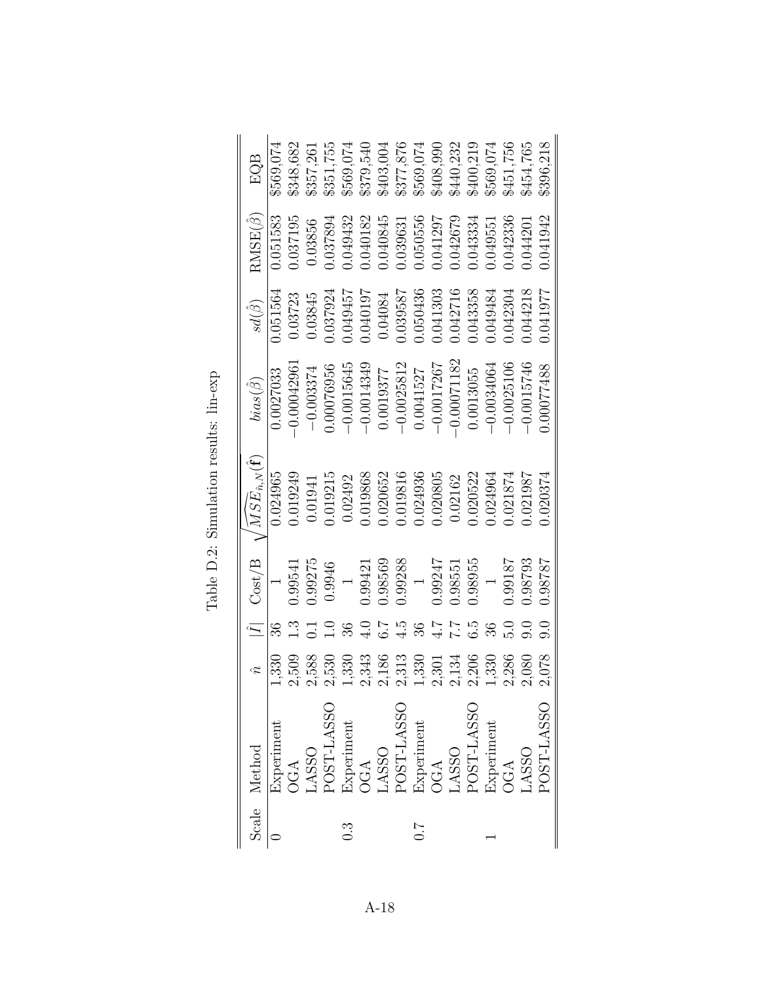|     | Scale Method |       | $\bar{I}$     | Cost/B         | $\sqrt{MSE_{\hat n,N}(\hat{\bf f})}$ | $bias(\ddot{\beta})$ | $sd(\dot\beta)$ | $RMSE(\hat{\beta})$ | EQB                                                             |
|-----|--------------|-------|---------------|----------------|--------------------------------------|----------------------|-----------------|---------------------|-----------------------------------------------------------------|
|     | Experiment   | 1,330 |               |                | 0.024965                             | 0.0027033            | 0.051564        | 0.051583            | \$569,074                                                       |
|     | OGA          | 2,509 |               | 1.99541        | 0.019249                             | 0.0004296            | 0.03723         | 0.37195             | \$348,682                                                       |
|     | <b>OSSV</b>  | 2,588 |               | 0.99275        | 0.01941                              | $-0.003374$          | 0.03845         | 0.03856             | \$357,261                                                       |
|     | POST-LASSO   | 2,530 |               | 0.9946         | 0.19215                              | 0.00076956           | 0.37924         | 1.037894            | \$351,755                                                       |
| ).3 | Experiment   | 1,330 |               | $\overline{a}$ | 0.02492                              | $-0.0015645$         | 1.049457        | 049432              | \$569,074                                                       |
|     | OGA          | 2,343 | $\frac{1}{4}$ | 0.99421        | 0.019868                             | $-0.0014349$         | 0.040197        | 0.040182            | $\begin{array}{c} 8379,540 \\ 8403,004 \\ 8377,876 \end{array}$ |
|     | ASSO         | 2,186 |               | 0.98569        | 0.020652                             | 0.0019377            | 0.04084         | 0.040845            |                                                                 |
|     | POST-LASSO   | 2,313 | $\ddot{4}$    | 0.99288        | 0.019816                             | $-0.0025812$         | 0.039587        | 0.3963              |                                                                 |
| 7:0 | Experiment   | 1,330 | 36            | $\overline{a}$ | 0.024936                             | 0.0041527            | 0.050436        | 0.050556            | \$569,074                                                       |
|     | OGA          | 2,301 | 4.7           | 0.99247        | 0.020805                             | $-0.0017267$         | 0.041303        | 1.041297            | \$408,990                                                       |
|     | <b>OSSV</b>  | 2,134 | 7.7           | 0.98551        | 0.02162                              | $-0.00071182$        | 0.042716        | 0.042679            | \$440,232                                                       |
|     | POST-LASSO   | 2,206 | က်<br>က       | 0.98955        | 0.20522.1                            | 0.0013055            | 0.043358        | 043334              | \$400,219                                                       |
|     | Experiment   | 1,330 |               |                | 024964                               | $-0.0034064$         | 049484          | 1.04955             | \$569,074                                                       |
|     | OGA          | 2,286 |               | 1.8187         | 0.021874                             | $-0.0025106$         | 042304          | 0.042336            | \$451,756                                                       |
|     | <b>OSSVT</b> | 2,080 | Э.            | 0.98793        | 1.021987                             | $-0.0015746$         | 0.044218        | 0.044201            | \$454,765                                                       |
|     | POST-LASSO   | 2,078 |               | 18787.08       | 0.020374                             | 0.00077488           | 1.041977        | 041942              | \$396,218                                                       |

Table D.2: Simulation results: lin-exp Table D.2: Simulation results: lin-exp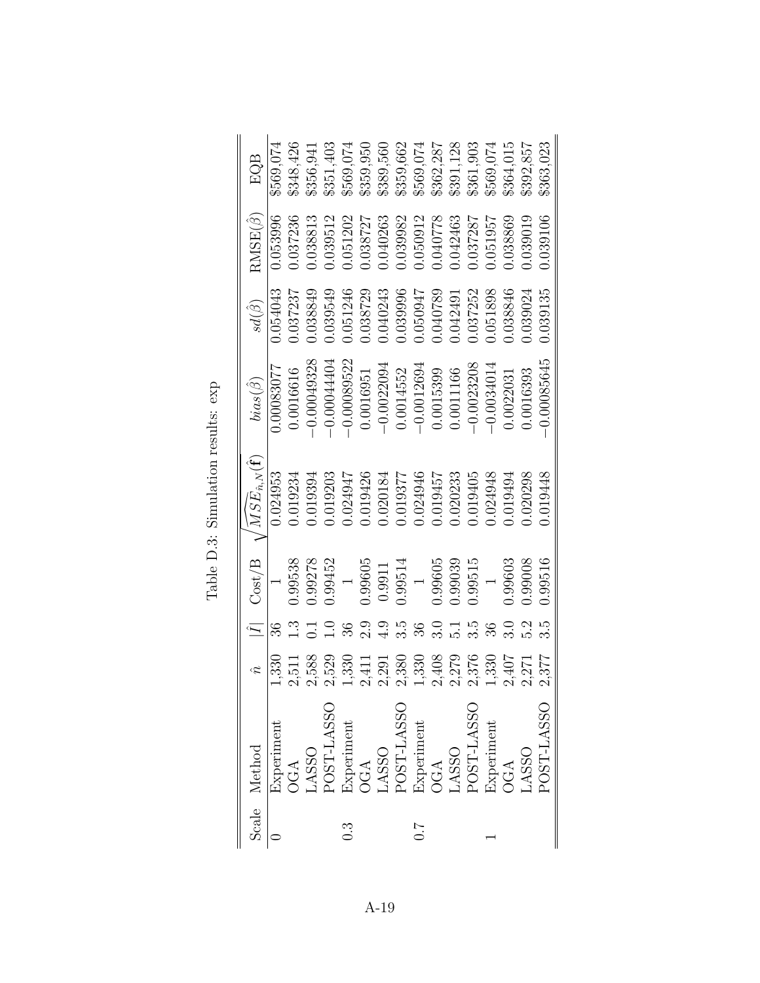| Scale Method |       | $\overline{I}$   | Cost/B                   | $\sqrt{MSE_{\hat n,N}(\hat{\mathbf{f}})}$ | $bias(\hat{\beta})$ | $sd(\hat{\beta})$ | $RMSE(\hat{\beta})$ | EQB       |
|--------------|-------|------------------|--------------------------|-------------------------------------------|---------------------|-------------------|---------------------|-----------|
| Experiment   | 1,330 | 36               |                          | 0.024953                                  | 0.00083077          | 0.54043           | 0.053996            | \$569.074 |
| OGA          | 2,511 |                  | 0.99538                  | 0.019234                                  | 0.0016616           | 0.37237           | 0.037236            | \$348,426 |
| LASSO        | 2,588 |                  | 0.99278                  | 0.019394                                  | $-0.00049328$       | 0.038849          | 0.038813            | 3356,941  |
| POST-LASSO   | 2,529 |                  | 0.99452                  | 0.019203                                  | $-0.00044404$       | 0.039549          | 0.39512             | \$351,403 |
| Experiment   | 1,330 | 36               | $\overline{a}$           | 0.024947                                  | $-0.00089522$       | 0.051246          | 0.051202            | \$569,074 |
| OGA          | 2,411 | $2.\overline{9}$ | 0.99605                  | 0.019426                                  | 0.0016951           | 0.038729          | 1.038727            | \$359,950 |
| LASSO        | 2,291 | 4.9              | 0.9911                   | 0.020184                                  | $-0.0022094$        | 0.040243          | 0.040263            | \$389,560 |
| POST-LASSO   | 2,380 | s.s              | 0.99514                  | 0.019377                                  | 0.0014552           | 0.039996          | 0.39982             | \$359,662 |
| Experiment   | 1,330 | 36               | $\overline{a}$           | 0.024946                                  | $-0.0012694$        | 1.050347          | 0.50912             | \$569,074 |
| OGA          | 2,408 | $\frac{1}{3}$    | 0.99605                  | 0.019457                                  | 0.0015399           | 0.040789          | 1.040778            | 362,287   |
| <b>OSSV</b>  | 2,279 | $\overline{.1}$  | 0.99039                  | 0.020233                                  | 0.0011166           | 0.042491          | 042463              | \$391,128 |
| POST-LASSO   | 2,376 | 3.5              | 0.99515                  | 0.019405                                  | $-0.0023208$        | 0.37252           | 1.037287            | \$361,903 |
| Experiment   | 1,330 |                  | $\overline{\phantom{0}}$ | 0.024948                                  | $-0.0034014$        | 0.51898           | 0.051957            | \$569,074 |
| OGA          | 2,407 | $\frac{1}{2}$    | 0.99603                  | 0.019494                                  | 0.0022031           | 0.038846          | 038869              | \$364,015 |
| <b>OSSV</b>  | 2,271 |                  | 0.99008                  | 0.020298                                  | 0.0016393           | 0.039024          | 0.039019            | \$392,857 |
| POST-LASSO   | 2,377 |                  | 0.99516                  | 0.019448                                  | 0.00085645          | 0.39135           | 0.039106            | 363,023   |

Table D.3: Simulation results:  $\exp$ Table D.3: Simulation results: exp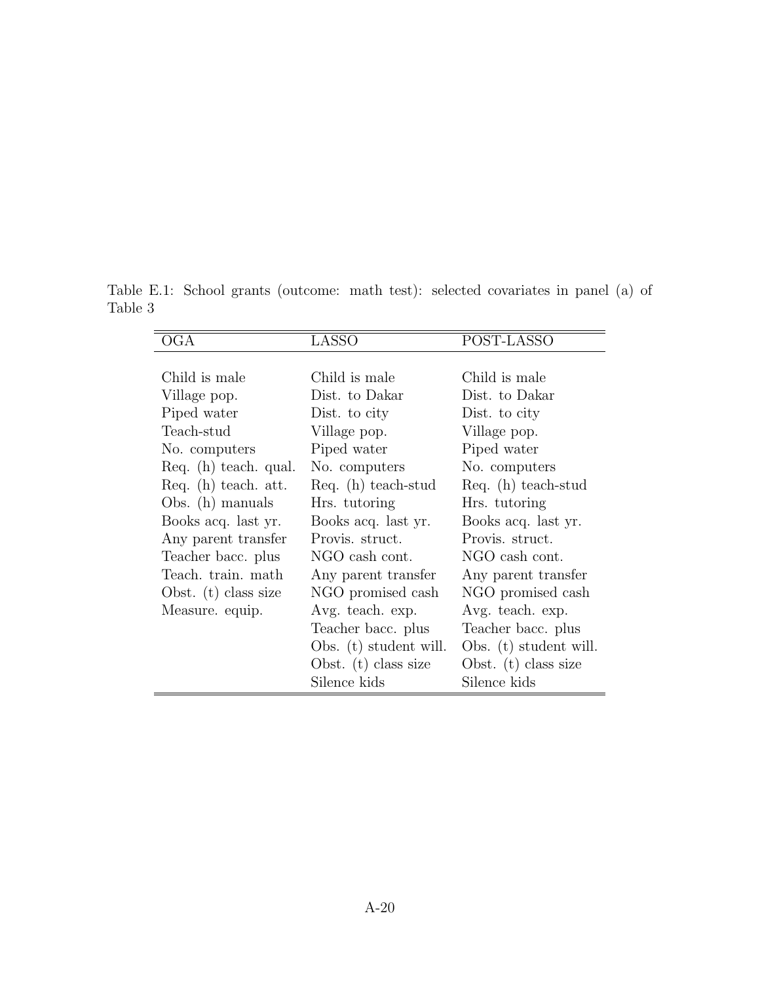Table E.1: School grants (outcome: math test): selected covariates in panel (a) of Table 3

| OGA                    | <b>LASSO</b>           | POST-LASSO             |
|------------------------|------------------------|------------------------|
|                        |                        |                        |
| Child is male          | Child is male          | Child is male          |
| Village pop.           | Dist. to Dakar         | Dist. to Dakar         |
| Piped water            | Dist. to city          | Dist. to city          |
| Teach-stud             | Village pop.           | Village pop.           |
| No. computers          | Piped water            | Piped water            |
| Req. (h) teach. qual.  | No. computers          | No. computers          |
| Req. (h) teach. att.   | Req. $(h)$ teach-stud  | Req. $(h)$ teach-stud  |
| Obs. $(h)$ manuals     | Hrs. tutoring          | Hrs. tutoring          |
| Books acq. last yr.    | Books acq. last yr.    | Books acq. last yr.    |
| Any parent transfer    | Provis. struct.        | Provis, struct.        |
| Teacher bacc. plus     | NGO cash cont.         | NGO cash cont.         |
| Teach. train. math     | Any parent transfer    | Any parent transfer    |
| Obst. $(t)$ class size | NGO promised cash      | NGO promised cash      |
| Measure. equip.        | Avg. teach. exp.       | Avg. teach. exp.       |
|                        | Teacher bacc. plus     | Teacher bacc. plus     |
|                        | Obs. (t) student will. | Obs. (t) student will. |
|                        | Obst. $(t)$ class size | Obst. $(t)$ class size |
|                        | Silence kids           | Silence kids           |